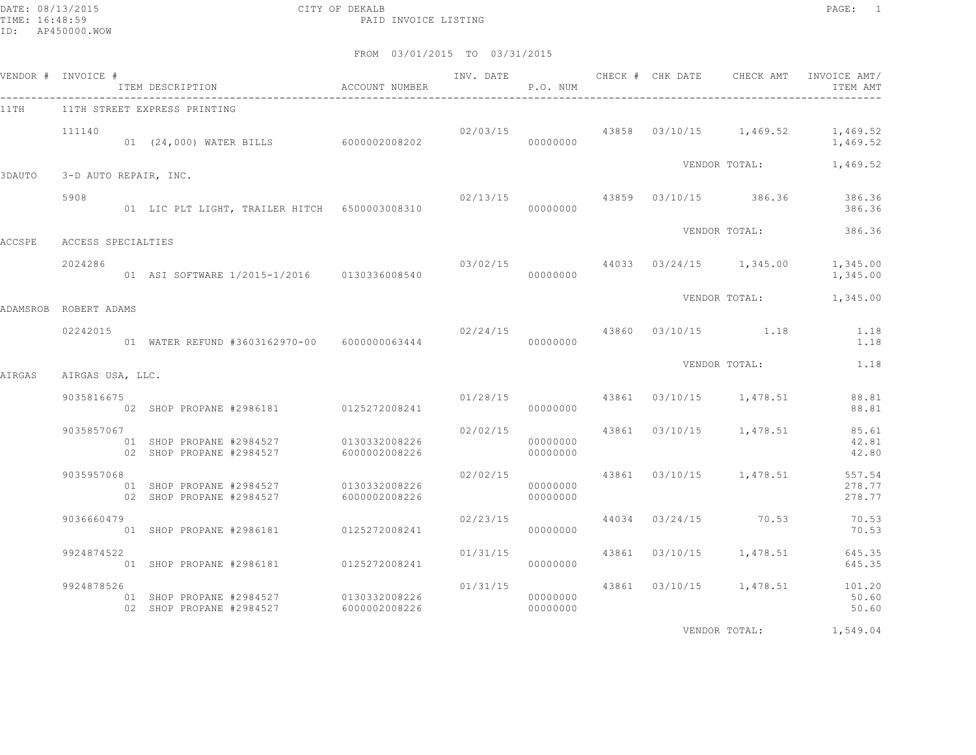DATE: 08/13/2015 CITY OF DEKALB PAGE: 1 PAID INVOICE LISTING

FROM 03/01/2015 TO 03/31/2015

|          | VENDOR # INVOICE #    | ITEM DESCRIPTION ACCOUNT NUMBER                                    |               | INV. DATE | P.O. NUM             | CHECK # CHK DATE | CHECK AMT                          | INVOICE AMT/<br>ITEM AMT                                        |
|----------|-----------------------|--------------------------------------------------------------------|---------------|-----------|----------------------|------------------|------------------------------------|-----------------------------------------------------------------|
| 11TH     |                       | 11TH STREET EXPRESS PRINTING                                       |               |           |                      |                  |                                    |                                                                 |
|          | 111140                | 01 (24,000) WATER BILLS 6000002008202                              |               |           | 00000000             |                  |                                    | $02/03/15$ $43858$ $03/10/15$ $1,469.52$ $1,469.52$<br>1,469.52 |
| 3DAUTO   | 3-D AUTO REPAIR, INC. |                                                                    |               |           |                      |                  |                                    | VENDOR TOTAL: 1,469.52                                          |
|          |                       |                                                                    |               |           |                      |                  |                                    |                                                                 |
|          | 5908                  |                                                                    |               |           |                      |                  |                                    | 02/13/15 43859 03/10/15 386.36 386.36<br>386.36                 |
| ACCSPE   | ACCESS SPECIALTIES    |                                                                    |               |           |                      |                  | VENDOR TOTAL:                      | 386.36                                                          |
|          |                       |                                                                    |               |           |                      |                  |                                    |                                                                 |
|          | 2024286               |                                                                    |               |           | 00000000             |                  |                                    | $03/02/15$ $44033$ $03/24/15$ $1,345.00$ $1,345.00$<br>1,345.00 |
| ADAMSROB | ROBERT ADAMS          |                                                                    |               |           |                      |                  |                                    | VENDOR TOTAL: 1,345.00                                          |
|          |                       |                                                                    |               |           |                      |                  |                                    |                                                                 |
|          | 02242015              | 01 WATER REFUND #3603162970-00 6000000063444                       |               | 02/24/15  | 00000000             |                  | 43860 03/10/15 1.18                | 1.18<br>1.18                                                    |
|          |                       |                                                                    |               |           |                      |                  | VENDOR TOTAL:                      | 1.18                                                            |
| AIRGAS   | AIRGAS USA, LLC.      |                                                                    |               |           |                      |                  |                                    |                                                                 |
|          | 9035816675            | 02 SHOP PROPANE #2986181 0125272008241                             |               |           | 00000000             |                  | $01/28/15$ 43861 03/10/15 1,478.51 | 88.81<br>88.81                                                  |
|          | 9035857067            |                                                                    |               | 02/02/15  |                      |                  | 43861 03/10/15 1,478.51            | 85.61                                                           |
|          |                       | 01 SHOP PROPANE #2984527 0130332008226<br>02 SHOP PROPANE #2984527 | 6000002008226 |           | 00000000<br>00000000 |                  |                                    | 42.81<br>42.80                                                  |
|          | 9035957068            |                                                                    |               | 02/02/15  |                      |                  | 43861 03/10/15 1,478.51            | 557.54                                                          |
|          |                       | 01 SHOP PROPANE #2984527 0130332008226<br>02 SHOP PROPANE #2984527 | 6000002008226 |           | 00000000<br>00000000 |                  |                                    | 278.77<br>278.77                                                |
|          | 9036660479            |                                                                    |               | 02/23/15  |                      |                  | 44034 03/24/15 70.53               | 70.53                                                           |
|          |                       | 01 SHOP PROPANE #2986181 0125272008241                             |               |           | 00000000             |                  |                                    | 70.53                                                           |
|          | 9924874522            |                                                                    |               | 01/31/15  |                      |                  | 43861 03/10/15 1,478.51            | 645.35                                                          |
|          |                       | 01 SHOP PROPANE #2986181 0125272008241                             |               |           | 00000000             |                  |                                    | 645.35                                                          |
|          | 9924878526            |                                                                    |               | 01/31/15  |                      |                  | 43861 03/10/15 1,478.51            | 101.20                                                          |
|          |                       | 01 SHOP PROPANE #2984527 0130332008226<br>02 SHOP PROPANE #2984527 | 6000002008226 |           | 00000000<br>00000000 |                  |                                    | 50.60<br>50.60                                                  |
|          |                       |                                                                    |               |           |                      |                  |                                    |                                                                 |

VENDOR TOTAL: 1,549.04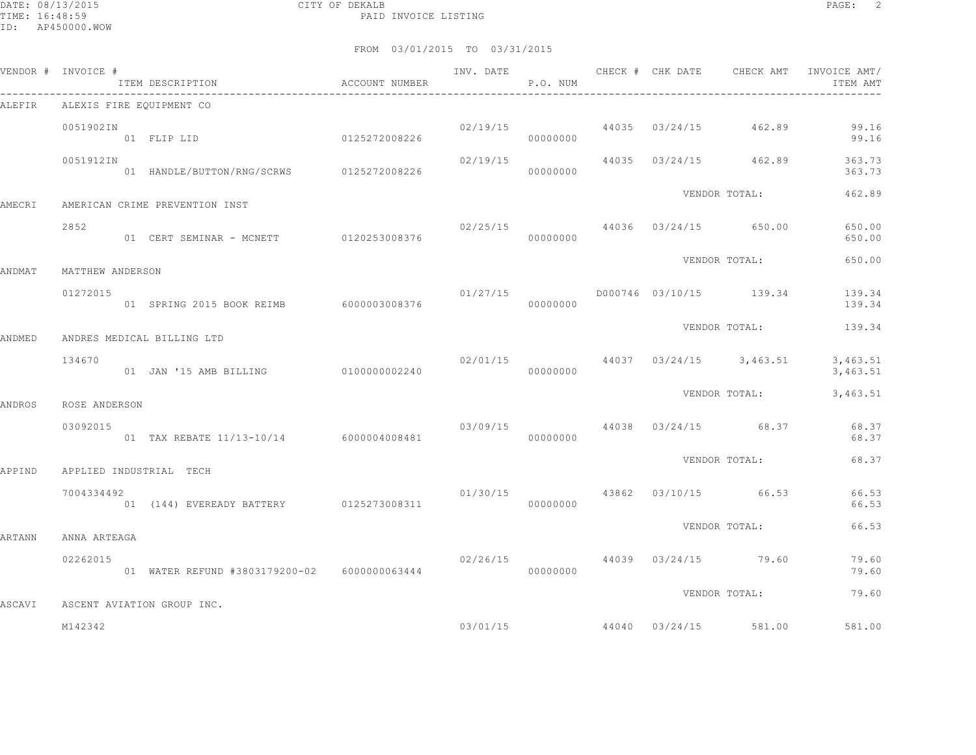DATE: 08/13/2015 CITY OF DEKALB PAGE: 2 PAID INVOICE LISTING

| VENDOR # INVOICE # |                  | ITEM DESCRIPTION ACCOUNT NUMBER              |          | P.O. NUM |  |                                       | INV. DATE 6 1997 CHECK # CHK DATE 6 CHECK AMT INVOICE AMT<br>ITEM AMT |
|--------------------|------------------|----------------------------------------------|----------|----------|--|---------------------------------------|-----------------------------------------------------------------------|
| ALEFIR             |                  | ALEXIS FIRE EQUIPMENT CO                     |          |          |  |                                       |                                                                       |
|                    | 0051902IN        | 0125272008226<br>01 FLIP LID 0125272008226   |          | 00000000 |  | $02/19/15$ 44035 $03/24/15$ 462.89    | 99.16<br>99.16                                                        |
|                    | 0051912IN        | 01 HANDLE/BUTTON/RNG/SCRWS 0125272008226     |          | 00000000 |  | $02/19/15$ 44035 $03/24/15$ 462.89    | 363.73<br>363.73                                                      |
| AMECRI             |                  | AMERICAN CRIME PREVENTION INST               |          |          |  | VENDOR TOTAL:                         | 462.89                                                                |
|                    | 2852             | 01 CERT SEMINAR - MCNETT 0120253008376       |          | 00000000 |  | $02/25/15$ 44036 $03/24/15$ 650.00    | 650.00<br>650.00                                                      |
| ANDMAT             | MATTHEW ANDERSON |                                              |          |          |  | VENDOR TOTAL:                         | 650.00                                                                |
|                    | 01272015         | 01 SPRING 2015 BOOK REIMB 6000003008376      |          | 00000000 |  | $01/27/15$ D000746 03/10/15 139.34    | 139.34<br>139.34                                                      |
| ANDMED             |                  | ANDRES MEDICAL BILLING LTD                   |          |          |  | VENDOR TOTAL:                         | 139.34                                                                |
|                    | 134670           | 01 JAN '15 AMB BILLING 0100000002240         | 02/01/15 | 00000000 |  | 44037 03/24/15 3,463.51               | 3,463.51<br>3,463.51                                                  |
|                    | ROSE ANDERSON    |                                              |          |          |  | VENDOR TOTAL:                         | 3,463.51                                                              |
| ANDROS             | 03092015         | 01 TAX REBATE 11/13-10/14 6000004008481      | 00000000 |          |  | $03/09/15$ 44038 $03/24/15$ 68.37     | 68.37<br>68.37                                                        |
| APPIND             |                  | APPLIED INDUSTRIAL TECH                      |          |          |  | VENDOR TOTAL:                         | 68.37                                                                 |
|                    | 7004334492       | 01 (144) EVEREADY BATTERY 0125273008311      |          | 00000000 |  | $01/30/15$ $43862$ $03/10/15$ $66.53$ | 66.53<br>66.53                                                        |
| ARTANN             | ANNA ARTEAGA     |                                              |          |          |  | VENDOR TOTAL:                         | 66.53                                                                 |
|                    | 02262015         | 01 WATER REFUND #3803179200-02 6000000063444 |          | 00000000 |  | 02/26/15 44039 03/24/15 79.60         | 79.60<br>79.60                                                        |
| ASCAVI             |                  | ASCENT AVIATION GROUP INC.                   |          |          |  | VENDOR TOTAL:                         | 79.60                                                                 |
|                    | M142342          |                                              |          | 03/01/15 |  | 44040 03/24/15 581.00                 | 581.00                                                                |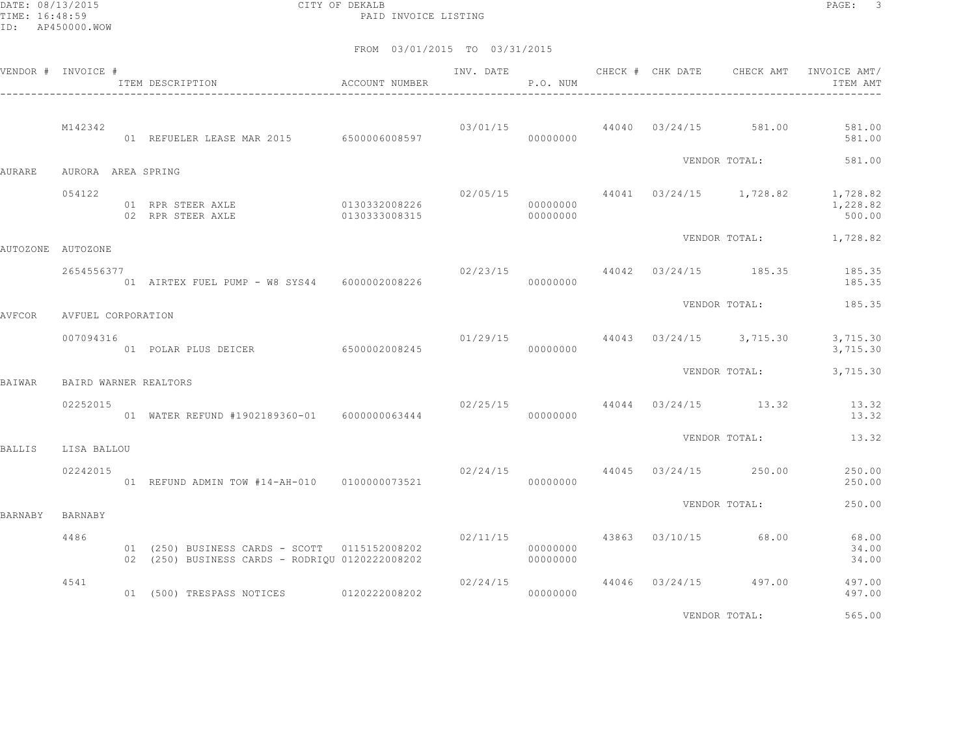DATE: 08/13/2015 CITY OF DEKALB PAGE: 3 PAID INVOICE LISTING

|         | VENDOR # INVOICE #    | ITEM DESCRIPTION                                                                                 | ACCOUNT NUMBER                 |          | P.O. NUM             |  |                                        | INVOICE AMT/<br>ITEM AMT                                                  |
|---------|-----------------------|--------------------------------------------------------------------------------------------------|--------------------------------|----------|----------------------|--|----------------------------------------|---------------------------------------------------------------------------|
|         | M142342               | 01 REFUELER LEASE MAR 2015 6500006008597                                                         |                                |          | 00000000             |  | $03/01/15$ $44040$ $03/24/15$ $581.00$ | 581.00<br>581.00                                                          |
| AURARE  | AURORA AREA SPRING    |                                                                                                  |                                |          |                      |  |                                        | VENDOR TOTAL: 581.00                                                      |
|         | 054122                | 01 RPR STEER AXLE<br>02 RPR STEER AXLE                                                           | 0130332008226<br>0130333008315 |          | 00000000<br>00000000 |  |                                        | $02/05/15$ $44041$ $03/24/15$ $1,728.82$ $1,728.82$<br>1,228.82<br>500.00 |
|         | AUTOZONE AUTOZONE     |                                                                                                  |                                |          |                      |  |                                        | VENDOR TOTAL: 1,728.82                                                    |
|         | 2654556377            |                                                                                                  |                                |          |                      |  | $02/23/15$ $44042$ $03/24/15$ $185.35$ | 185.35<br>185.35                                                          |
| AVFCOR  | AVFUEL CORPORATION    |                                                                                                  |                                |          |                      |  |                                        | VENDOR TOTAL: 185.35                                                      |
|         | 007094316             | 01 POLAR PLUS DEICER 6500002008245                                                               |                                |          | 00000000             |  | $01/29/15$ 44043 $03/24/15$ 3,715.30   | 3,715.30<br>3,715.30                                                      |
| BAIWAR  | BAIRD WARNER REALTORS |                                                                                                  |                                |          |                      |  | VENDOR TOTAL:                          | 3,715.30                                                                  |
|         | 02252015              | 01 WATER REFUND #1902189360-01 6000000063444 000000000 00000000                                  |                                |          |                      |  | $02/25/15$ 44044 03/24/15 13.32        | 13.32<br>13.32                                                            |
| BALLIS  | LISA BALLOU           |                                                                                                  |                                |          |                      |  |                                        | VENDOR TOTAL: 13.32                                                       |
|         | 02242015              | 01 REFUND ADMIN TOW #14-AH-010 0100000073521                                                     |                                |          | 00000000             |  | $02/24/15$ $44045$ $03/24/15$ $250.00$ | 250.00<br>250.00                                                          |
| BARNABY | BARNABY               |                                                                                                  |                                |          |                      |  | VENDOR TOTAL:                          | 250.00                                                                    |
|         | 4486                  | 01 (250) BUSINESS CARDS - SCOTT 0115152008202<br>02 (250) BUSINESS CARDS - RODRIQU 0120222008202 |                                |          | 00000000<br>00000000 |  | 02/11/15 43863 03/10/15 68.00          | 68.00<br>34.00<br>34.00                                                   |
|         | 4541                  | 01 (500) TRESPASS NOTICES 0120222008202                                                          |                                | 02/24/15 | 00000000             |  | 44046 03/24/15 497.00                  | 497.00<br>497.00                                                          |
|         |                       |                                                                                                  |                                |          |                      |  | VENDOR TOTAL:                          | 565.00                                                                    |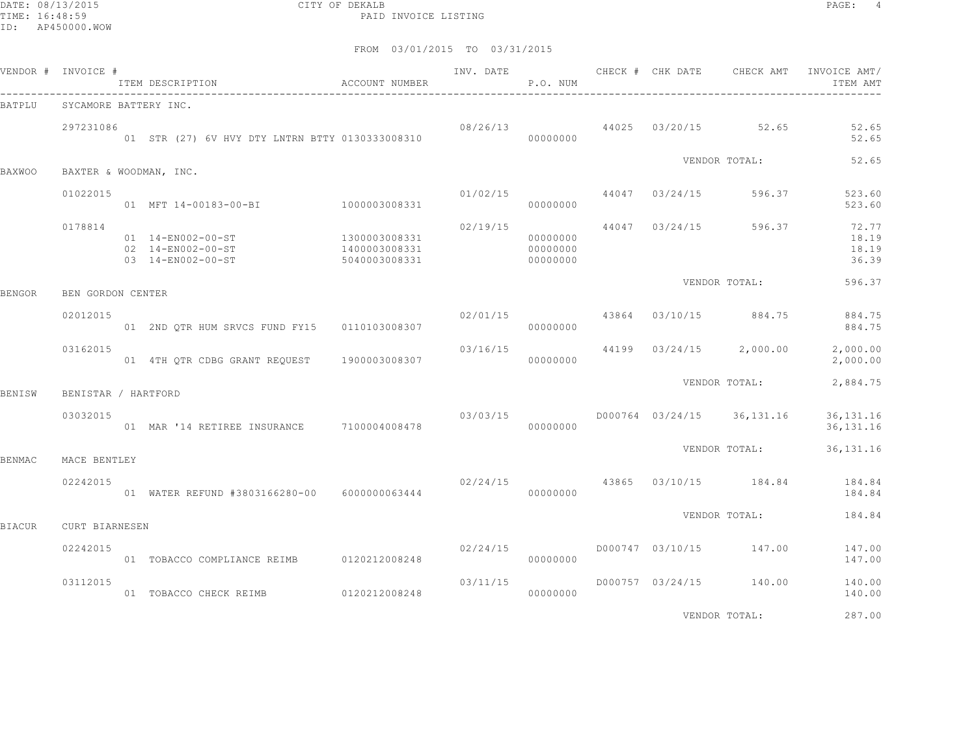DATE: 08/13/2015 CITY OF DEKALB PAGE: 4 PAID INVOICE LISTING

|        | VENDOR # INVOICE #  | ITEM DESCRIPTION CONTROLLER ACCOUNT NUMBER                  |                                                 |                | P.O. NUM                         |  | INV. DATE 6 CHECK # CHK DATE CHECK AMT INVOICE AMT/ | ITEM AMT                         |
|--------|---------------------|-------------------------------------------------------------|-------------------------------------------------|----------------|----------------------------------|--|-----------------------------------------------------|----------------------------------|
| BATPLU |                     | SYCAMORE BATTERY INC.                                       |                                                 |                |                                  |  |                                                     |                                  |
|        | 297231086           |                                                             |                                                 |                |                                  |  | $08/26/13$ 44025 03/20/15 52.65                     | 52.65<br>52.65                   |
| BAXWOO |                     | BAXTER & WOODMAN, INC.                                      |                                                 |                |                                  |  | VENDOR TOTAL:                                       | 52.65                            |
|        | 01022015            | 01 MFT 14-00183-00-BI 1000003008331                         |                                                 | 01/02/15       | 00000000                         |  | 44047 03/24/15 596.37                               | 523.60<br>523.60                 |
|        | 0178814             | 01 14-EN002-00-ST<br>02 14-EN002-00-ST<br>03 14-EN002-00-ST | 1300003008331<br>1400003008331<br>5040003008331 | 02/19/15       | 00000000<br>00000000<br>00000000 |  | 44047 03/24/15 596.37                               | 72.77<br>18.19<br>18.19<br>36.39 |
| BENGOR | BEN GORDON CENTER   |                                                             |                                                 |                |                                  |  | VENDOR TOTAL:                                       | 596.37                           |
|        | 02012015            | 01 2ND QTR HUM SRVCS FUND FY15 0110103008307                |                                                 | 02/01/15 43864 | 00000000                         |  | 03/10/15 884.75                                     | 884.75<br>884.75                 |
|        | 03162015            | 01  4TH OTR CDBG GRANT REOUEST  1900003008307               |                                                 |                | 00000000                         |  | $03/16/15$ 44199 $03/24/15$ 2,000.00                | 2,000.00<br>2,000.00             |
| BENISW | BENISTAR / HARTFORD |                                                             |                                                 |                |                                  |  | VENDOR TOTAL:                                       | 2,884.75                         |
|        | 03032015            | 01 MAR '14 RETIREE INSURANCE 7100004008478                  |                                                 | 03/03/15       | 00000000                         |  | D000764 03/24/15 36,131.16                          | 36, 131. 16<br>36, 131. 16       |
| BENMAC | MACE BENTLEY        |                                                             |                                                 |                |                                  |  | VENDOR TOTAL:                                       | 36, 131. 16                      |
|        | 02242015            | 01 WATER REFUND #3803166280-00 6000000063444                |                                                 |                | 00000000                         |  | $02/24/15$ 43865 03/10/15 184.84                    | 184.84<br>184.84                 |
| BIACUR | CURT BIARNESEN      |                                                             |                                                 |                |                                  |  | VENDOR TOTAL:                                       | 184.84                           |
|        | 02242015            | 01 TOBACCO COMPLIANCE REIMB   0120212008248                 |                                                 | 02/24/15       | 00000000                         |  | D000747 03/10/15 147.00                             | 147.00<br>147.00                 |
|        | 03112015            | 01 TOBACCO CHECK REIMB 0120212008248                        |                                                 | 03/11/15       | 00000000                         |  | D000757 03/24/15 140.00                             | 140.00<br>140.00                 |
|        |                     |                                                             |                                                 |                |                                  |  | VENDOR TOTAL:                                       | 287.00                           |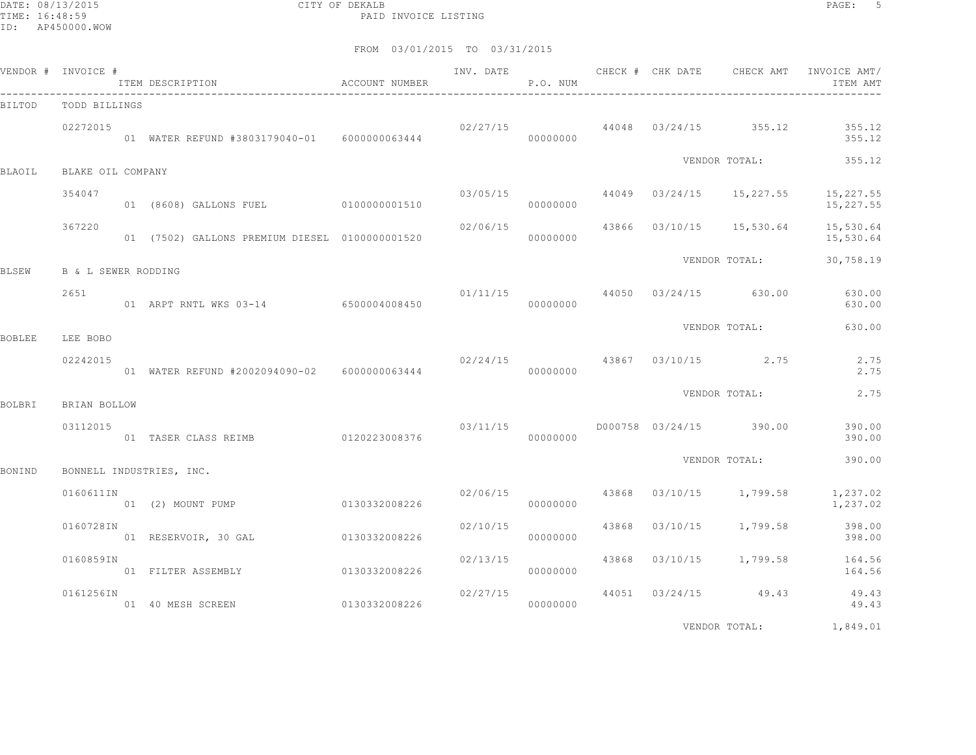DATE: 08/13/2015 CITY OF DEKALB PAGE: 5 PAID INVOICE LISTING

|               | VENDOR # INVOICE #       | ITEM DESCRIPTION                                | ACCOUNT NUMBER | INV. DATE | P.O. NUM             |       |          | CHECK # CHK DATE CHECK AMT           | INVOICE AMT/<br>ITEM AMT                        |
|---------------|--------------------------|-------------------------------------------------|----------------|-----------|----------------------|-------|----------|--------------------------------------|-------------------------------------------------|
| BILTOD        | TODD BILLINGS            |                                                 |                |           |                      |       |          |                                      |                                                 |
|               | 02272015                 | 01 WATER REFUND #3803179040-01 6000000063444    |                |           | 00000000             |       |          | $02/27/15$ 44048 03/24/15 355.12     | 355.12<br>355.12                                |
| <b>BLAOIL</b> | BLAKE OIL COMPANY        |                                                 |                |           |                      |       |          | VENDOR TOTAL:                        | 355.12                                          |
|               | 354047                   | 01 (8608) GALLONS FUEL 0100000001510            |                |           | 03/05/15<br>00000000 |       |          |                                      | 44049 03/24/15 15,227.55 15,227.55<br>15,227.55 |
|               | 367220                   | 01 (7502) GALLONS PREMIUM DIESEL 0100000001520  |                | 02/06/15  | 00000000             |       |          | 43866 03/10/15 15,530.64             | 15,530.64<br>15,530.64                          |
| BLSEW         | B & L SEWER RODDING      |                                                 |                |           |                      |       |          | VENDOR TOTAL:                        | 30,758.19                                       |
|               | 2651                     | 01 ARPT RNTL WKS 03-14 6500004008450            |                |           | 00000000             |       |          | $01/11/15$ 44050 03/24/15 630.00     | 630.00<br>630.00                                |
| BOBLEE        | LEE BOBO                 |                                                 |                |           |                      |       |          | VENDOR TOTAL:                        | 630.00                                          |
|               | 02242015                 | 01 WATER REFUND #2002094090-02    6000000063444 |                |           | 00000000             |       |          | $02/24/15$ $43867$ $03/10/15$ $2.75$ | 2.75<br>2.75                                    |
|               |                          |                                                 |                |           |                      |       |          | VENDOR TOTAL:                        | 2.75                                            |
| BOLBRI        | BRIAN BOLLOW<br>03112015 | 01 TASER CLASS REIMB 0120223008376              |                | 03/11/15  | 00000000             |       |          | D000758 03/24/15 390.00              | 390.00<br>390.00                                |
| BONIND        |                          | BONNELL INDUSTRIES, INC.                        |                |           |                      |       |          | VENDOR TOTAL:                        | 390.00                                          |
|               | 0160611IN                | 01 (2) MOUNT PUMP                               | 0130332008226  | 02/06/15  | 00000000             |       |          | 43868 03/10/15 1,799.58              | 1,237.02<br>1,237.02                            |
|               | 0160728IN                | 01 RESERVOIR, 30 GAL 0130332008226              |                | 02/10/15  | 00000000             | 43868 | 03/10/15 | 1,799.58                             | 398.00<br>398.00                                |
|               | 0160859IN                | 01 FILTER ASSEMBLY                              | 0130332008226  | 02/13/15  | 00000000             |       |          | 43868 03/10/15 1,799.58              | 164.56<br>164.56                                |
|               | 0161256IN                | 01 40 MESH SCREEN                               | 0130332008226  | 02/27/15  | 00000000             |       |          | 44051 03/24/15 49.43                 | 49.43<br>49.43                                  |
|               |                          |                                                 |                |           |                      |       |          | VENDOR TOTAL:                        | 1,849.01                                        |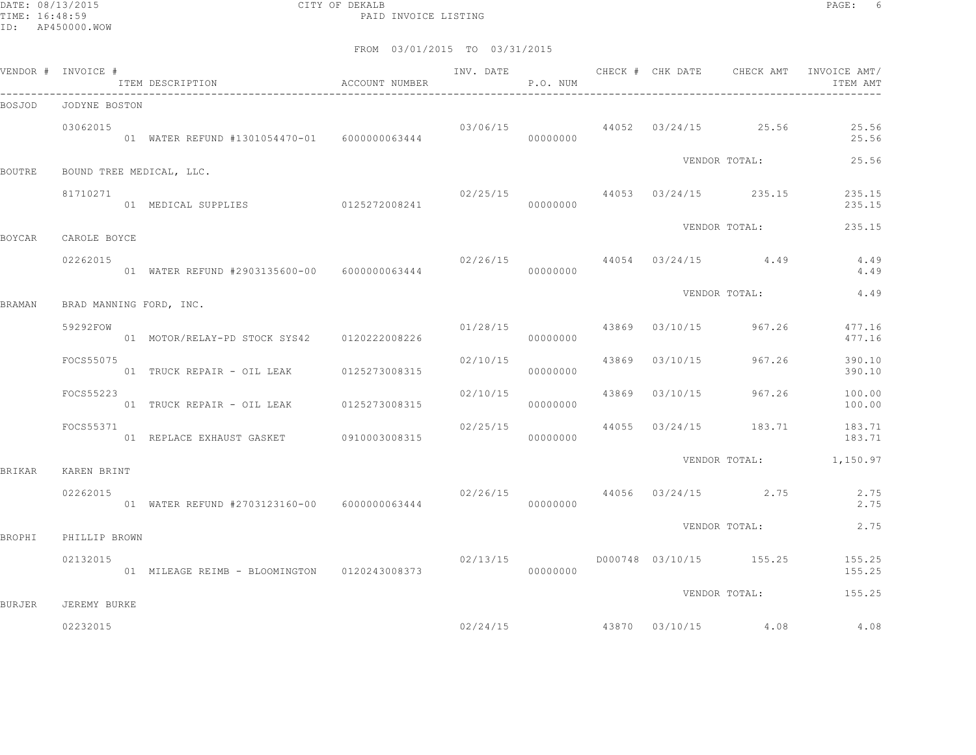DATE: 08/13/2015 CITY OF DEKALB PAGE: 6 PAID INVOICE LISTING

| VENDOR # INVOICE # |               | ITEM DESCRIPTION<br>$\hfill$<br>ACCOUNT NUMBER  |          | P.O. NUM |  |                                      | ITEM AMT                                 |
|--------------------|---------------|-------------------------------------------------|----------|----------|--|--------------------------------------|------------------------------------------|
| BOSJOD             | JODYNE BOSTON |                                                 |          |          |  |                                      |                                          |
|                    | 03062015      | 01 WATER REFUND #1301054470-01    6000000063444 |          | 00000000 |  | $03/06/15$ 44052 03/24/15 25.56      | 25.56<br>25.56                           |
| <b>BOUTRE</b>      |               | BOUND TREE MEDICAL, LLC.                        |          |          |  | VENDOR TOTAL:                        | 25.56                                    |
|                    | 81710271      | 01 MEDICAL SUPPLIES 0125272008241               |          | 00000000 |  | $02/25/15$ 44053 $03/24/15$ 235.15   | 235.15<br>235.15                         |
| <b>BOYCAR</b>      | CAROLE BOYCE  |                                                 |          |          |  | VENDOR TOTAL:                        | 235.15                                   |
|                    | 02262015      | 01 WATER REFUND #2903135600-00 6000000063444    |          | 00000000 |  | $02/26/15$ 44054 $03/24/15$ 4.49     | 4.49<br>4.49                             |
| <b>BRAMAN</b>      |               | BRAD MANNING FORD, INC.                         |          |          |  | VENDOR TOTAL:                        | 4.49                                     |
|                    | 59292FOW      | 01 MOTOR/RELAY-PD STOCK SYS42 0120222008226     |          | 00000000 |  | $01/28/15$ 43869 03/10/15 967.26     | 477.16<br>477.16                         |
|                    | FOCS55075     | 01 TRUCK REPAIR - OIL LEAK 0125273008315        | 02/10/15 | 00000000 |  | 43869 03/10/15 967.26                | 390.10<br>390.10                         |
|                    | FOCS55223     | 01 TRUCK REPAIR - OIL LEAK 0125273008315        | 02/10/15 | 00000000 |  |                                      | 43869 03/10/15 967.26 100.00<br>100.00   |
|                    | FOCS55371     | 01 REPLACE EXHAUST GASKET 0910003008315         | 02/25/15 | 00000000 |  | 44055 03/24/15 183.71                | 183.71<br>183.71                         |
| <b>BRIKAR</b>      | KAREN BRINT   |                                                 |          |          |  |                                      | VENDOR TOTAL: 1,150.97                   |
|                    | 02262015      | 01 WATER REFUND #2703123160-00 6000000063444    |          | 00000000 |  | $02/26/15$ 44056 03/24/15 2.75       | 2.75<br>2.75                             |
| <b>BROPHI</b>      | PHILLIP BROWN |                                                 |          |          |  | VENDOR TOTAL:                        | 2.75                                     |
|                    | 02132015      | 01 MILEAGE REIMB - BLOOMINGTON 0120243008373    | 02/13/15 | 00000000 |  |                                      | D000748 03/10/15 155.25 155.25<br>155.25 |
| <b>BURJER</b>      | JEREMY BURKE  |                                                 |          |          |  |                                      | VENDOR TOTAL: 155.25                     |
|                    | 02232015      |                                                 |          |          |  | $02/24/15$ $43870$ $03/10/15$ $4.08$ | 4.08                                     |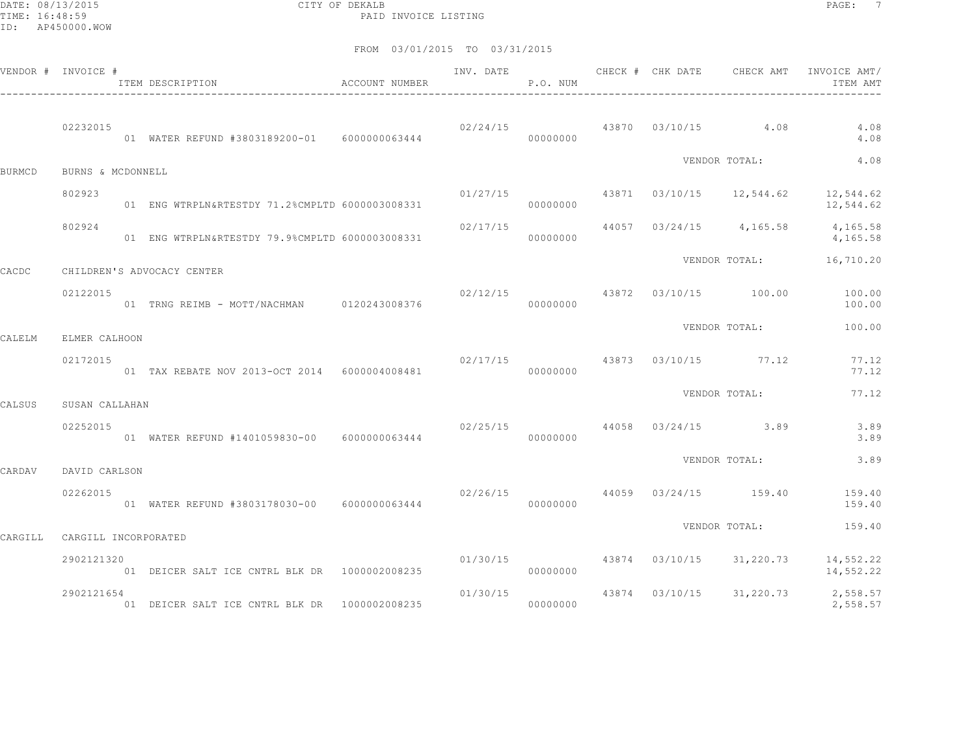DATE: 08/13/2015 CITY OF DEKALB PAGE: 7 PAID INVOICE LISTING

|         | VENDOR # INVOICE #   | ACCOUNT NUMBER<br>ITEM DESCRIPTION              |                                 | P.O. NUM |  | INV. DATE 6 CHECK # CHK DATE CHECK AMT | INVOICE AMT/<br>ITEM AMT                                           |
|---------|----------------------|-------------------------------------------------|---------------------------------|----------|--|----------------------------------------|--------------------------------------------------------------------|
|         | 02232015             | 01 WATER REFUND #3803189200-01 6000000063444    |                                 | 00000000 |  | $02/24/15$ 43870 $03/10/15$ 4.08       | 4.08<br>4.08                                                       |
| BURMCD  | BURNS & MCDONNELL    |                                                 |                                 |          |  | VENDOR TOTAL:                          | 4.08                                                               |
|         | 802923               | 01 ENG WTRPLN&RTESTDY 71.2%CMPLTD 6000003008331 | 01/27/15                        | 00000000 |  |                                        | 43871 03/10/15 12,544.62 12,544.62<br>12,544.62                    |
|         | 802924               | 01 ENG WTRPLN&RTESTDY 79.9%CMPLTD 6000003008331 |                                 | 00000000 |  |                                        | $02/17/15$ 44057 03/24/15 4,165.58 4,165.58<br>4,165.58            |
| CACDC   |                      | CHILDREN'S ADVOCACY CENTER                      |                                 |          |  |                                        | VENDOR TOTAL: 16,710.20                                            |
|         | 02122015             | 01 TRNG REIMB - MOTT/NACHMAN 0120243008376      |                                 | 00000000 |  |                                        | $02/12/15$ $43872$ $03/10/15$ $100.00$ $100.00$<br>100.00          |
| CALELM  | ELMER CALHOON        |                                                 |                                 |          |  | VENDOR TOTAL:                          | 100.00                                                             |
|         | 02172015             | 01 TAX REBATE NOV 2013-OCT 2014 6000004008481   | $02/17/15$ 43873 03/10/15 77.12 | 00000000 |  |                                        | 77.12<br>77.12                                                     |
| CALSUS  | SUSAN CALLAHAN       |                                                 |                                 |          |  | VENDOR TOTAL:                          | 77.12                                                              |
|         | 02252015             | 01 WATER REFUND #1401059830-00 6000000063444    |                                 | 00000000 |  | $02/25/15$ 44058 03/24/15 3.89         | 3.89<br>3.89                                                       |
| CARDAV  | DAVID CARLSON        |                                                 |                                 |          |  | VENDOR TOTAL:                          | 3.89                                                               |
|         | 02262015             | 01 WATER REFUND #3803178030-00 6000000063444    |                                 | 00000000 |  | $02/26/15$ $44059$ $03/24/15$ $159.40$ | 159.40<br>159.40                                                   |
| CARGILL | CARGILL INCORPORATED |                                                 |                                 |          |  | VENDOR TOTAL:                          | 159.40                                                             |
|         | 2902121320           | 01 DEICER SALT ICE CNTRL BLK DR 1000002008235   |                                 | 00000000 |  |                                        | $01/30/15$ $43874$ $03/10/15$ $31,220.73$ $14,552.22$<br>14,552.22 |
|         | 2902121654           | 01 DEICER SALT ICE CNTRL BLK DR 1000002008235   | 01/30/15                        | 00000000 |  |                                        | 43874 03/10/15 31,220.73 2,558.57<br>2,558.57                      |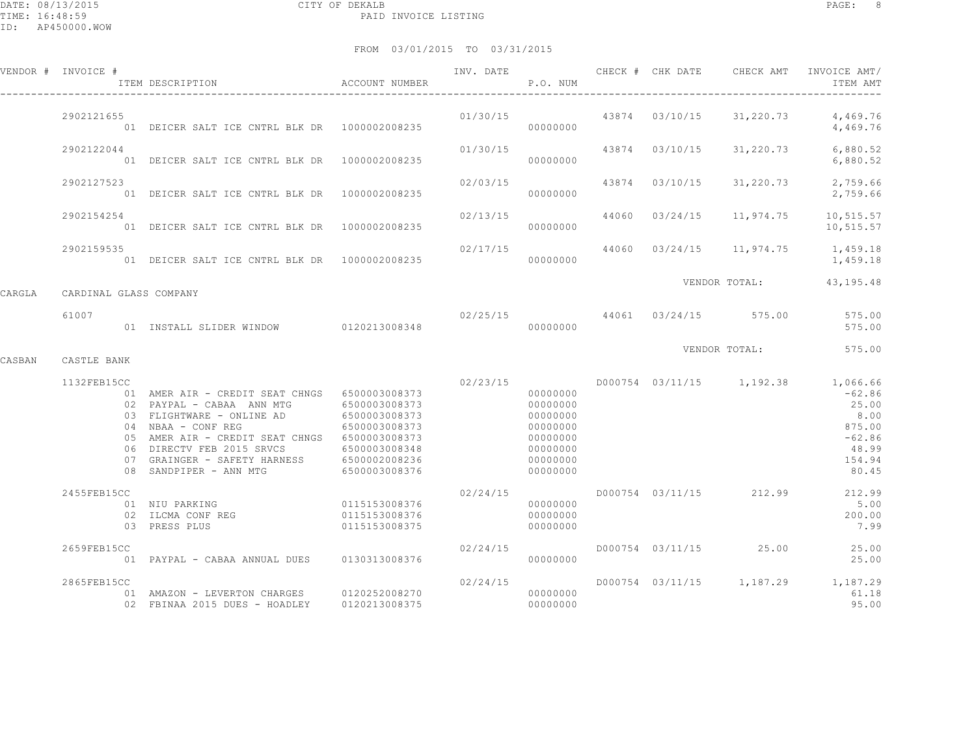|        | VENDOR # INVOICE #     | ITEM DESCRIPTION                                                                                                                                                                                                                                                                                                                                          | ACCOUNT NUMBER                                  |          | P.O. NUM                                                                                     |                |           | INV. DATE 6 1997 CHECK # CHK DATE 6 CHECK AMT INVOICE AMT<br>ITEM AMT                                             |
|--------|------------------------|-----------------------------------------------------------------------------------------------------------------------------------------------------------------------------------------------------------------------------------------------------------------------------------------------------------------------------------------------------------|-------------------------------------------------|----------|----------------------------------------------------------------------------------------------|----------------|-----------|-------------------------------------------------------------------------------------------------------------------|
|        | 2902121655             | 01 DEICER SALT ICE CNTRL BLK DR 1000002008235                                                                                                                                                                                                                                                                                                             |                                                 |          |                                                                                              |                |           | $01/30/15$ 43874 $03/10/15$ 31, 220.73 4, 469.76<br>4,469.76                                                      |
|        | 2902122044             | 01 DEICER SALT ICE CNTRL BLK DR 1000002008235                                                                                                                                                                                                                                                                                                             |                                                 | 01/30/15 | 00000000                                                                                     | 43874 03/10/15 | 31,220.73 | 6,880.52<br>6,880.52                                                                                              |
|        | 2902127523             |                                                                                                                                                                                                                                                                                                                                                           |                                                 | 02/03/15 | 00000000                                                                                     | 43874 03/10/15 |           | 31,220.73 2,759.66<br>2,759.66                                                                                    |
|        | 2902154254             | 01 DEICER SALT ICE CNTRL BLK DR 1000002008235                                                                                                                                                                                                                                                                                                             |                                                 |          | 00000000                                                                                     |                |           | $02/13/15$ $44060$ $03/24/15$ $11,974.75$ $10,515.57$<br>10,515.57                                                |
|        | 2902159535             | 01 DEICER SALT ICE CNTRL BLK DR 1000002008235                                                                                                                                                                                                                                                                                                             |                                                 |          | 00000000                                                                                     |                |           | $02/17/15$ 44060 $03/24/15$ 11,974.75 1,459.18<br>1,459.18                                                        |
| CARGLA | CARDINAL GLASS COMPANY |                                                                                                                                                                                                                                                                                                                                                           |                                                 |          |                                                                                              |                |           | VENDOR TOTAL: 43,195.48                                                                                           |
|        | 61007                  | 01 INSTALL SLIDER WINDOW 0120213008348                                                                                                                                                                                                                                                                                                                    |                                                 |          | 00000000                                                                                     |                |           | 02/25/15 44061 03/24/15 575.00 575.00<br>575.00                                                                   |
| CASBAN | CASTLE BANK            |                                                                                                                                                                                                                                                                                                                                                           |                                                 |          |                                                                                              |                |           | VENDOR TOTAL: 575.00                                                                                              |
|        | 1132FEB15CC            | 01 AMER AIR - CREDIT SEAT CHNGS 6500003008373<br>02 PAYPAL - CABAA ANN MTG 6500003008373<br>03 FLIGHTWARE - ONLINE AD 6500003008373<br>04 NBAA - CONF REG 6500003008373<br>05 AMER AIR - CREDIT SEAT CHNGS 6500003008373<br>06 DIRECTV FEB 2015 SRVCS 6500003008348<br>07 GRAINGER - SAFETY HARNESS 6500002008236<br>08 SANDPIPER - ANN MTG 6500003008376 |                                                 | 02/23/15 | 00000000<br>00000000<br>00000000<br>00000000<br>00000000<br>00000000<br>00000000<br>00000000 |                |           | D000754 03/11/15 1,192.38 1,066.66<br>$-62.86$<br>25.00<br>8.00<br>875.00<br>$-62.86$<br>48.99<br>154.94<br>80.45 |
|        | 2455FEB15CC            | 01 NIU PARKING<br>02 TICMA CONF REG<br>02 ILCMA CONF REG<br>03 PRESS PLUS                                                                                                                                                                                                                                                                                 | 0115153008376<br>0115153008376<br>0115153008375 | 02/24/15 | 00000000<br>00000000<br>00000000                                                             |                |           | D000754 03/11/15 212.99 212.99<br>5.00<br>200.00<br>7.99                                                          |
|        | 2659FEB15CC            | 01  PAYPAL - CABAA ANNUAL DUES   0130313008376                                                                                                                                                                                                                                                                                                            |                                                 | 02/24/15 | 00000000                                                                                     |                |           | D000754 03/11/15 25.00 25.00<br>25.00                                                                             |
|        | 2865FEB15CC            |                                                                                                                                                                                                                                                                                                                                                           |                                                 | 02/24/15 |                                                                                              |                |           | D000754 03/11/15 1,187.29 1,187.29<br>61.18<br>95.00                                                              |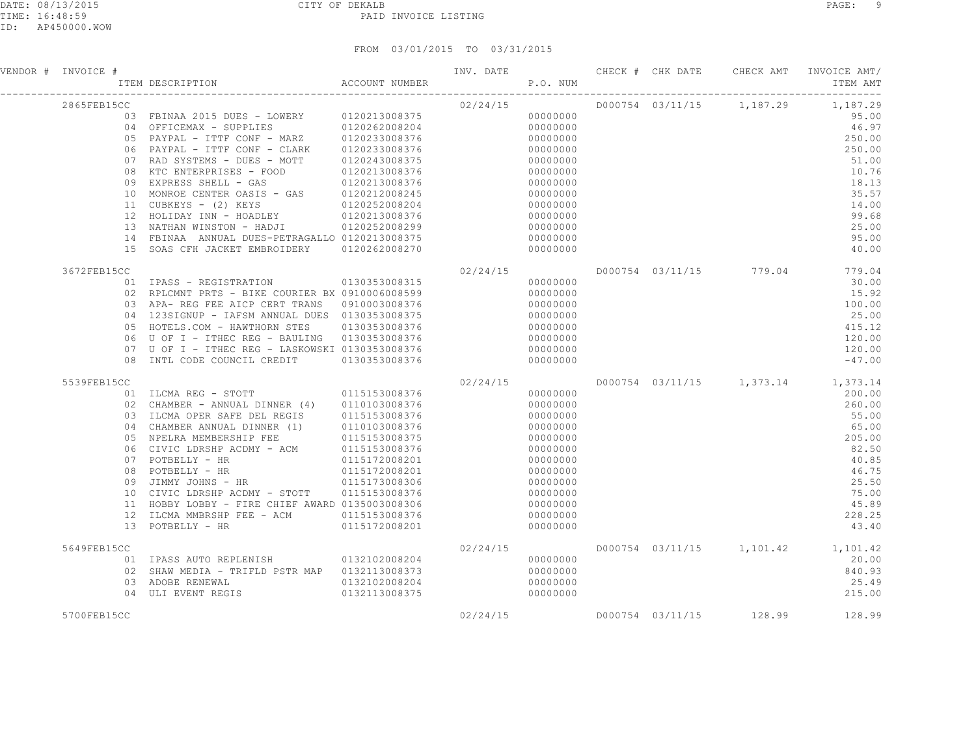| VENDOR # INVOICE # | FREE SEPARATION ACCOUNT NUMBER AND THEM DESCRIPTION                                                                                                                                                                                                                                                                                                                                                                                                                                                                                                              |                                | P.O. NUM |                                                                                                                                                          |  |                         | INV. DATE 6 CHECK # CHK DATE CHECK AMT INVOICE AMT/<br>ITEM AMT                                                                                             |
|--------------------|------------------------------------------------------------------------------------------------------------------------------------------------------------------------------------------------------------------------------------------------------------------------------------------------------------------------------------------------------------------------------------------------------------------------------------------------------------------------------------------------------------------------------------------------------------------|--------------------------------|----------|----------------------------------------------------------------------------------------------------------------------------------------------------------|--|-------------------------|-------------------------------------------------------------------------------------------------------------------------------------------------------------|
| 2865FEB15CC        | 03 FBINAA 2015 DUES - LOWERY 0120213008375<br>04 OFFICEMAX - SUPPLIES 0120262008204<br>05 PAYPAL - ITTE CONF - MARZ 0120233008376<br>06 PAYPAL - ITTF CONF - CLARK 0120233008376<br>07 RAD SYSTEMS - DUES - MOTT<br>08 KTC ENTERPRISES - FOOD 0120213008376<br>09 EXPRESS SHELL - GAS 0120213008376<br>10 MONROE CENTER OASIS - GAS 0120212008245<br>11 CUBKEYS - (2) KEYS 0120252008204<br>12 HOLIDAY INN - HOADLEY 0120213008376<br>13 NATHAN WINSTON - HADJI<br>14 FBINAA ANNUAL DUES-PETRAGALLO 0120213008375<br>15 SOAS CFH JACKET EMBROIDERY 0120262008270 | 0120243008375<br>0120252008299 | 02/24/15 | 00000000<br>00000000<br>00000000<br>00000000<br>00000000<br>00000000<br>00000000<br>00000000<br>00000000<br>00000000<br>00000000<br>00000000<br>00000000 |  |                         | D000754 03/11/15 1,187.29 1,187.29<br>95.00<br>46.97<br>250.00<br>250.00<br>51.00<br>10.76<br>18.13<br>35.57<br>14.00<br>99.68<br>25.00<br>95.00<br>40.00   |
| 3672FEB15CC        | 01    IPASS - REGISTRATION    0130353008315<br>02 RPLCMNT PRTS - BIKE COURIER BX 0910006008599<br>03 APA- REG FEE AICP CERT TRANS   0910003008376<br>04  123SIGNUP - IAFSM ANNUAL DUES  0130353008375<br>05 HOTELS.COM - HAWTHORN STES<br>06 U OF I - ITHEC REG - BAULING 0130353008376<br>07 U OF I - ITHEC REG - LASKOWSKI 0130353008376<br>08 INTL CODE COUNCIL CREDIT 0130353008376                                                                                                                                                                          | 0130353008376                  | 02/24/15 | 00000000<br>00000000<br>00000000<br>00000000<br>00000000<br>00000000<br>00000000<br>00000000                                                             |  | D000754 03/11/15 779.04 | 779.04<br>30.00<br>15.92<br>100.00<br>25.00<br>415.12<br>120.00<br>120.00<br>$-47.00$                                                                       |
| 5539FEB15CC<br>09  | 01 ILCMA REG - STOTT 0115153008376<br>02 CHAMBER - ANNUAL DINNER (4) 0110103008376<br>03 ILCMA OPER SAFE DEL REGIS 0115153008376<br>04 CHAMBER ANNUAL DINNER (1) 0110103008376<br>05 NPELRA MEMBERSHIP FEE 0115153008375<br>06 CIVIC LDRSHP ACDMY - ACM 0115153008376<br>07 POTBELLY - HR 0115172008201<br>08 POTBELLY - HR 01<br>JIMMY JOHNS - HR<br>10 CIVIC LDRSHP ACDMY - STOTT 0115153008376<br>11 HOBBY LOBBY - FIRE CHIEF AWARD 0135003008306<br>12 ILCMA MMBRSHP FEE - ACM 0115153008376<br>13 POTBELLY - HR                                             | 0115173008306<br>0115172008201 | 02/24/15 | 00000000<br>00000000<br>00000000<br>00000000<br>00000000<br>00000000<br>00000000<br>00000000<br>00000000<br>00000000<br>00000000<br>00000000<br>00000000 |  |                         | D000754 03/11/15 1,373.14 1,373.14<br>200.00<br>260.00<br>55.00<br>65.00<br>205.00<br>82.50<br>40.85<br>46.75<br>25.50<br>75.00<br>45.89<br>228.25<br>43.40 |
| 5649FEB15CC        | 01 TPASS AUTO REPLENISH 0132102008204<br>02 SHAW MEDIA - TRIFLD PSTR MAP 0132113008373<br>03 ADOBE RENEWAL 0132102008204<br>04 ULI EVENT REGIS                                                                                                                                                                                                                                                                                                                                                                                                                   | 0132113008375                  | 02/24/15 | 00000000<br>00000000<br>00000000<br>00000000                                                                                                             |  |                         | D000754 03/11/15 1,101.42 1,101.42<br>20.00<br>840.93<br>25.49<br>215.00                                                                                    |
| 5700FEB15CC        |                                                                                                                                                                                                                                                                                                                                                                                                                                                                                                                                                                  |                                | 02/24/15 |                                                                                                                                                          |  | D000754 03/11/15 128.99 | 128.99                                                                                                                                                      |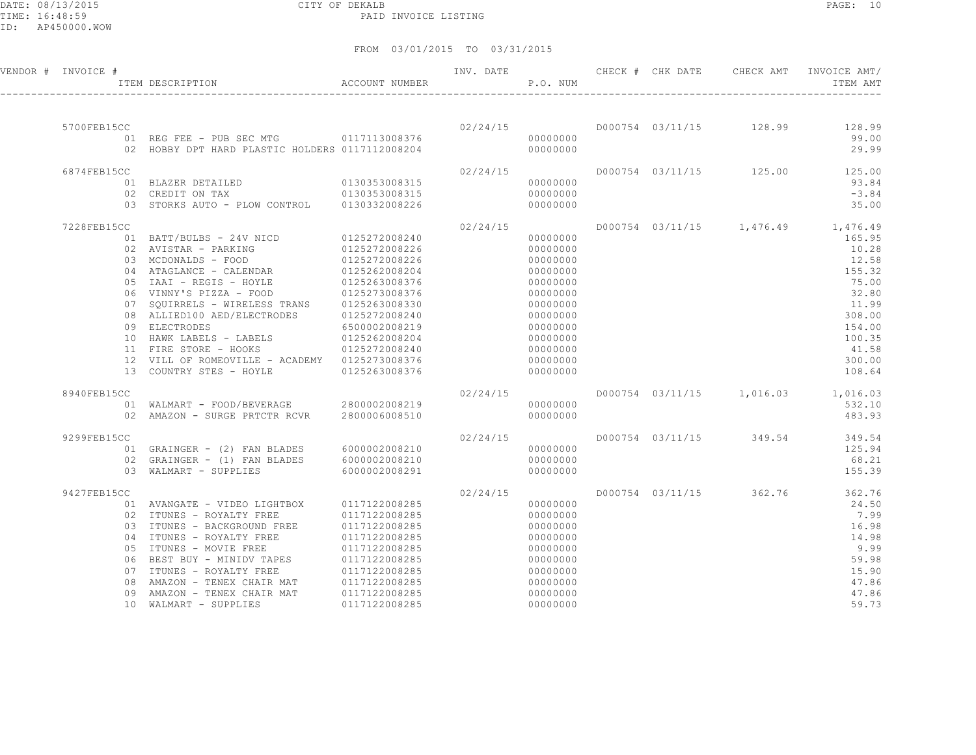DATE: 08/13/2015 CITY OF DEKALB PAGE: 10 PAID INVOICE LISTING

ID: AP450000.WOW

| VENDOR # INVOICE # |    | ITEM DESCRIPTION                                                         | ACCOUNT NUMBER | INV. DATE | P.O. NUM             |  | CHECK # CHK DATE CHECK AMT | INVOICE AMT/<br>ITEM AMT           |
|--------------------|----|--------------------------------------------------------------------------|----------------|-----------|----------------------|--|----------------------------|------------------------------------|
|                    |    |                                                                          |                |           |                      |  |                            |                                    |
| 5700FEB15CC        |    |                                                                          |                | 02/24/15  |                      |  |                            | D000754 03/11/15 128.99 128.99     |
|                    |    | 01 REG FEE - PUB SEC MTG 0117113008376                                   |                |           | 00000000             |  |                            | 99.00                              |
|                    |    | 02 HOBBY DPT HARD PLASTIC HOLDERS 0117112008204                          |                |           | 00000000             |  |                            | 29.99                              |
| 6874FEB15CC        |    |                                                                          |                | 02/24/15  |                      |  |                            | D000754 03/11/15 125.00 125.00     |
|                    |    | 01 BLAZER DETAILED                                                       | 0130353008315  |           | 00000000             |  |                            | 93.84                              |
|                    |    | 02 CREDIT ON TAX                                                         | 0130353008315  |           | 00000000             |  |                            | $-3.84$                            |
|                    |    | 03 STORKS AUTO - PLOW CONTROL 0130332008226                              |                |           | 00000000             |  |                            | 35.00                              |
| 7228FEB15CC        |    |                                                                          |                | 02/24/15  |                      |  |                            | D000754 03/11/15 1,476.49 1,476.49 |
|                    |    | 01 BATT/BULBS - 24V NICD                                                 | 0125272008240  |           | 00000000             |  |                            | 165.95                             |
|                    |    | 02 AVISTAR - PARKING                                                     | 0125272008226  |           | 00000000             |  |                            | 10.28                              |
|                    |    | 03 MCDONALDS - FOOD                                                      | 0125272008226  |           | 00000000             |  |                            | 12.58                              |
|                    |    | 04 ATAGLANCE - CALENDAR                                                  | 0125262008204  |           | 00000000             |  |                            | 155.32                             |
|                    |    | 05 IAAI - REGIS - HOYLE                                                  | 0125263008376  |           | 00000000             |  |                            | 75.00                              |
|                    |    | 06 VINNY'S PIZZA - FOOD                                                  | 0125273008376  |           | 00000000             |  |                            | 32.80                              |
|                    |    | 07 SQUIRRELS - WIRELESS TRANS                                            | 0125263008330  |           | 00000000             |  |                            | 11.99                              |
|                    |    | 08 ALLIED100 AED/ELECTRODES                                              | 0125272008240  |           | 00000000             |  |                            | 308.00                             |
|                    |    | 09 ELECTRODES                                                            | 6500002008219  |           | 00000000             |  |                            | 154.00                             |
|                    |    | 10 HAWK LABELS - LABELS                                                  | 0125262008204  |           | 00000000             |  |                            | 100.35                             |
|                    |    | 11 FIRE STORE - HOOKS                                                    | 0125272008240  |           | 00000000             |  |                            | 41.58                              |
|                    |    | 12 VILL OF ROMEOVILLE - ACADEMY 0125273008376<br>13 COUNTRY STES - HOYLE | 0125263008376  |           | 00000000<br>00000000 |  |                            | 300.00<br>108.64                   |
|                    |    |                                                                          |                |           |                      |  |                            |                                    |
| 8940FEB15CC        |    |                                                                          |                | 02/24/15  |                      |  |                            | D000754 03/11/15 1,016.03 1,016.03 |
|                    |    |                                                                          |                |           | 00000000             |  |                            | 532.10                             |
|                    |    | 02 AMAZON - SURGE PRTCTR RCVR                                            | 2800006008510  |           | 00000000             |  |                            | 483.93                             |
| 9299FEB15CC        |    |                                                                          |                | 02/24/15  |                      |  | D000754 03/11/15 349.54    | 349.54                             |
|                    |    | 01 GRAINGER - (2) FAN BLADES 6000002008210                               |                |           | 00000000             |  |                            | 125.94                             |
|                    |    | 02 GRAINGER - (1) FAN BLADES                                             | 6000002008210  |           | 00000000             |  |                            | 68.21                              |
|                    |    | 03 WALMART - SUPPLIES                                                    | 6000002008291  |           | 00000000             |  |                            | 155.39                             |
| 9427FEB15CC        |    |                                                                          |                | 02/24/15  |                      |  |                            | D000754 03/11/15 362.76 362.76     |
|                    |    | 01 AVANGATE - VIDEO LIGHTBOX                                             | 0117122008285  |           | 00000000             |  |                            | 24.50                              |
|                    |    | 02 ITUNES - ROYALTY FREE                                                 | 0117122008285  |           | 00000000             |  |                            | 7.99                               |
|                    |    | 03 ITUNES - BACKGROUND FREE                                              | 0117122008285  |           | 00000000             |  |                            | 16.98                              |
|                    |    | 04 ITUNES - ROYALTY FREE                                                 | 0117122008285  |           | 00000000             |  |                            | 14.98                              |
|                    |    | 05 ITUNES - MOVIE FREE                                                   | 0117122008285  |           | 00000000             |  |                            | 9.99                               |
|                    |    | 06 BEST BUY - MINIDV TAPES                                               | 0117122008285  |           | 00000000             |  |                            | 59.98                              |
|                    |    | 07 ITUNES - ROYALTY FREE                                                 | 0117122008285  |           | 00000000             |  |                            | 15.90                              |
|                    | 08 | AMAZON - TENEX CHAIR MAT                                                 | 0117122008285  |           | 00000000             |  |                            | 47.86                              |
|                    | 09 | AMAZON - TENEX CHAIR MAT                                                 | 0117122008285  |           | 00000000             |  |                            | 47.86                              |
|                    |    | 10 WALMART - SUPPLIES                                                    | 0117122008285  |           | 00000000             |  |                            | 59.73                              |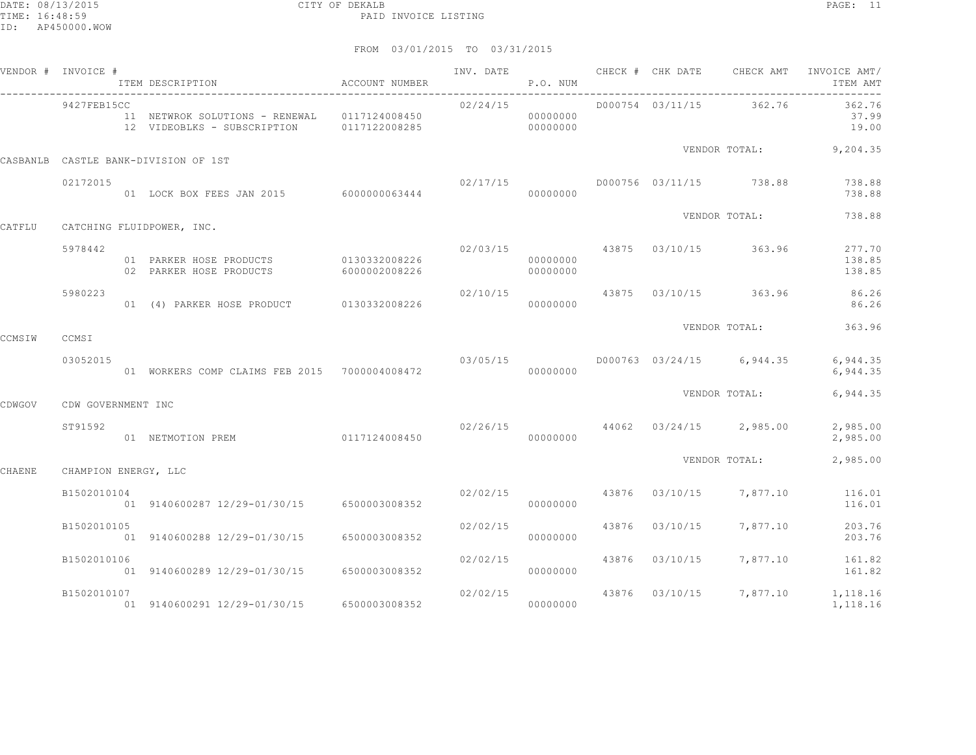DATE: 08/13/2015 CITY OF DEKALB PAGE: 11 PAID INVOICE LISTING

|        | VENDOR # INVOICE #   | ITEM DESCRIPTION                                                                          | ACCOUNT NUMBER |          | P.O. NUM             |       |                                          | INV. DATE 6 CHECK # CHK DATE CHECK AMT INVOICE AMT/<br>ITEM AMT |
|--------|----------------------|-------------------------------------------------------------------------------------------|----------------|----------|----------------------|-------|------------------------------------------|-----------------------------------------------------------------|
|        | 9427FEB15CC          | 11 NETWROK SOLUTIONS - RENEWAL 0117124008450<br>12 VIDEOBLKS - SUBSCRIPTION 0117122008285 |                | 02/24/15 | 00000000<br>00000000 |       | D000754 03/11/15 362.76                  | 362.76<br>37.99<br>19.00                                        |
|        |                      | CASBANLB CASTLE BANK-DIVISION OF 1ST                                                      |                |          |                      |       |                                          | VENDOR TOTAL: 9,204.35                                          |
|        | 02172015             | 02/17/15<br>01 LOCK BOX FEES JAN 2015 6000000063444 02/17/15                              |                |          |                      |       | D000756 03/11/15 738.88                  | 738.88<br>738.88                                                |
| CATFLU |                      | CATCHING FLUIDPOWER, INC.                                                                 |                |          |                      |       | VENDOR TOTAL:                            | 738.88                                                          |
|        | 5978442              | 01 PARKER HOSE PRODUCTS 0130332008226<br>02 PARKER HOSE PRODUCTS 6000002008226            |                |          | 00000000<br>00000000 |       | $02/03/15$ 43875 03/10/15 363.96         | 277.70<br>138.85<br>138.85                                      |
|        | 5980223              | 01 (4) PARKER HOSE PRODUCT 0130332008226                                                  |                | 02/10/15 | 00000000             |       |                                          | 43875 03/10/15 363.96 86.26<br>86.26                            |
| CCMSIW | CCMSI                |                                                                                           |                |          |                      |       | VENDOR TOTAL:                            | 363.96                                                          |
|        | 03052015             | 01 WORKERS COMP CLAIMS FEB 2015 7000004008472                                             | 03/05/15       |          | 00000000             |       | D000763 03/24/15 6,944.35                | 6,944.35<br>6,944.35                                            |
| CDWGOV | CDW GOVERNMENT INC   |                                                                                           |                |          |                      |       | VENDOR TOTAL:                            | 6,944.35                                                        |
|        | ST91592              | 01 NETMOTION PREM 0117124008450 000000000                                                 |                |          |                      |       | $02/26/15$ $44062$ $03/24/15$ $2,985.00$ | 2,985.00<br>2,985.00                                            |
| CHAENE | CHAMPION ENERGY, LLC |                                                                                           |                |          |                      |       | VENDOR TOTAL:                            | 2,985.00                                                        |
|        | B1502010104          | 01 9140600287 12/29-01/30/15 6500003008352                                                |                |          | 00000000             |       | $02/02/15$ $43876$ $03/10/15$ $7,877.10$ | 116.01<br>116.01                                                |
|        | B1502010105          | 01 9140600288 12/29-01/30/15 6500003008352                                                |                | 02/02/15 | 00000000             |       | 43876 03/10/15 7,877.10                  | 203.76<br>203.76                                                |
|        | B1502010106          | 01 9140600289 12/29-01/30/15 6500003008352                                                |                | 02/02/15 | 00000000             |       | 43876 03/10/15 7,877.10                  | 161.82<br>161.82                                                |
|        | B1502010107          | 01 9140600291 12/29-01/30/15                                                              | 6500003008352  |          | 02/02/15<br>00000000 | 43876 |                                          | 03/10/15 7,877.10 1,118.16<br>1,118.16                          |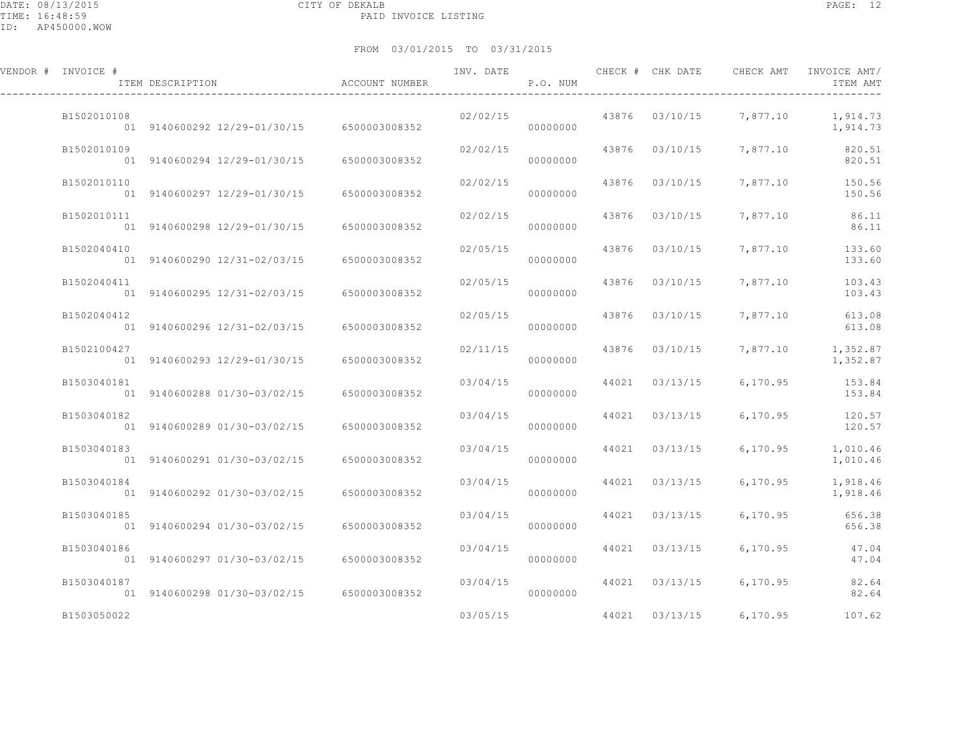#### FROM 03/01/2015 TO 03/31/2015

| VENDOR # INVOICE # | ITEM DESCRIPTION                           | ACCOUNT NUMBER | INV. DATE | P.O. NUM |       | CHECK # CHK DATE | CHECK AMT               | INVOICE AMT/<br>ITEM AMT      |
|--------------------|--------------------------------------------|----------------|-----------|----------|-------|------------------|-------------------------|-------------------------------|
| B1502010108        | 01 9140600292 12/29-01/30/15 6500003008352 |                | 02/02/15  | 00000000 | 43876 | 03/10/15         | 7,877.10                | 1,914.73<br>1,914.73          |
| B1502010109        | 01 9140600294 12/29-01/30/15               | 6500003008352  | 02/02/15  | 00000000 | 43876 | 03/10/15         | 7,877.10                | 820.51<br>820.51              |
| B1502010110        | 01 9140600297 12/29-01/30/15               | 6500003008352  | 02/02/15  | 00000000 | 43876 | 03/10/15         | 7,877.10                | 150.56<br>150.56              |
| B1502010111        | 01 9140600298 12/29-01/30/15               | 6500003008352  | 02/02/15  | 00000000 | 43876 | 03/10/15         | 7,877.10                | 86.11<br>86.11                |
| B1502040410        | 01 9140600290 12/31-02/03/15               | 6500003008352  | 02/05/15  | 00000000 | 43876 | 03/10/15         | 7,877.10                | 133.60<br>133.60              |
| B1502040411        | 01 9140600295 12/31-02/03/15               | 6500003008352  | 02/05/15  | 00000000 | 43876 | 03/10/15         | 7,877.10                | 103.43<br>103.43              |
| B1502040412        | 01 9140600296 12/31-02/03/15               | 6500003008352  | 02/05/15  | 00000000 |       | 43876 03/10/15   | 7,877.10                | 613.08<br>613.08              |
| B1502100427        | 01 9140600293 12/29-01/30/15               | 6500003008352  | 02/11/15  | 00000000 | 43876 | 03/10/15         |                         | 7,877.10 1,352.87<br>1,352.87 |
| B1503040181        | 01 9140600288 01/30-03/02/15               | 6500003008352  | 03/04/15  | 00000000 | 44021 | 03/13/15         | 6,170.95                | 153.84<br>153.84              |
| B1503040182        | 01 9140600289 01/30-03/02/15               | 6500003008352  | 03/04/15  | 00000000 |       | 44021 03/13/15   | 6,170.95                | 120.57<br>120.57              |
| B1503040183        | 01 9140600291 01/30-03/02/15               | 6500003008352  | 03/04/15  | 00000000 | 44021 | 03/13/15         | 6,170.95                | 1,010.46<br>1,010.46          |
| B1503040184        | 01 9140600292 01/30-03/02/15               | 6500003008352  | 03/04/15  | 00000000 | 44021 | 03/13/15         | 6,170.95                | 1,918.46<br>1,918.46          |
| B1503040185        | 01 9140600294 01/30-03/02/15               | 6500003008352  | 03/04/15  | 00000000 |       | 44021 03/13/15   | 6,170.95                | 656.38<br>656.38              |
| B1503040186        | 01 9140600297 01/30-03/02/15               | 6500003008352  | 03/04/15  | 00000000 | 44021 | 03/13/15         | 6,170.95                | 47.04<br>47.04                |
| B1503040187        | 01 9140600298 01/30-03/02/15               | 6500003008352  | 03/04/15  | 00000000 |       |                  | 44021 03/13/15 6,170.95 | 82.64<br>82.64                |

B1503050022 03/05/15 44021 03/13/15 6,170.95 107.62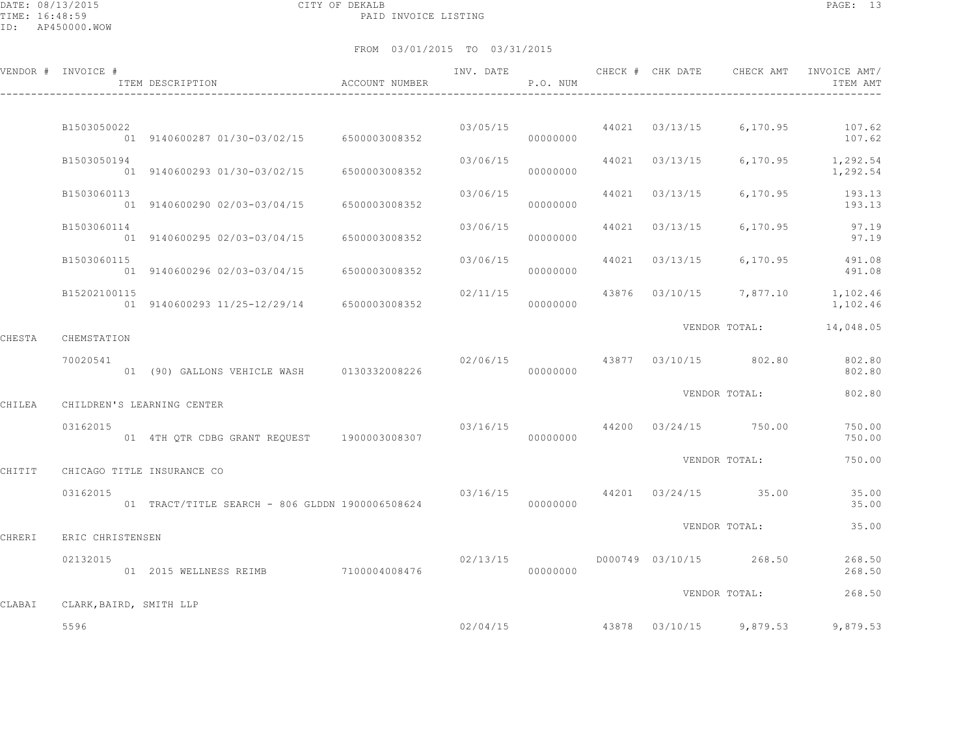DATE: 08/13/2015 CITY OF DEKALB PAGE: 13 PAID INVOICE LISTING

ID: AP450000.WOW

|        | VENDOR # INVOICE #         | ITEM DESCRIPTION                                | ACCOUNT NUMBER |                               | P.O. NUM             |                |                         | INV. DATE 6 1999 CHECK # CHK DATE 6 CHECK AMT INVOICE AMT<br>ITEM AMT |
|--------|----------------------------|-------------------------------------------------|----------------|-------------------------------|----------------------|----------------|-------------------------|-----------------------------------------------------------------------|
|        |                            |                                                 |                |                               |                      |                |                         |                                                                       |
|        | B1503050022                | 01 9140600287 01/30-03/02/15 6500003008352      |                |                               | 03/05/15<br>00000000 | 44021 03/13/15 | 6,170.95                | 107.62<br>107.62                                                      |
|        | B1503050194                | 01 9140600293 01/30-03/02/15                    | 6500003008352  | 03/06/15                      | 00000000             | 44021 03/13/15 | 6,170.95                | 1,292.54<br>1,292.54                                                  |
|        | B1503060113                | 01 9140600290 02/03-03/04/15                    | 6500003008352  | 03/06/15                      | 00000000             | 44021 03/13/15 | 6,170.95                | 193.13<br>193.13                                                      |
|        | B1503060114                | 01 9140600295 02/03-03/04/15 6500003008352      |                | 03/06/15                      | 00000000             | 44021 03/13/15 | 6,170.95                | 97.19<br>97.19                                                        |
|        | B1503060115                | 01 9140600296 02/03-03/04/15 6500003008352      |                | 03/06/15                      | 00000000             | 44021 03/13/15 | 6, 170.95               | 491.08<br>491.08                                                      |
|        | B15202100115               | 01 9140600293 11/25-12/29/14 6500003008352      |                |                               | 00000000             |                |                         | $02/11/15$ 43876 $03/10/15$ 7,877.10 1,102.46<br>1,102.46             |
| CHESTA | CHEMSTATION                |                                                 |                |                               |                      |                | VENDOR TOTAL:           | 14,048.05                                                             |
|        | 70020541                   | 01 (90) GALLONS VEHICLE WASH 0130332008226      |                | 02/06/15                      | 00000000             |                | 43877 03/10/15 802.80   | 802.80<br>802.80                                                      |
| CHILEA | CHILDREN'S LEARNING CENTER |                                                 |                |                               |                      |                | VENDOR TOTAL:           | 802.80                                                                |
|        | 03162015                   | 01 4TH QTR CDBG GRANT REQUEST 1900003008307     |                | 03/16/15                      | 00000000             |                | 44200 03/24/15 750.00   | 750.00<br>750.00                                                      |
| CHITIT | CHICAGO TITLE INSURANCE CO |                                                 |                |                               |                      |                | VENDOR TOTAL:           | 750.00                                                                |
|        | 03162015                   | 01 TRACT/TITLE SEARCH - 806 GLDDN 1900006508624 |                | 03/16/15 44201 03/24/15 35.00 | 00000000             |                |                         | 35.00<br>35.00                                                        |
| CHRERI | ERIC CHRISTENSEN           |                                                 |                |                               |                      |                | VENDOR TOTAL:           | 35.00                                                                 |
|        | 02132015                   | 01 2015 WELLNESS REIMB                          | 7100004008476  | 02/13/15                      | 00000000             |                | D000749 03/10/15 268.50 | 268.50<br>268.50                                                      |
| CLABAI | CLARK, BAIRD, SMITH LLP    |                                                 |                |                               |                      |                | VENDOR TOTAL:           | 268.50                                                                |
|        | 5596                       |                                                 |                |                               |                      |                |                         | $02/04/15$ $43878$ $03/10/15$ $9,879.53$ $9,879.53$                   |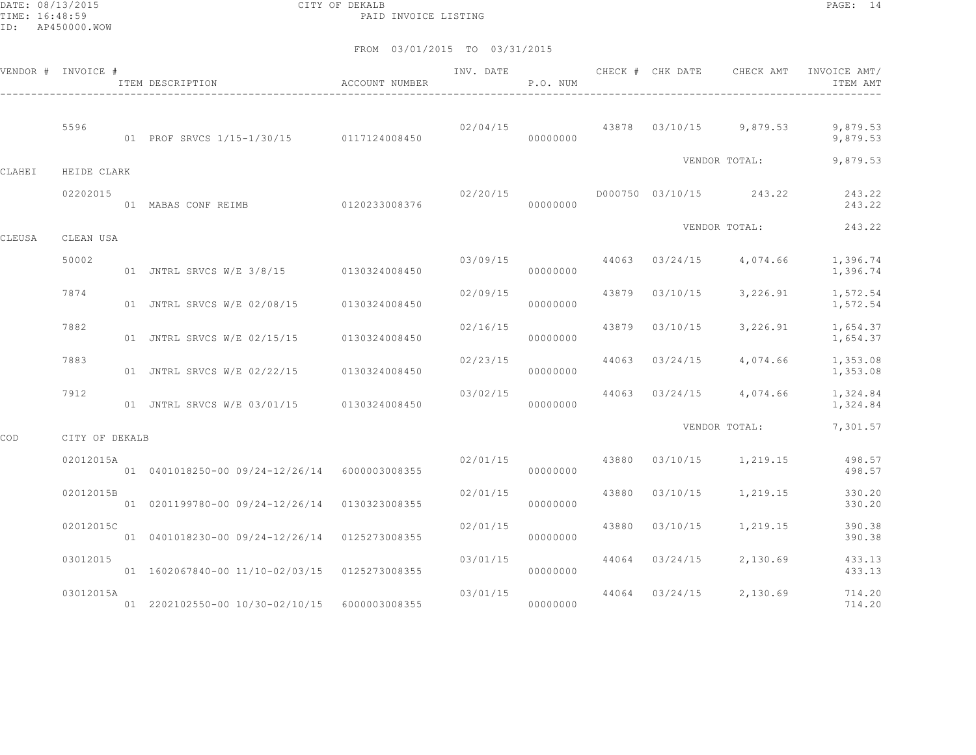DATE: 08/13/2015 CITY OF DEKALB PAGE: 14 PAID INVOICE LISTING

|        | VENDOR # INVOICE # | ITEM DESCRIPTION                                 | ACCOUNT NUMBER |          | P.O. NUM |       |          |                                          | INVOICE AMT/<br>ITEM AMT                                        |
|--------|--------------------|--------------------------------------------------|----------------|----------|----------|-------|----------|------------------------------------------|-----------------------------------------------------------------|
|        | 5596               | 01 PROF SRVCS 1/15-1/30/15 0117124008450         |                |          | 00000000 |       |          |                                          | $02/04/15$ $43878$ $03/10/15$ $9,879.53$ $9,879.53$<br>9,879.53 |
| CLAHEI | HEIDE CLARK        |                                                  |                |          |          |       |          | VENDOR TOTAL:                            | 9,879.53                                                        |
|        | 02202015           | 01 MABAS CONF REIMB 0120233008376                |                | 02/20/15 | 00000000 |       |          | D000750 03/10/15 243.22                  | 243.22<br>243.22                                                |
| CLEUSA | CLEAN USA          |                                                  |                |          |          |       |          | VENDOR TOTAL:                            | 243.22                                                          |
|        | 50002              | 01 JNTRL SRVCS W/E 3/8/15 0130324008450          |                |          | 00000000 |       |          | $03/09/15$ 44063 $03/24/15$ 4,074.66     | 1,396.74<br>1,396.74                                            |
|        | 7874               | 01 JNTRL SRVCS W/E 02/08/15 0130324008450        |                | 02/09/15 | 00000000 |       |          | 43879 03/10/15 3,226.91                  | 1,572.54<br>1,572.54                                            |
|        | 7882               | 01 JNTRL SRVCS W/E 02/15/15 0130324008450        |                | 02/16/15 | 00000000 | 43879 | 03/10/15 | 3,226.91                                 | 1,654.37<br>1,654.37                                            |
|        | 7883               | 01 JNTRL SRVCS W/E 02/22/15 0130324008450        |                | 02/23/15 | 00000000 | 44063 | 03/24/15 | 4,074.66                                 | 1,353.08<br>1,353.08                                            |
|        | 7912               | 01 JNTRL SRVCS W/E 03/01/15 0130324008450        |                | 03/02/15 | 00000000 |       |          | 44063 03/24/15 4,074.66                  | 1,324.84<br>1,324.84                                            |
| COD    | CITY OF DEKALB     |                                                  |                |          |          |       |          | VENDOR TOTAL:                            | 7,301.57                                                        |
|        | 02012015A          | 01  0401018250-00  09/24-12/26/14  6000003008355 |                |          | 00000000 |       |          | $02/01/15$ $43880$ $03/10/15$ $1,219.15$ | 498.57<br>498.57                                                |
|        | 02012015B          | 01 0201199780-00 09/24-12/26/14 0130323008355    |                | 02/01/15 | 00000000 |       |          | 43880 03/10/15 1,219.15                  | 330.20<br>330.20                                                |
|        | 02012015C          | 01  0401018230-00  09/24-12/26/14  0125273008355 |                | 02/01/15 | 00000000 | 43880 | 03/10/15 | 1,219.15                                 | 390.38<br>390.38                                                |
|        | 03012015           | 01 1602067840-00 11/10-02/03/15 0125273008355    |                | 03/01/15 | 00000000 | 44064 | 03/24/15 | 2,130.69                                 | 433.13<br>433.13                                                |
|        | 03012015A          | 01 2202102550-00 10/30-02/10/15 6000003008355    |                | 03/01/15 | 00000000 |       |          | 44064 03/24/15 2,130.69                  | 714.20<br>714.20                                                |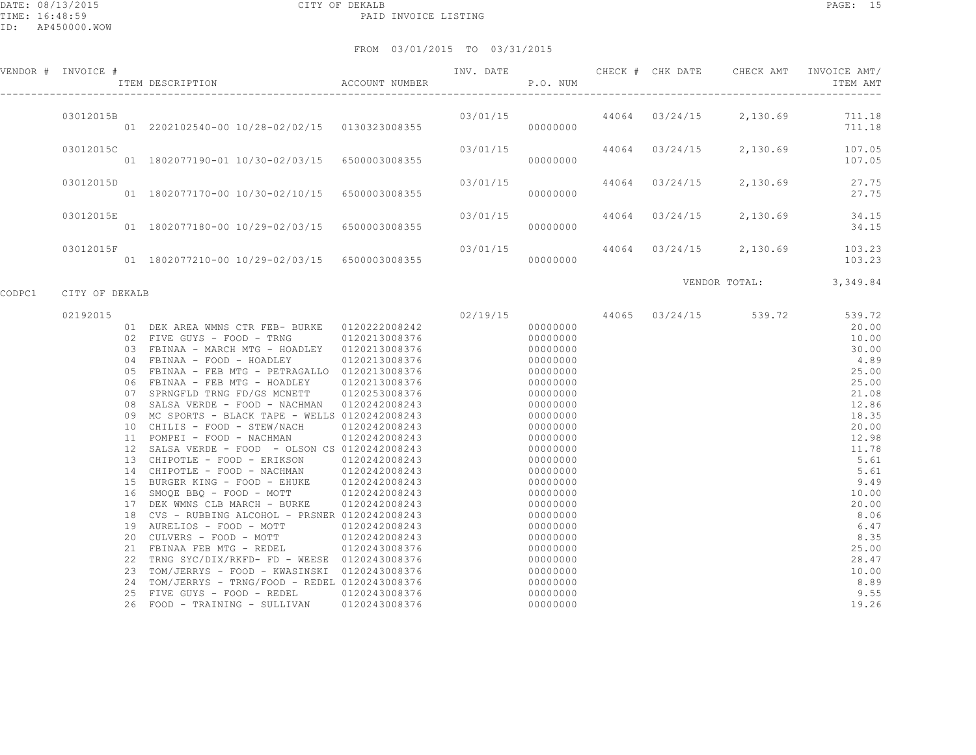#### FROM 03/01/2015 TO 03/31/2015

| VENDOR # | INVOICE # |    | ITEM DESCRIPTION             | ACCOUNT NUMBER | INV. DATE | P.O. NUM | CHECK # | CHK DATE | CHECK AMT | INVOICE AMT/<br>ITEM AMT |
|----------|-----------|----|------------------------------|----------------|-----------|----------|---------|----------|-----------|--------------------------|
|          | 03012015B | 01 | 2202102540-00 10/28-02/02/15 | 0130323008355  | 03/01/15  | 00000000 | 44064   | 03/24/15 | 2,130.69  | 711.18<br>711.18         |
|          | 03012015C | 01 | 1802077190-01 10/30-02/03/15 | 6500003008355  | 03/01/15  | 00000000 | 44064   | 03/24/15 | 2,130.69  | 107.05<br>107.05         |
|          | 03012015D | 01 | 1802077170-00 10/30-02/10/15 | 6500003008355  | 03/01/15  | 00000000 | 44064   | 03/24/15 | 2,130.69  | 27.75<br>27.75           |
|          | 03012015E | 01 | 1802077180-00 10/29-02/03/15 | 6500003008355  | 03/01/15  | 00000000 | 44064   | 03/24/15 | 2,130.69  | 34.15<br>34.15           |
|          | 03012015F |    | 1802077210-00 10/29-02/03/15 | 6500003008355  | 03/01/15  | 00000000 | 44064   | 03/24/15 | 2,130.69  | 103.23<br>103.23         |

CODPC1 CITY OF DEKALB

VENDOR TOTAL: 3,349.84

| 02192015 |                                             |               | 02/19/15 | 44065 | 03/24/15 | 539.72 | 539.72 |
|----------|---------------------------------------------|---------------|----------|-------|----------|--------|--------|
| 01       | DEK AREA WMNS CTR FEB- BURKE                | 0120222008242 | 00000000 |       |          |        | 20.00  |
| 02       | FIVE GUYS - FOOD - TRNG                     | 0120213008376 | 00000000 |       |          |        | 10.00  |
| 03       | FBINAA - MARCH MTG - HOADLEY                | 0120213008376 | 00000000 |       |          |        | 30.00  |
| 04       | FBINAA - FOOD - HOADLEY                     | 0120213008376 | 00000000 |       |          |        | 4.89   |
| 05       | FBINAA - FEB MTG - PETRAGALLO               | 0120213008376 | 00000000 |       |          |        | 25.00  |
| 06       | FBINAA - FEB MTG - HOADLEY                  | 0120213008376 | 00000000 |       |          |        | 25.00  |
| 07       | SPRNGFLD TRNG FD/GS MCNETT                  | 0120253008376 | 00000000 |       |          |        | 21.08  |
| 08       | SALSA VERDE - FOOD - NACHMAN                | 0120242008243 | 00000000 |       |          |        | 12.86  |
| 09       | MC SPORTS - BLACK TAPE - WELLS              | 0120242008243 | 00000000 |       |          |        | 18.35  |
| 10       | CHILIS - FOOD - STEW/NACH                   | 0120242008243 | 00000000 |       |          |        | 20.00  |
| 11       | POMPEI - FOOD - NACHMAN                     | 0120242008243 | 00000000 |       |          |        | 12.98  |
| 12       | SALSA VERDE - FOOD - OLSON CS 0120242008243 |               | 00000000 |       |          |        | 11.78  |
| 13       | CHIPOTLE - FOOD - ERIKSON                   | 0120242008243 | 00000000 |       |          |        | 5.61   |
| 14       | CHIPOTLE - FOOD - NACHMAN                   | 0120242008243 | 00000000 |       |          |        | 5.61   |
| 15       | BURGER KING - FOOD - EHUKE                  | 0120242008243 | 00000000 |       |          |        | 9.49   |
| 16       | SMOOE BBO - FOOD - MOTT                     | 0120242008243 | 00000000 |       |          |        | 10.00  |
| 17       | DEK WMNS CLB MARCH - BURKE                  | 0120242008243 | 00000000 |       |          |        | 20.00  |
| 18       | CVS - RUBBING ALCOHOL - PRSNER              | 0120242008243 | 00000000 |       |          |        | 8.06   |
| 19       | AURELIOS - FOOD - MOTT                      | 0120242008243 | 00000000 |       |          |        | 6.47   |
| 20       | CULVERS - FOOD - MOTT                       | 0120242008243 | 00000000 |       |          |        | 8.35   |
| 21       | FBINAA FEB MTG - REDEL                      | 0120243008376 | 00000000 |       |          |        | 25.00  |
| 22       | TRNG SYC/DIX/RKFD- FD - WEESE               | 0120243008376 | 00000000 |       |          |        | 28.47  |
| 23       | TOM/JERRYS - FOOD - KWASINSKI               | 0120243008376 | 00000000 |       |          |        | 10.00  |
| 24       | TOM/JERRYS - TRNG/FOOD - REDEL              | 0120243008376 | 00000000 |       |          |        | 8.89   |
| 25       | FIVE GUYS - FOOD - REDEL                    | 0120243008376 | 00000000 |       |          |        | 9.55   |
| 26       | FOOD - TRAINING - SULLIVAN                  | 0120243008376 | 00000000 |       |          |        | 19.26  |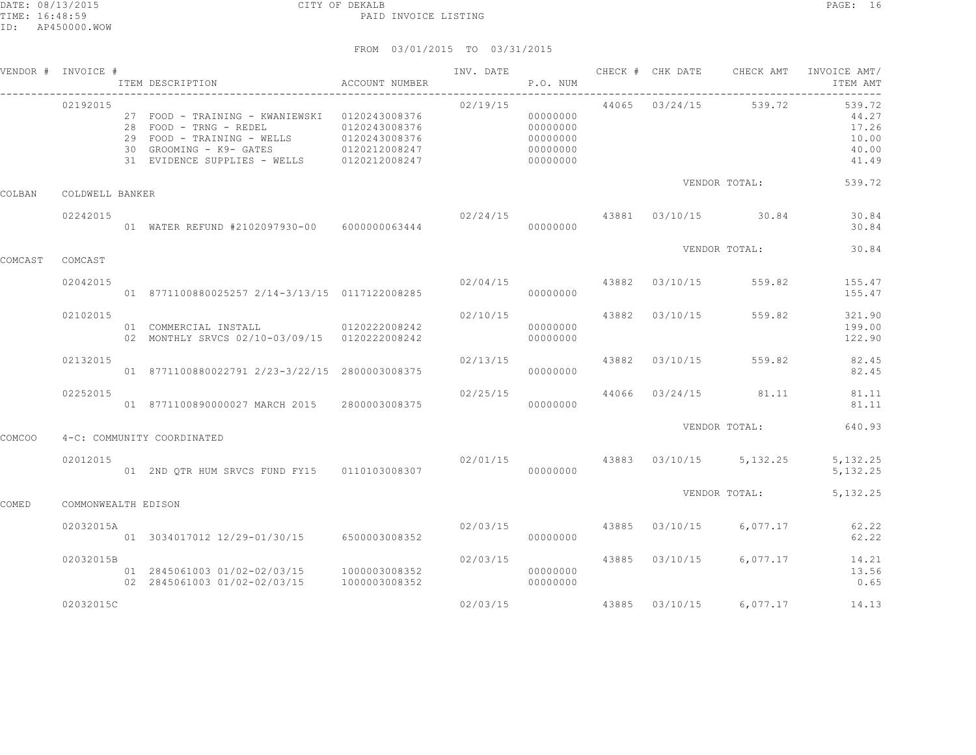|               | VENDOR # INVOICE #  | ITEM DESCRIPTION                                                                                                                                                                             | ACCOUNT NUMBER                 | INV. DATE        | P.O. NUM                                                 |       | CHECK # CHK DATE | CHECK AMT                          | INVOICE AMT/<br>ITEM AMT                            |
|---------------|---------------------|----------------------------------------------------------------------------------------------------------------------------------------------------------------------------------------------|--------------------------------|------------------|----------------------------------------------------------|-------|------------------|------------------------------------|-----------------------------------------------------|
|               | 02192015            | 27 FOOD - TRAINING - KWANIEWSKI 0120243008376<br>28 FOOD - TRNG - REDEL<br>29 FOOD - TRAINING - WELLS<br>30 GROOMING - K9- GATES 6120212008247<br>31 EVIDENCE SUPPLIES - WELLS 0120212008247 | 0120243008376<br>0120243008376 | 02/19/15         | 00000000<br>00000000<br>00000000<br>00000000<br>00000000 |       | 44065 03/24/15   | 539.72                             | 539.72<br>44.27<br>17.26<br>10.00<br>40.00<br>41.49 |
| COLBAN        | COLDWELL BANKER     |                                                                                                                                                                                              |                                |                  |                                                          |       |                  | VENDOR TOTAL:                      | 539.72                                              |
|               | 02242015            | 01 WATER REFUND #2102097930-00 6000000063444                                                                                                                                                 |                                | $02/24/15$ 43881 | 00000000                                                 |       |                  | 03/10/15 30.84                     | 30.84<br>30.84                                      |
| COMCAST       | COMCAST             |                                                                                                                                                                                              |                                |                  |                                                          |       |                  | VENDOR TOTAL:                      | 30.84                                               |
|               | 02042015            | 01 8771100880025257 2/14-3/13/15 0117122008285                                                                                                                                               |                                | 02/04/15         | 00000000                                                 | 43882 | 03/10/15         | 559.82                             | 155.47<br>155.47                                    |
|               | 02102015            | 01 COMMERCIAL INSTALL 0120222008242<br>02 MONTHLY SRVCS 02/10-03/09/15 0120222008242                                                                                                         |                                | 02/10/15         | 00000000<br>00000000                                     | 43882 | 03/10/15         | 559.82                             | 321.90<br>199.00<br>122.90                          |
|               | 02132015            | 01 8771100880022791 2/23-3/22/15 2800003008375                                                                                                                                               |                                | 02/13/15         | 00000000                                                 | 43882 | 03/10/15         | 559.82                             | 82.45<br>82.45                                      |
|               | 02252015            | 01 8771100890000027 MARCH 2015 2800003008375                                                                                                                                                 |                                | 02/25/15         | 00000000                                                 | 44066 | 03/24/15         | 81.11                              | 81.11<br>81.11                                      |
| <b>COMCOO</b> |                     | 4-C: COMMUNITY COORDINATED                                                                                                                                                                   |                                |                  |                                                          |       |                  | VENDOR TOTAL:                      | 640.93                                              |
|               | 02012015            | 01 2ND QTR HUM SRVCS FUND FY15 0110103008307                                                                                                                                                 |                                |                  | 00000000                                                 |       |                  | $02/01/15$ 43883 03/10/15 5,132.25 | 5, 132.25<br>5, 132.25                              |
| <b>COMED</b>  | COMMONWEALTH EDISON |                                                                                                                                                                                              |                                |                  |                                                          |       |                  | VENDOR TOTAL:                      | 5, 132.25                                           |
|               | 02032015A           | 01 3034017012 12/29-01/30/15 6500003008352                                                                                                                                                   |                                | 02/03/15         | 00000000                                                 | 43885 | 03/10/15         | 6,077.17                           | 62.22<br>62.22                                      |
|               | 02032015B           | 01 2845061003 01/02-02/03/15 1000003008352<br>02 2845061003 01/02-02/03/15                                                                                                                   | 1000003008352                  | 02/03/15         | 00000000<br>00000000                                     | 43885 | 03/10/15         | 6,077.17                           | 14.21<br>13.56<br>0.65                              |
|               | 02032015C           |                                                                                                                                                                                              |                                | 02/03/15         |                                                          |       |                  | 43885 03/10/15 6,077.17            | 14.13                                               |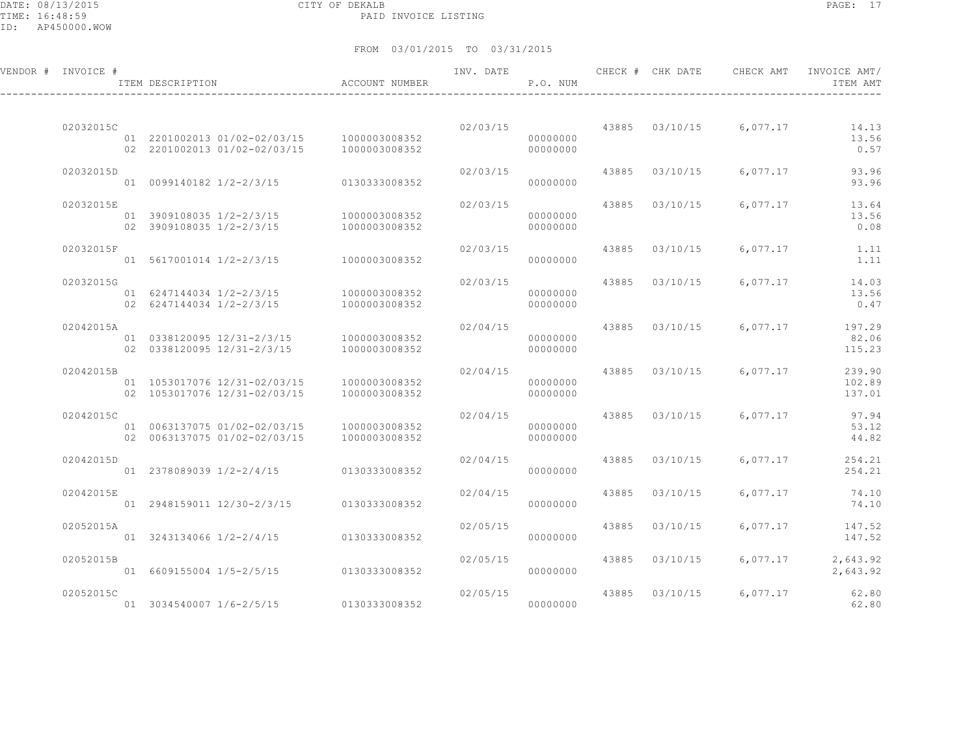DATE: 08/13/2015 CITY OF DEKALB PAGE: 17 PAID INVOICE LISTING

ID: AP450000.WOW

| VENDOR # INVOICE # | ITEM DESCRIPTION                                             | ACCOUNT NUMBER                 | INV. DATE | P.O. NUM             |       | CHECK # CHK DATE | CHECK AMT | INVOICE AMT/<br>ITEM AMT   |
|--------------------|--------------------------------------------------------------|--------------------------------|-----------|----------------------|-------|------------------|-----------|----------------------------|
|                    |                                                              |                                |           |                      |       |                  |           |                            |
| 02032015C          | 01 2201002013 01/02-02/03/15<br>02 2201002013 01/02-02/03/15 | 1000003008352<br>1000003008352 | 02/03/15  | 00000000<br>00000000 | 43885 | 03/10/15         | 6,077.17  | 14.13<br>13.56<br>0.57     |
| 02032015D          | 01 0099140182 1/2-2/3/15                                     | 0130333008352                  | 02/03/15  | 00000000             | 43885 | 03/10/15         | 6,077.17  | 93.96<br>93.96             |
| 02032015E          | 01 3909108035 1/2-2/3/15<br>02 3909108035 1/2-2/3/15         | 1000003008352<br>1000003008352 | 02/03/15  | 00000000<br>00000000 | 43885 | 03/10/15         | 6,077.17  | 13.64<br>13.56<br>0.08     |
| 02032015F          | 01 5617001014 1/2-2/3/15                                     | 1000003008352                  | 02/03/15  | 00000000             | 43885 | 03/10/15         | 6,077.17  | 1.11<br>1.11               |
| 02032015G          | 01 6247144034 1/2-2/3/15<br>02 6247144034 1/2-2/3/15         | 1000003008352<br>1000003008352 | 02/03/15  | 00000000<br>00000000 | 43885 | 03/10/15         | 6,077.17  | 14.03<br>13.56<br>0.47     |
| 02042015A          | 01 0338120095 12/31-2/3/15<br>02 0338120095 12/31-2/3/15     | 1000003008352<br>1000003008352 | 02/04/15  | 00000000<br>00000000 |       | 43885 03/10/15   | 6,077.17  | 197.29<br>82.06<br>115.23  |
| 02042015B          | 01 1053017076 12/31-02/03/15<br>02 1053017076 12/31-02/03/15 | 1000003008352<br>1000003008352 | 02/04/15  | 00000000<br>00000000 |       | 43885 03/10/15   | 6,077.17  | 239.90<br>102.89<br>137.01 |
| 02042015C          | 01 0063137075 01/02-02/03/15<br>02 0063137075 01/02-02/03/15 | 1000003008352<br>1000003008352 | 02/04/15  | 00000000<br>00000000 | 43885 | 03/10/15         | 6,077.17  | 97.94<br>53.12<br>44.82    |
| 02042015D          | 01 2378089039 1/2-2/4/15                                     | 0130333008352                  | 02/04/15  | 00000000             | 43885 | 03/10/15         | 6,077.17  | 254.21<br>254.21           |
| 02042015E          | 01 2948159011 12/30-2/3/15                                   | 0130333008352                  | 02/04/15  | 00000000             | 43885 | 03/10/15         | 6,077.17  | 74.10<br>74.10             |
| 02052015A          | 01 3243134066 1/2-2/4/15                                     | 0130333008352                  | 02/05/15  | 00000000             | 43885 | 03/10/15         | 6,077.17  | 147.52<br>147.52           |
| 02052015B          | 01 6609155004 1/5-2/5/15                                     | 0130333008352                  | 02/05/15  | 00000000             | 43885 | 03/10/15         | 6,077.17  | 2,643.92<br>2,643.92       |
| 02052015C          | 01 3034540007 1/6-2/5/15                                     | 0130333008352                  | 02/05/15  | 00000000             | 43885 | 03/10/15         | 6,077.17  | 62.80<br>62.80             |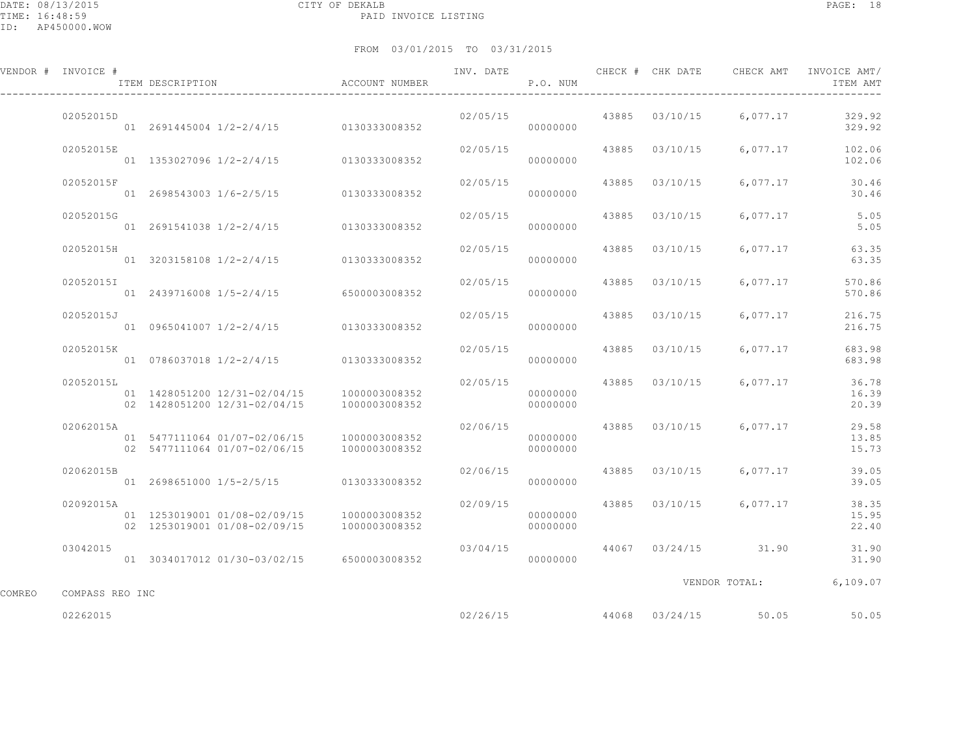DATE: 08/13/2015 CITY OF DEKALB PAGE: 18 PAID INVOICE LISTING

ID: AP450000.WOW

|        | VENDOR # INVOICE # | ITEM DESCRIPTION                                             | ACCOUNT NUMBER                 | INV. DATE | P.O. NUM                         |       | CHECK # CHK DATE | CHECK AMT               | INVOICE AMT/<br>ITEM AMT |
|--------|--------------------|--------------------------------------------------------------|--------------------------------|-----------|----------------------------------|-------|------------------|-------------------------|--------------------------|
|        | 02052015D          | 01 2691445004 1/2-2/4/15 0130333008352                       |                                | 02/05/15  | 00000000                         |       | 43885 03/10/15   | 6,077.17                | 329.92<br>329.92         |
|        | 02052015E          | 01 1353027096 1/2-2/4/15 0130333008352                       |                                | 02/05/15  | 00000000                         |       | 43885 03/10/15   | 6,077.17                | 102.06<br>102.06         |
|        | 02052015F          | 01  2698543003  1/6-2/5/15  0130333008352                    |                                | 02/05/15  | 00000000                         |       | 43885 03/10/15   | 6,077.17                | 30.46<br>30.46           |
|        | 02052015G          | 01 2691541038 1/2-2/4/15 0130333008352                       |                                | 02/05/15  | 00000000                         | 43885 | 03/10/15         | 6,077.17                | 5.05<br>5.05             |
|        | 02052015H          | 01 3203158108 1/2-2/4/15 0130333008352                       |                                | 02/05/15  | 00000000                         | 43885 | 03/10/15         | 6,077.17                | 63.35<br>63.35           |
|        | 02052015I          | 01 2439716008 1/5-2/4/15                                     | 6500003008352                  | 02/05/15  | 00000000                         | 43885 | 03/10/15         | 6,077.17                | 570.86<br>570.86         |
|        | 02052015J          | 01 0965041007 1/2-2/4/15 0130333008352                       |                                | 02/05/15  | 00000000                         |       | 43885 03/10/15   | 6,077.17                | 216.75<br>216.75         |
|        | 02052015K          | 01  0786037018  1/2-2/4/15  0130333008352                    |                                | 02/05/15  | 00000000                         | 43885 | 03/10/15         | 6,077.17                | 683.98<br>683.98         |
|        | 02052015L          | 01 1428051200 12/31-02/04/15<br>02 1428051200 12/31-02/04/15 | 1000003008352<br>1000003008352 |           | 02/05/15<br>00000000<br>00000000 | 43885 | 03/10/15         | 6,077.17                | 36.78<br>16.39<br>20.39  |
|        | 02062015A          | 01 5477111064 01/07-02/06/15<br>02 5477111064 01/07-02/06/15 | 1000003008352<br>1000003008352 | 02/06/15  | 00000000<br>00000000             |       | 43885 03/10/15   | 6,077.17                | 29.58<br>13.85<br>15.73  |
|        | 02062015B          | 01  2698651000  1/5-2/5/15   0130333008352                   |                                | 02/06/15  | 00000000                         |       | 43885 03/10/15   | 6,077.17                | 39.05<br>39.05           |
|        | 02092015A          | 01 1253019001 01/08-02/09/15<br>02 1253019001 01/08-02/09/15 | 1000003008352<br>1000003008352 | 02/09/15  | 00000000<br>00000000             |       |                  | 43885 03/10/15 6,077.17 | 38.35<br>15.95<br>22.40  |
|        | 03042015           | 01 3034017012 01/30-03/02/15 6500003008352                   |                                | 03/04/15  | 00000000                         |       |                  | 44067 03/24/15 31.90    | 31.90<br>31.90           |
| COMREO | COMPASS REO INC    |                                                              |                                |           |                                  |       |                  |                         | VENDOR TOTAL: 6,109.07   |
|        | 02262015           |                                                              |                                | 02/26/15  |                                  |       |                  | 44068 03/24/15 50.05    | 50.05                    |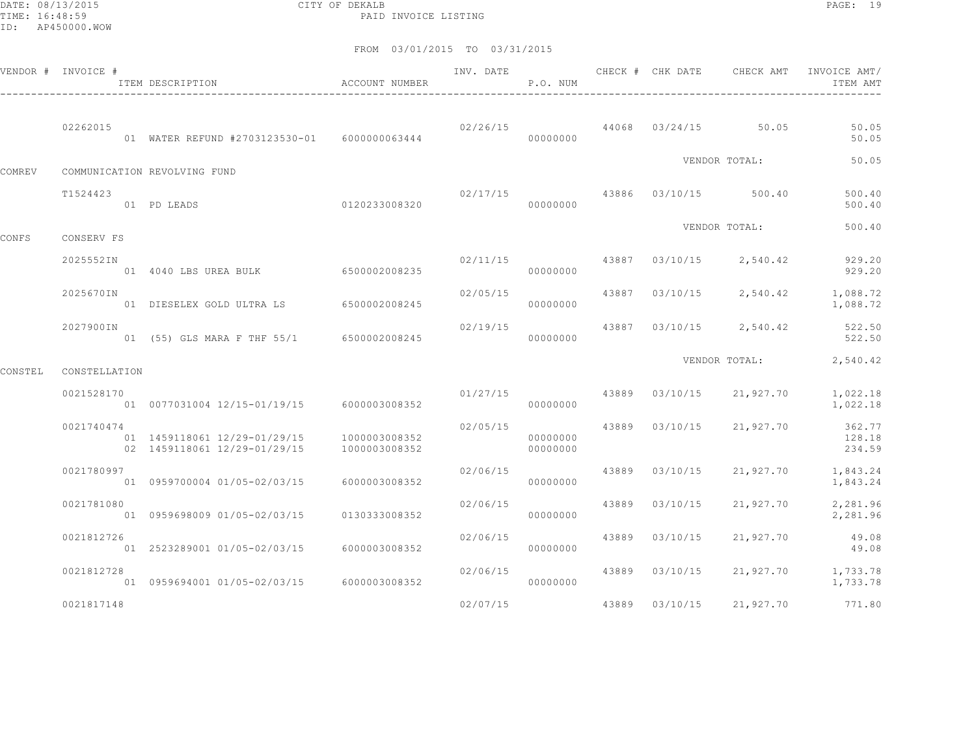DATE: 08/13/2015 CITY OF DEKALB PAGE: 19 PAID INVOICE LISTING

|         | VENDOR # INVOICE # | ITEM DESCRIPTION                                             | ACCOUNT NUMBER                 | INV. DATE | P.O. NUM             |       | CHECK # CHK DATE | CHECK AMT             | INVOICE AMT/<br>ITEM AMT   |
|---------|--------------------|--------------------------------------------------------------|--------------------------------|-----------|----------------------|-------|------------------|-----------------------|----------------------------|
|         | 02262015           | 01 WATER REFUND #2703123530-01 6000000063444                 |                                | 02/26/15  | 00000000             |       |                  | 44068 03/24/15 50.05  | 50.05<br>50.05             |
| COMREV  |                    | COMMUNICATION REVOLVING FUND                                 |                                |           |                      |       |                  | VENDOR TOTAL:         | 50.05                      |
|         | T1524423           | 01 PD LEADS                                                  | 0120233008320                  | 02/17/15  | 00000000             |       |                  | 43886 03/10/15 500.40 | 500.40<br>500.40           |
| CONFS   | CONSERV FS         |                                                              |                                |           |                      |       |                  | VENDOR TOTAL:         | 500.40                     |
|         | 2025552IN          | 01 4040 LBS UREA BULK 6500002008235                          |                                | 02/11/15  | 00000000             | 43887 | 03/10/15         | 2,540.42              | 929.20<br>929.20           |
|         | 2025670IN          | 01 DIESELEX GOLD ULTRA LS 6500002008245                      |                                | 02/05/15  | 00000000             | 43887 | 03/10/15         | 2,540.42              | 1,088.72<br>1,088.72       |
|         | 2027900IN          | 01 (55) GLS MARA F THF 55/1                                  | 6500002008245                  | 02/19/15  | 00000000             | 43887 | 03/10/15         | 2,540.42              | 522.50<br>522.50           |
| CONSTEL | CONSTELLATION      |                                                              |                                |           |                      |       |                  | VENDOR TOTAL:         | 2,540.42                   |
|         | 0021528170         | 01 0077031004 12/15-01/19/15 6000003008352                   |                                | 01/27/15  | 00000000             |       | 43889 03/10/15   | 21,927.70             | 1,022.18<br>1,022.18       |
|         | 0021740474         | 01 1459118061 12/29-01/29/15<br>02 1459118061 12/29-01/29/15 | 1000003008352<br>1000003008352 | 02/05/15  | 00000000<br>00000000 |       | 43889 03/10/15   | 21,927.70             | 362.77<br>128.18<br>234.59 |
|         | 0021780997         | 01 0959700004 01/05-02/03/15                                 | 6000003008352                  | 02/06/15  | 00000000             | 43889 | 03/10/15         | 21,927.70             | 1,843.24<br>1,843.24       |
|         | 0021781080         | 01 0959698009 01/05-02/03/15                                 | 0130333008352                  | 02/06/15  | 00000000             | 43889 | 03/10/15         | 21,927.70             | 2,281.96<br>2,281.96       |
|         | 0021812726         | 01 2523289001 01/05-02/03/15                                 | 6000003008352                  | 02/06/15  | 00000000             | 43889 | 03/10/15         | 21,927.70             | 49.08<br>49.08             |
|         | 0021812728         | 01  0959694001  01/05-02/03/15  6000003008352                |                                | 02/06/15  | 00000000             | 43889 | 03/10/15         | 21,927.70             | 1,733.78<br>1,733.78       |
|         | 0021817148         |                                                              |                                | 02/07/15  |                      | 43889 | 03/10/15         | 21,927.70             | 771.80                     |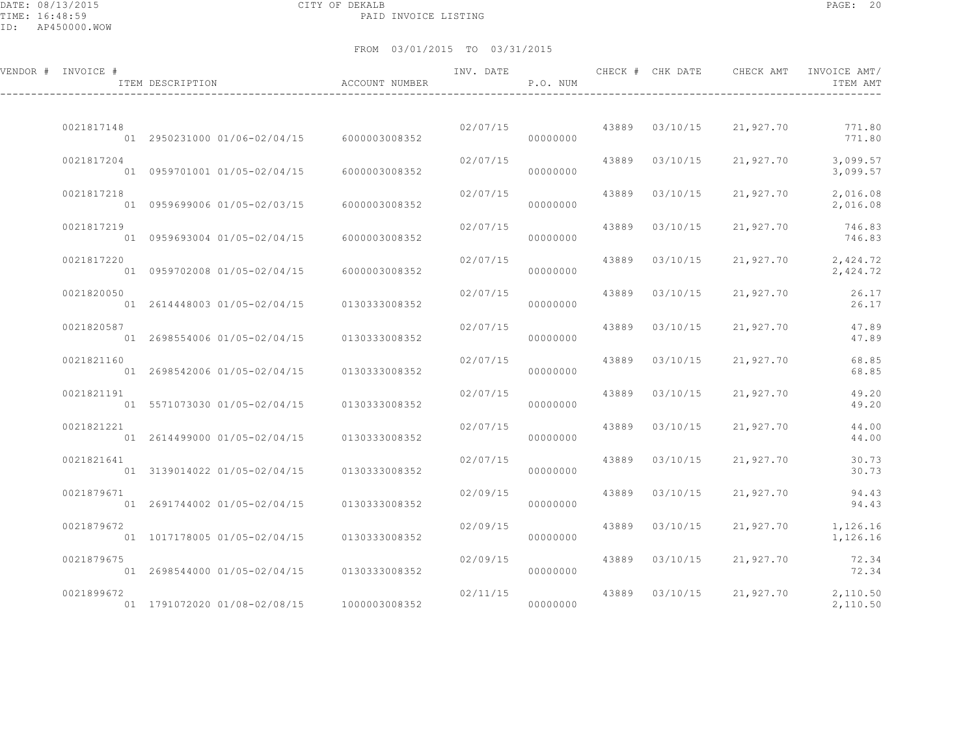DATE: 08/13/2015 CITY OF DEKALB PAGE: 20 PAID INVOICE LISTING

| VENDOR # INVOICE # | ITEM DESCRIPTION                                             | ACCOUNT NUMBER                 | INV. DATE | P.O. NUM             |       | CHECK # CHK DATE | CHECK AMT | INVOICE AMT/<br>ITEM AMT      |
|--------------------|--------------------------------------------------------------|--------------------------------|-----------|----------------------|-------|------------------|-----------|-------------------------------|
| 0021817148         | 01 2950231000 01/06-02/04/15 6000003008352                   |                                | 02/07/15  | 00000000             |       | 43889 03/10/15   | 21,927.70 | 771.80<br>771.80              |
| 0021817204         | 01 0959701001 01/05-02/04/15                                 | 6000003008352                  | 02/07/15  | 00000000             | 43889 | 03/10/15         | 21,927.70 | 3,099.57<br>3,099.57          |
| 0021817218         | 01 0959699006 01/05-02/03/15                                 | 6000003008352                  | 02/07/15  | 00000000             | 43889 | 03/10/15         | 21,927.70 | 2,016.08<br>2,016.08          |
| 0021817219         | 01 0959693004 01/05-02/04/15                                 | 6000003008352                  | 02/07/15  | 00000000             | 43889 | 03/10/15         | 21,927.70 | 746.83<br>746.83              |
| 0021817220         | 01 0959702008 01/05-02/04/15                                 | 6000003008352                  | 02/07/15  | 00000000             | 43889 | 03/10/15         | 21,927.70 | 2,424.72<br>2,424.72          |
| 0021820050         | 01 2614448003 01/05-02/04/15                                 | 0130333008352                  | 02/07/15  | 00000000             | 43889 | 03/10/15         | 21,927.70 | 26.17<br>26.17                |
| 0021820587         | 01 2698554006 01/05-02/04/15                                 | 0130333008352                  | 02/07/15  | 00000000             | 43889 | 03/10/15         | 21,927.70 | 47.89<br>47.89                |
| 0021821160         | 01 2698542006 01/05-02/04/15                                 | 0130333008352                  | 02/07/15  | 00000000             | 43889 | 03/10/15         | 21,927.70 | 68.85<br>68.85                |
| 0021821191         | 01 5571073030 01/05-02/04/15                                 | 0130333008352                  | 02/07/15  | 00000000             | 43889 | 03/10/15         | 21,927.70 | 49.20<br>49.20                |
| 0021821221         | 01 2614499000 01/05-02/04/15                                 | 0130333008352                  | 02/07/15  | 00000000             | 43889 | 03/10/15         | 21,927.70 | 44.00<br>44.00                |
| 0021821641         | 01 3139014022 01/05-02/04/15                                 | 0130333008352                  | 02/07/15  | 00000000             | 43889 | 03/10/15         | 21,927.70 | 30.73<br>30.73                |
| 0021879671         | 01 2691744002 01/05-02/04/15                                 | 0130333008352                  | 02/09/15  | 00000000             | 43889 | 03/10/15         | 21,927.70 | 94.43<br>94.43                |
| 0021879672         |                                                              |                                | 02/09/15  |                      | 43889 | 03/10/15         | 21,927.70 | 1,126.16                      |
| 0021879675         | 01 1017178005 01/05-02/04/15                                 | 0130333008352                  | 02/09/15  | 00000000             | 43889 | 03/10/15         | 21,927.70 | 1,126.16<br>72.34             |
| 0021899672         | 01 2698544000 01/05-02/04/15<br>01 1791072020 01/08-02/08/15 | 0130333008352<br>1000003008352 | 02/11/15  | 00000000<br>00000000 | 43889 | 03/10/15         | 21,927.70 | 72.34<br>2,110.50<br>2,110.50 |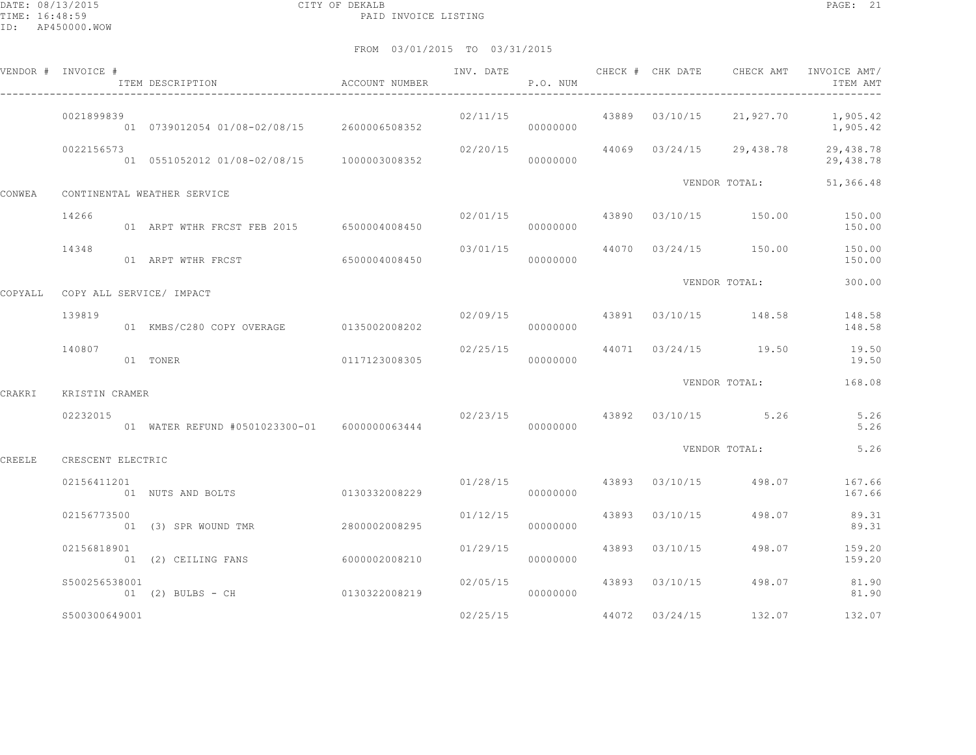DATE: 08/13/2015 CITY OF DEKALB PAGE: 21 PAID INVOICE LISTING

|         | VENDOR # INVOICE # | .<br>ITEM DESCRIPTION<br>$\hfill$ ACCOUNT NUMBER |               |                       | P.O. NUM |                |                                        | ITEM AMT                                                         |
|---------|--------------------|--------------------------------------------------|---------------|-----------------------|----------|----------------|----------------------------------------|------------------------------------------------------------------|
|         | 0021899839         | 01 0739012054 01/08-02/08/15 2600006508352       |               |                       | 00000000 |                |                                        | $02/11/15$ $43889$ $03/10/15$ $21,927.70$ $1,905.42$<br>1,905.42 |
|         | 0022156573         | 01  0551052012  01/08-02/08/15  1000003008352    |               | 02/20/15              | 00000000 |                | 44069 03/24/15 29,438.78               | 29,438.78<br>29,438.78                                           |
| CONWEA  |                    | CONTINENTAL WEATHER SERVICE                      |               |                       |          |                | VENDOR TOTAL:                          | 51,366.48                                                        |
|         | 14266              | 01 ARPT WTHR FRCST FEB 2015 6500004008450        |               |                       | 00000000 |                | $02/01/15$ $43890$ $03/10/15$ $150.00$ | 150.00<br>150.00                                                 |
|         | 14348              | 01 ARPT WTHR FRCST 6500004008450                 |               | 03/01/15              | 00000000 |                | 44070 03/24/15 150.00                  | 150.00<br>150.00                                                 |
| COPYALL |                    | COPY ALL SERVICE/ IMPACT                         |               |                       |          |                | VENDOR TOTAL:                          | 300.00                                                           |
|         | 139819             | 01 KMBS/C280 COPY OVERAGE 0135002008202          |               |                       | 00000000 |                | $02/09/15$ 43891 $03/10/15$ 148.58     | 148.58<br>148.58                                                 |
|         | 140807             | 01 TONER                                         | 0117123008305 |                       | 00000000 |                | $02/25/15$ $44071$ $03/24/15$ $19.50$  | 19.50<br>19.50                                                   |
| CRAKRI  | KRISTIN CRAMER     |                                                  |               |                       |          |                | VENDOR TOTAL:                          | 168.08                                                           |
|         | 02232015           | 01 WATER REFUND #0501023300-01 6000000063444     |               |                       | 00000000 |                | 02/23/15 43892 03/10/15 5.26           | 5.26<br>5.26                                                     |
| CREELE  | CRESCENT ELECTRIC  |                                                  |               |                       |          |                | VENDOR TOTAL:                          | 5.26                                                             |
|         | 02156411201        | 01 NUTS AND BOLTS                                | 0130332008229 |                       | 00000000 |                | $01/28/15$ 43893 $03/10/15$ 498.07     | 167.66<br>167.66                                                 |
|         | 02156773500        | 01 (3) SPR WOUND TMR                             | 2800002008295 | 01/12/15              | 00000000 | 43893 03/10/15 | 498.07                                 | 89.31<br>89.31                                                   |
|         | 02156818901        | 01 (2) CEILING FANS 6000002008210                |               | 01/29/15              | 00000000 | 43893 03/10/15 | 498.07                                 | 159.20<br>159.20                                                 |
|         | \$500256538001     | 01 (2) BULBS - CH 0130322008219                  |               | 02/05/15<br>000000000 |          | 43893 03/10/15 | 498.07                                 | 81.90<br>81.90                                                   |
|         | \$500300649001     |                                                  |               | 02/25/15              |          | 44072 03/24/15 | 132.07                                 | 132.07                                                           |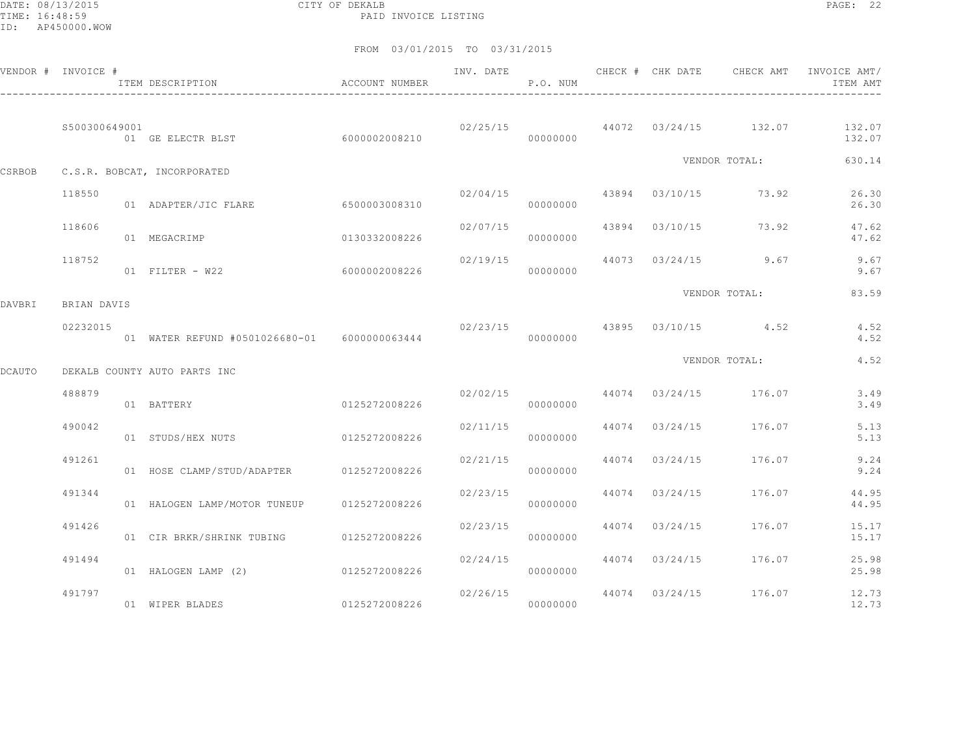DATE: 08/13/2015 CITY OF DEKALB PAGE: 22 PAID INVOICE LISTING

|               | VENDOR # INVOICE # | ITEM DESCRIPTION                              | ACCOUNT NUMBER | INV. DATE        | P.O. NUM |                | CHECK # CHK DATE CHECK AMT            | INVOICE AMT/<br>ITEM AMT |
|---------------|--------------------|-----------------------------------------------|----------------|------------------|----------|----------------|---------------------------------------|--------------------------|
|               | \$500300649001     | 01 GE ELECTR BLST 6000002008210               |                |                  | 00000000 |                | $02/25/15$ 44072 $03/24/15$ 132.07    | 132.07<br>132.07         |
| CSRBOB        |                    | C.S.R. BOBCAT, INCORPORATED                   |                |                  |          |                | VENDOR TOTAL:                         | 630.14                   |
|               | 118550             | 01 ADAPTER/JIC FLARE                          | 6500003008310  |                  | 00000000 |                | $02/04/15$ $43894$ $03/10/15$ $73.92$ | 26.30<br>26.30           |
|               | 118606             | 01 MEGACRIMP                                  | 0130332008226  | $02/07/15$ 43894 | 00000000 |                | 03/10/15 73.92                        | 47.62<br>47.62           |
|               | 118752             | 01 FILTER - W22 6000002008226                 |                | 02/19/15         | 00000000 |                | 44073 03/24/15 9.67                   | 9.67<br>9.67             |
| DAVBRI        | BRIAN DAVIS        |                                               |                |                  |          |                | VENDOR TOTAL:                         | 83.59                    |
|               | 02232015           | 01 WATER REFUND #0501026680-01  6000000063444 |                |                  | 00000000 |                | $02/23/15$ $43895$ $03/10/15$ $4.52$  | 4.52<br>4.52             |
| <b>DCAUTO</b> |                    | DEKALB COUNTY AUTO PARTS INC                  |                |                  |          |                | VENDOR TOTAL:                         | 4.52                     |
|               | 488879             | 01 BATTERY                                    | 0125272008226  | 02/02/15         | 00000000 |                | 44074 03/24/15 176.07                 | 3.49<br>3.49             |
|               | 490042             | 01 STUDS/HEX NUTS                             | 0125272008226  | 02/11/15         | 00000000 |                | 44074 03/24/15 176.07                 | 5.13<br>5.13             |
|               | 491261             | 01 HOSE CLAMP/STUD/ADAPTER 0125272008226      |                | 02/21/15         | 00000000 |                | 44074 03/24/15 176.07                 | 9.24<br>9.24             |
|               | 491344             | 01 HALOGEN LAMP/MOTOR TUNEUP                  | 0125272008226  | 02/23/15         | 00000000 | 44074 03/24/15 | 176.07                                | 44.95<br>44.95           |
|               | 491426             | 01 CIR BRKR/SHRINK TUBING 0125272008226       |                | 02/23/15         | 00000000 |                | 44074 03/24/15 176.07                 | 15.17<br>15.17           |
|               | 491494             | 01 HALOGEN LAMP (2)                           | 0125272008226  | 02/24/15         | 00000000 |                | 44074 03/24/15 176.07                 | 25.98<br>25.98           |
|               | 491797             | 01 WIPER BLADES                               | 0125272008226  | 02/26/15         | 00000000 |                | 44074 03/24/15 176.07                 | 12.73<br>12.73           |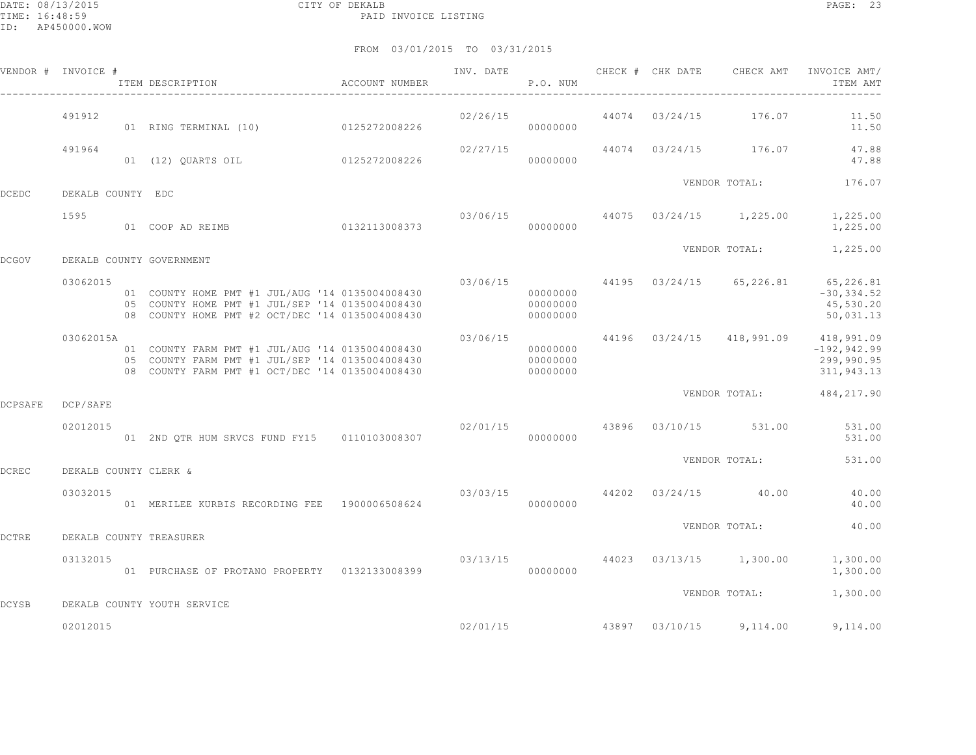|                | VENDOR # INVOICE #    | ITEM DESCRIPTION                                                                                                                                      | ACCOUNT NUMBER | INV. DATE | P.O. NUM                         |       | CHECK # CHK DATE | CHECK AMT               | INVOICE AMT/<br>ITEM AMT                                                           |
|----------------|-----------------------|-------------------------------------------------------------------------------------------------------------------------------------------------------|----------------|-----------|----------------------------------|-------|------------------|-------------------------|------------------------------------------------------------------------------------|
|                | 491912                | 01 RING TERMINAL (10)                                                                                                                                 | 0125272008226  | 02/26/15  | 00000000                         |       |                  | 44074 03/24/15 176.07   | 11.50<br>11.50                                                                     |
|                | 491964                | 01 (12) QUARTS OIL 0125272008226                                                                                                                      |                | 02/27/15  | 00000000                         |       |                  | 44074 03/24/15 176.07   | 47.88<br>47.88                                                                     |
| <b>DCEDC</b>   | DEKALB COUNTY EDC     |                                                                                                                                                       |                |           |                                  |       |                  | VENDOR TOTAL:           | 176.07                                                                             |
|                | 1595                  | 0132113008373<br>01 COOP AD REIMB                                                                                                                     |                | 03/06/15  | 00000000                         |       |                  | 44075 03/24/15 1,225.00 | 1,225.00<br>1,225.00                                                               |
| <b>DCGOV</b>   |                       | DEKALB COUNTY GOVERNMENT                                                                                                                              |                |           |                                  |       |                  | VENDOR TOTAL:           | 1,225.00                                                                           |
|                | 03062015              | 01 COUNTY HOME PMT #1 JUL/AUG '14 0135004008430<br>05 COUNTY HOME PMT #1 JUL/SEP '14 0135004008430<br>08 COUNTY HOME PMT #2 OCT/DEC '14 0135004008430 |                | 03/06/15  | 00000000<br>00000000<br>00000000 |       | 44195 03/24/15   |                         | 65, 226.81 65, 226.81<br>$-30, 334.52$<br>45,530.20<br>50,031.13                   |
|                | 03062015A             | 01 COUNTY FARM PMT #1 JUL/AUG '14 0135004008430<br>05 COUNTY FARM PMT #1 JUL/SEP '14 0135004008430<br>08 COUNTY FARM PMT #1 OCT/DEC '14 0135004008430 |                | 03/06/15  | 00000000<br>00000000<br>00000000 |       |                  |                         | 44196 03/24/15 418,991.09 418,991.09<br>$-192, 942.99$<br>299,990.95<br>311,943.13 |
| <b>DCPSAFE</b> | DCP/SAFE              |                                                                                                                                                       |                |           |                                  |       |                  | VENDOR TOTAL:           | 484,217.90                                                                         |
|                | 02012015              | 01 2ND QTR HUM SRVCS FUND FY15 0110103008307                                                                                                          |                | 02/01/15  | 00000000                         |       |                  | 43896 03/10/15 531.00   | 531.00<br>531.00                                                                   |
| <b>DCREC</b>   | DEKALB COUNTY CLERK & |                                                                                                                                                       |                |           |                                  |       |                  | VENDOR TOTAL:           | 531.00                                                                             |
|                | 03032015              | 01 MERILEE KURBIS RECORDING FEE 1900006508624                                                                                                         |                | 03/03/15  | 00000000                         | 44202 |                  | $03/24/15$ 40.00        | 40.00<br>40.00                                                                     |
| <b>DCTRE</b>   |                       | DEKALB COUNTY TREASURER                                                                                                                               |                |           |                                  |       |                  | VENDOR TOTAL:           | 40.00                                                                              |
|                | 03132015              | 01 PURCHASE OF PROTANO PROPERTY 0132133008399                                                                                                         |                | 03/13/15  | 00000000                         | 44023 |                  | 03/13/15 1,300.00       | 1,300.00<br>1,300.00                                                               |
| <b>DCYSB</b>   |                       | DEKALB COUNTY YOUTH SERVICE                                                                                                                           |                |           |                                  |       |                  | VENDOR TOTAL:           | 1,300.00                                                                           |
|                | 02012015              |                                                                                                                                                       |                | 02/01/15  |                                  | 43897 | 03/10/15         | 9,114.00                | 9,114.00                                                                           |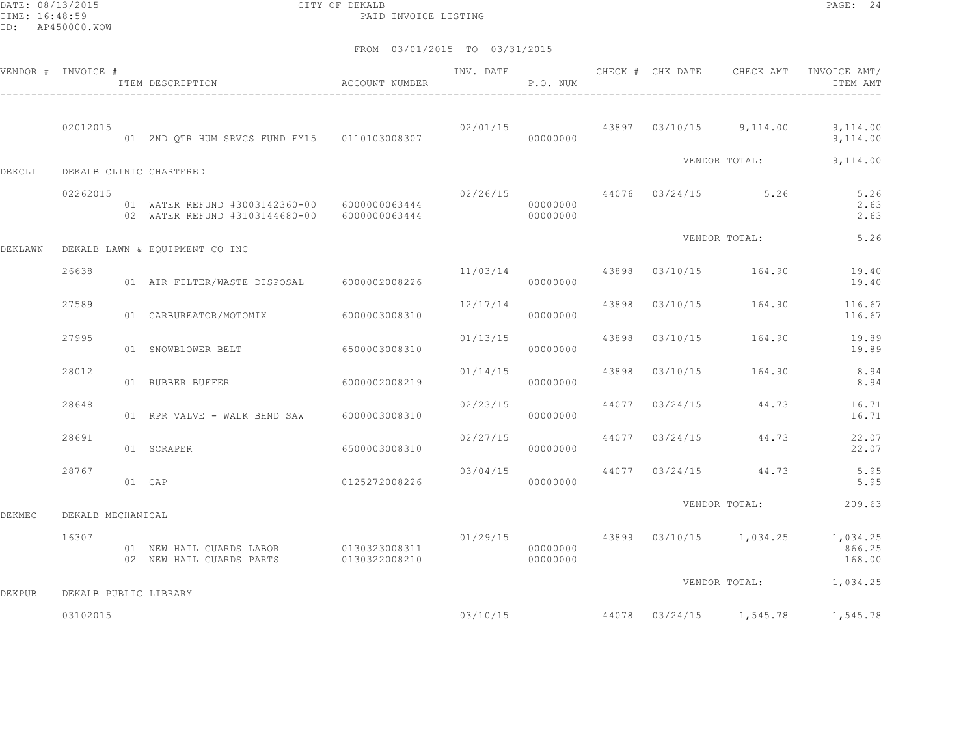DATE: 08/13/2015 CITY OF DEKALB PAGE: 24 PAID INVOICE LISTING

|               | VENDOR # INVOICE #    | ITEM DESCRIPTION                                                               | ACCOUNT NUMBER                 | INV. DATE | P.O. NUM             |       | CHECK # CHK DATE | CHECK AMT                          | INVOICE AMT/<br>ITEM AMT                             |
|---------------|-----------------------|--------------------------------------------------------------------------------|--------------------------------|-----------|----------------------|-------|------------------|------------------------------------|------------------------------------------------------|
|               | 02012015              | 01 2ND QTR HUM SRVCS FUND FY15 0110103008307                                   |                                |           | 00000000             |       |                  | $02/01/15$ 43897 03/10/15 9,114.00 | 9,114.00<br>9,114.00                                 |
| DEKCLI        |                       | DEKALB CLINIC CHARTERED                                                        |                                |           |                      |       |                  | VENDOR TOTAL:                      | 9,114.00                                             |
|               | 02262015              | 01 WATER REFUND #3003142360-00 6000000063444<br>02 WATER REFUND #3103144680-00 | 6000000063444                  | 02/26/15  | 00000000<br>00000000 |       |                  | 44076 03/24/15 5.26                | 5.26<br>2.63<br>2.63                                 |
| DEKLAWN       |                       | DEKALB LAWN & EQUIPMENT CO INC                                                 |                                |           |                      |       |                  | VENDOR TOTAL:                      | 5.26                                                 |
|               | 26638                 | 01 AIR FILTER/WASTE DISPOSAL                                                   | 6000002008226                  | 11/03/14  | 00000000             | 43898 | 03/10/15         | 164.90                             | 19.40<br>19.40                                       |
|               | 27589                 | 01 CARBUREATOR/MOTOMIX                                                         | 6000003008310                  | 12/17/14  | 00000000             | 43898 |                  | 03/10/15 164.90                    | 116.67<br>116.67                                     |
|               | 27995                 | 01 SNOWBLOWER BELT                                                             | 6500003008310                  | 01/13/15  | 00000000             | 43898 | 03/10/15         | 164.90                             | 19.89<br>19.89                                       |
|               | 28012                 | 01 RUBBER BUFFER                                                               | 6000002008219                  | 01/14/15  | 00000000             | 43898 | 03/10/15         | 164.90                             | 8.94<br>8.94                                         |
|               | 28648                 | 01 RPR VALVE - WALK BHND SAW                                                   | 6000003008310                  | 02/23/15  | 00000000             | 44077 | 03/24/15         | 44.73                              | 16.71<br>16.71                                       |
|               | 28691                 | 01 SCRAPER                                                                     | 6500003008310                  | 02/27/15  | 00000000             | 44077 | 03/24/15         | 44.73                              | 22.07<br>22.07                                       |
|               | 28767                 | $01$ CAP                                                                       | 0125272008226                  | 03/04/15  | 00000000             |       | 44077 03/24/15   | 44.73                              | 5.95<br>5.95                                         |
| DEKMEC        | DEKALB MECHANICAL     |                                                                                |                                |           |                      |       |                  | VENDOR TOTAL:                      | 209.63                                               |
|               | 16307                 | 01 NEW HAIL GUARDS LABOR<br>02 NEW HAIL GUARDS PARTS                           | 0130323008311<br>0130322008210 | 01/29/15  | 00000000<br>00000000 |       |                  |                                    | 43899 03/10/15 1,034.25 1,034.25<br>866.25<br>168.00 |
| <b>DEKPUB</b> | DEKALB PUBLIC LIBRARY |                                                                                |                                |           |                      |       |                  | VENDOR TOTAL:                      | 1,034.25                                             |
|               | 03102015              |                                                                                |                                |           | 03/10/15             |       |                  | 44078 03/24/15 1,545.78            | 1,545.78                                             |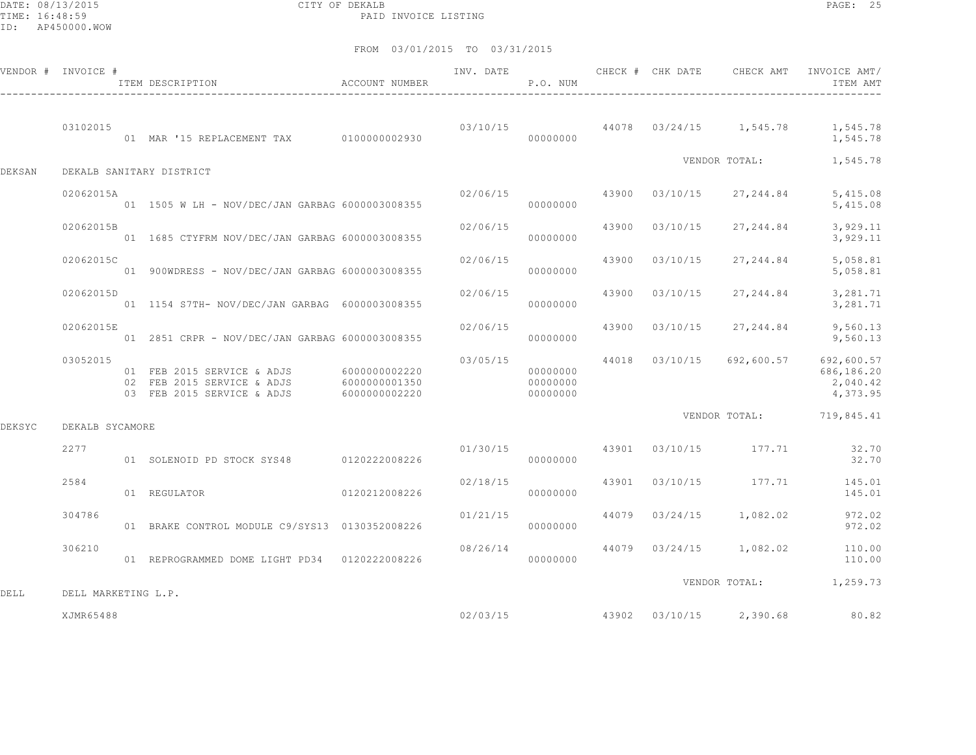DATE: 08/13/2015 CITY OF DEKALB PAGE: 25 PAID INVOICE LISTING

|        | VENDOR # INVOICE #  | ITEM DESCRIPTION ACCOUNT NUMBER                                                        |                                                 | INV. DATE | P.O. NUM                         |       | CHECK # CHK DATE | CHECK AMT                                | INVOICE AMT/<br>ITEM AMT                                                   |
|--------|---------------------|----------------------------------------------------------------------------------------|-------------------------------------------------|-----------|----------------------------------|-------|------------------|------------------------------------------|----------------------------------------------------------------------------|
|        | 03102015            | 01 MAR '15 REPLACEMENT TAX 0100000002930                                               |                                                 |           | 00000000                         |       |                  |                                          | $03/10/15$ $44078$ $03/24/15$ $1,545.78$ $1,545.78$<br>1,545.78            |
| DEKSAN |                     | DEKALB SANITARY DISTRICT                                                               |                                                 |           |                                  |       |                  | VENDOR TOTAL:                            | 1,545.78                                                                   |
|        | 02062015A           | 01   1505   W LH - NOV/DEC/JAN GARBAG   6000003008355                                  |                                                 | 02/06/15  | 00000000                         |       | 43900 03/10/15   | 27, 244.84                               | 5,415.08<br>5,415.08                                                       |
|        | 02062015B           | 01  1685 CTYFRM NOV/DEC/JAN GARBAG 6000003008355                                       |                                                 | 02/06/15  | 00000000                         | 43900 | 03/10/15         | 27, 244.84                               | 3,929.11<br>3,929.11                                                       |
|        | 02062015C           | 01  900WDRESS - NOV/DEC/JAN GARBAG 6000003008355                                       |                                                 | 02/06/15  | 00000000                         | 43900 | 03/10/15         | 27, 244.84                               | 5,058.81<br>5,058.81                                                       |
|        | 02062015D           | 01  1154  S7TH- NOV/DEC/JAN GARBAG  6000003008355                                      |                                                 | 02/06/15  | 00000000                         | 43900 | 03/10/15         | 27, 244.84                               | 3,281.71<br>3,281.71                                                       |
|        | 02062015E           | 01  2851  CRPR - NOV/DEC/JAN GARBAG  6000003008355                                     |                                                 | 02/06/15  | 00000000                         |       | 43900 03/10/15   | 27, 244.84                               | 9,560.13<br>9,560.13                                                       |
|        | 03052015            | 01 FEB 2015 SERVICE & ADJS<br>02 FEB 2015 SERVICE & ADJS<br>03 FEB 2015 SERVICE & ADJS | 6000000002220<br>6000000001350<br>6000000002220 | 03/05/15  | 00000000<br>00000000<br>00000000 |       |                  |                                          | 44018 03/10/15 692,600.57 692,600.57<br>686,186.20<br>2,040.42<br>4,373.95 |
| DEKSYC | DEKALB SYCAMORE     |                                                                                        |                                                 |           |                                  |       |                  |                                          | VENDOR TOTAL: 719,845.41                                                   |
|        | 2277                | 01 SOLENOID PD STOCK SYS48 0120222008226                                               |                                                 | 01/30/15  | 00000000                         |       |                  | 43901 03/10/15 177.71                    | 32.70<br>32.70                                                             |
|        | 2584                | 01 REGULATOR                                                                           | 0120212008226                                   | 02/18/15  | 00000000                         | 43901 |                  | 03/10/15 177.71                          | 145.01<br>145.01                                                           |
|        | 304786              | 01 BRAKE CONTROL MODULE C9/SYS13 0130352008226                                         |                                                 | 01/21/15  | 00000000                         |       |                  | 44079 03/24/15 1,082.02                  | 972.02<br>972.02                                                           |
|        | 306210              | 01 REPROGRAMMED DOME LIGHT PD34 0120222008226                                          |                                                 | 08/26/14  | 00000000                         |       |                  |                                          | 44079 03/24/15 1,082.02 110.00<br>110.00                                   |
| DELL   | DELL MARKETING L.P. |                                                                                        |                                                 |           |                                  |       |                  |                                          | VENDOR TOTAL: 1,259.73                                                     |
|        | XJMR65488           |                                                                                        |                                                 |           |                                  |       |                  | $02/03/15$ $43902$ $03/10/15$ $2,390.68$ | 80.82                                                                      |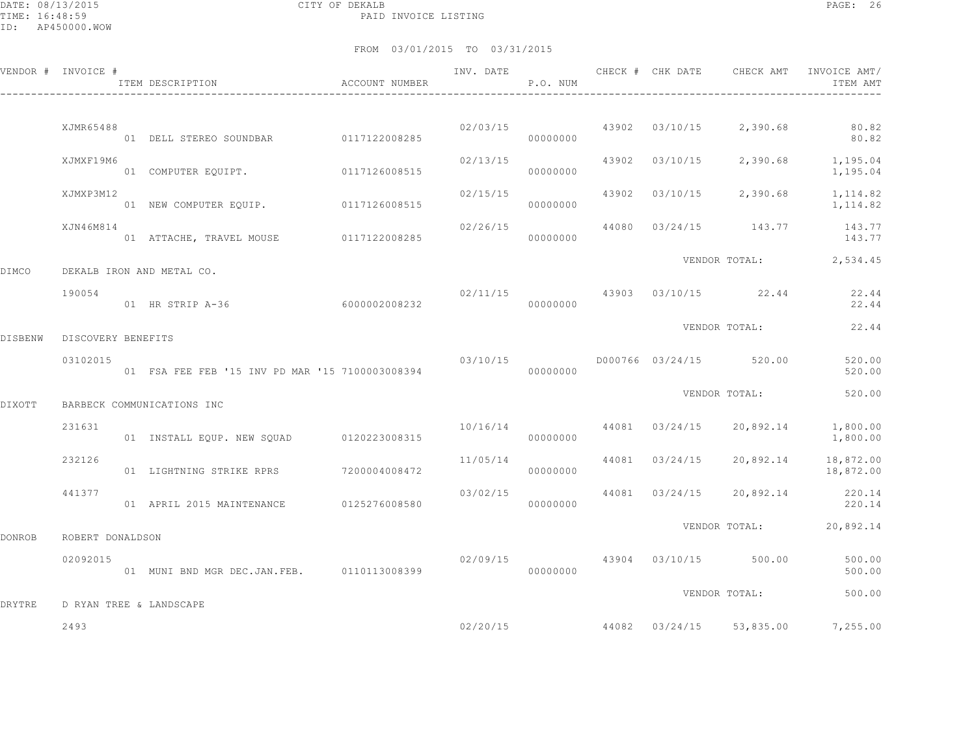DATE: 08/13/2015 CITY OF DEKALB PAGE: 26 PAID INVOICE LISTING

|         | VENDOR # INVOICE # | ITEM DESCRIPTION                                | ACCOUNT NUMBER | INV. DATE | P.O. NUM                   | CHECK # CHK DATE        | CHECK AMT                     | INVOICE AMT/<br>ITEM AMT                             |
|---------|--------------------|-------------------------------------------------|----------------|-----------|----------------------------|-------------------------|-------------------------------|------------------------------------------------------|
|         |                    |                                                 |                |           |                            |                         |                               |                                                      |
|         | XJMR65488          |                                                 |                |           | 02/03/15 43902<br>00000000 |                         | $03/10/15$ 2,390.68           | 80.82<br>80.82                                       |
|         | XJMXF19M6          | 01 COMPUTER EQUIPT. 0117126008515               |                |           | 00000000                   | 02/13/15 43902 03/10/15 |                               | 2,390.68 1,195.04<br>1,195.04                        |
|         | XJMXP3M12          | 01 NEW COMPUTER EQUIP. 0117126008515            |                | 02/15/15  | 00000000                   |                         | 43902 03/10/15 2,390.68       | 1,114.82<br>1, 114.82                                |
|         | XJN46M814          | 01 ATTACHE, TRAVEL MOUSE 0117122008285          |                | 02/26/15  | 00000000                   |                         |                               | 44080 03/24/15 143.77 143.77<br>143.77               |
| DIMCO   |                    | DEKALB IRON AND METAL CO.                       |                |           |                            |                         |                               | VENDOR TOTAL: 2,534.45                               |
|         | 190054             | 01 HR STRIP A-36 6000002008232                  |                |           | 000000000                  |                         | 02/11/15 43903 03/10/15 22.44 | 22.44<br>22.44                                       |
| DISBENW | DISCOVERY BENEFITS |                                                 |                |           |                            |                         |                               | VENDOR TOTAL: 22.44                                  |
|         | 03102015           | 01 FSA FEE FEB '15 INV PD MAR '15 7100003008394 |                | 03/10/15  | 00000000                   |                         | D000766 03/24/15 520.00       | 520.00<br>520.00                                     |
| DIXOTT  |                    | BARBECK COMMUNICATIONS INC                      |                |           |                            |                         | VENDOR TOTAL:                 | 520.00                                               |
|         | 231631             | 01 INSTALL EQUP. NEW SQUAD 0120223008315        |                | 10/16/14  | 00000000                   | 44081 03/24/15          | 20,892.14                     | 1,800.00<br>1,800.00                                 |
|         | 232126             | 01 LIGHTNING STRIKE RPRS 7200004008472          |                | 11/05/14  | 00000000                   | 44081 03/24/15          | 20,892.14                     | 18,872.00<br>18,872.00                               |
|         | 441377             | 01 APRIL 2015 MAINTENANCE 0125276008580         |                | 03/02/15  | 00000000                   | 44081 03/24/15          |                               | 20,892.14 220.14<br>220.14                           |
| DONROB  | ROBERT DONALDSON   |                                                 |                |           |                            |                         |                               | VENDOR TOTAL: 20,892.14                              |
|         | 02092015           | 01 MUNI BND MGR DEC.JAN.FEB. 0110113008399      |                | 02/09/15  | 00000000                   |                         | 43904 03/10/15 500.00         | 500.00<br>500.00                                     |
| DRYTRE  |                    | D RYAN TREE & LANDSCAPE                         |                |           |                            |                         | VENDOR TOTAL:                 | 500.00                                               |
|         | 2493               |                                                 |                |           |                            |                         |                               | $02/20/15$ $44082$ $03/24/15$ $53,835.00$ $7,255.00$ |
|         |                    |                                                 |                |           |                            |                         |                               |                                                      |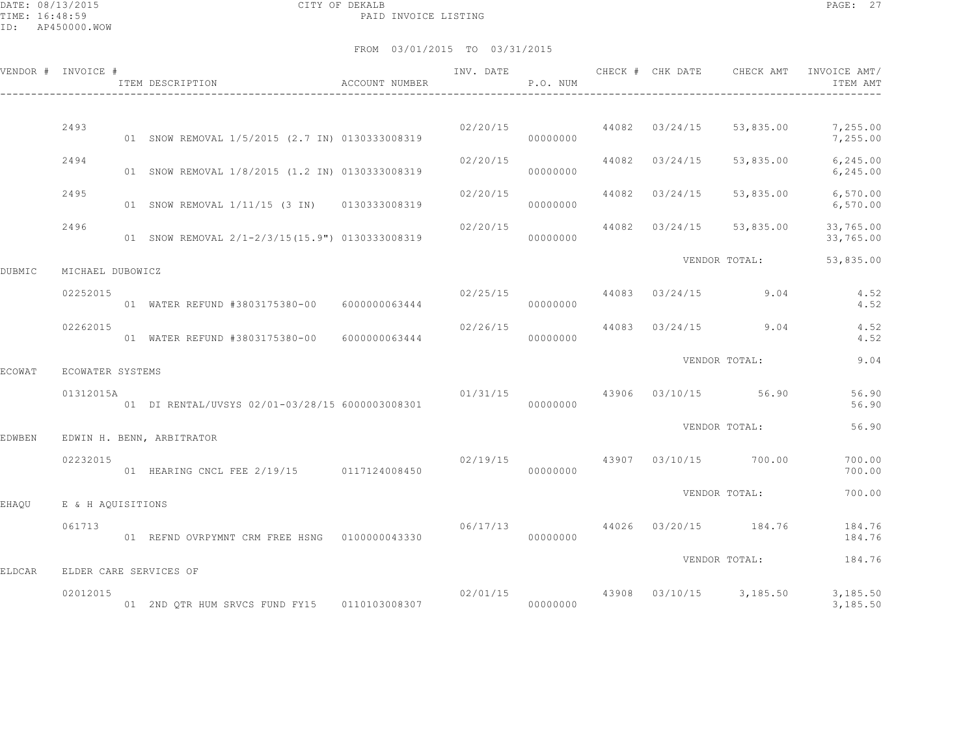DATE: 08/13/2015 CITY OF DEKALB PAGE: 27 PAID INVOICE LISTING

|        | VENDOR # INVOICE # | ACCOUNT NUMBER<br>ITEM DESCRIPTION<br>------------------------------- | INV. DATE        | P.O. NUM |                                        |               | CHECK # CHK DATE CHECK AMT INVOICE AMT/<br>ITEM AMT   |
|--------|--------------------|-----------------------------------------------------------------------|------------------|----------|----------------------------------------|---------------|-------------------------------------------------------|
|        | 2493               | 01 SNOW REMOVAL 1/5/2015 (2.7 IN) 0130333008319                       | 02/20/15         | 00000000 | 44082 03/24/15 53,835.00               |               | 7,255.00<br>7,255.00                                  |
|        | 2494               | 01 SNOW REMOVAL 1/8/2015 (1.2 IN) 0130333008319                       | 02/20/15         | 00000000 | 44082 03/24/15                         | 53,835.00     | 6, 245.00<br>6, 245.00                                |
|        | 2495               | 01 SNOW REMOVAL 1/11/15 (3 IN) 0130333008319                          | 02/20/15         | 00000000 | 44082 03/24/15                         | 53,835.00     | 6,570.00<br>6,570.00                                  |
|        | 2496               | 01 SNOW REMOVAL 2/1-2/3/15(15.9") 0130333008319                       | 02/20/15         | 00000000 | 44082 03/24/15                         | 53,835.00     | 33,765.00<br>33,765.00                                |
| DUBMIC | MICHAEL DUBOWICZ   |                                                                       |                  |          |                                        | VENDOR TOTAL: | 53,835.00                                             |
|        | 02252015           | 01 WATER REFUND #3803175380-00 6000000063444                          |                  | 00000000 | $02/25/15$ 44083 03/24/15 9.04         |               | 4.52<br>4.52                                          |
|        | 02262015           | 01 WATER REFUND #3803175380-00 6000000063444                          | $02/26/15$ 44083 | 00000000 | $03/24/15$ 9.04                        |               | 4.52<br>4.52                                          |
| ECOWAT | ECOWATER SYSTEMS   |                                                                       |                  |          |                                        | VENDOR TOTAL: | 9.04                                                  |
|        | 01312015A          | 01 DI RENTAL/UVSYS 02/01-03/28/15 6000003008301                       |                  | 00000000 | $01/31/15$ $43906$ $03/10/15$ $56.90$  |               | 56.90<br>56.90                                        |
| EDWBEN |                    | EDWIN H. BENN, ARBITRATOR                                             |                  |          |                                        | VENDOR TOTAL: | 56.90                                                 |
|        | 02232015           | 01 HEARING CNCL FEE 2/19/15 0117124008450                             |                  | 00000000 | $02/19/15$ $43907$ $03/10/15$ $700.00$ |               | 700.00<br>700.00                                      |
| EHAOU  | E & H AOUISITIONS  |                                                                       |                  |          |                                        | VENDOR TOTAL: | 700.00                                                |
|        | 061713             | 01 REFND OVRPYMNT CRM FREE HSNG 0100000043330                         | 06/17/13         | 00000000 | 44026 03/20/15 184.76                  |               | 184.76<br>184.76                                      |
| ELDCAR |                    | ELDER CARE SERVICES OF                                                |                  |          |                                        | VENDOR TOTAL: | 184.76                                                |
|        | 02012015           | 01 2ND QTR HUM SRVCS FUND FY15 0110103008307                          |                  | 00000000 |                                        |               | 02/01/15 43908 03/10/15 3,185.50 3,185.50<br>3,185.50 |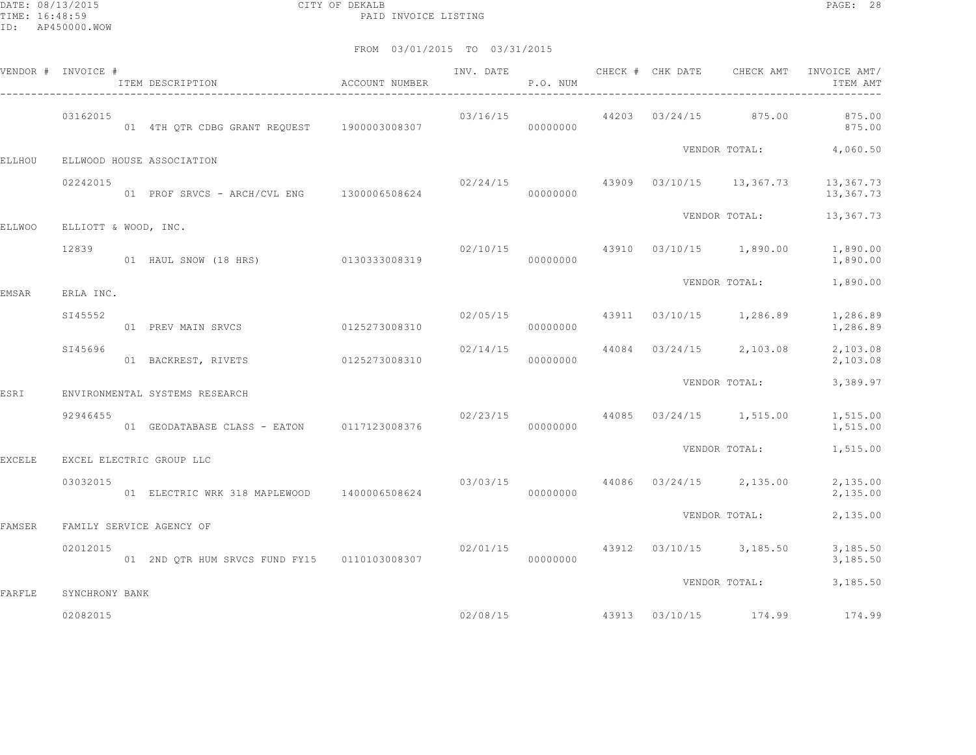|               | VENDOR # INVOICE #   | ITEM DESCRIPTION                                               | ACCOUNT NUMBER | INV. DATE | P.O. NUM |  | CHECK # CHK DATE CHECK AMT                | INVOICE AMT/<br>ITEM AMT               |
|---------------|----------------------|----------------------------------------------------------------|----------------|-----------|----------|--|-------------------------------------------|----------------------------------------|
|               | 03162015             | 01 4TH QTR CDBG GRANT REQUEST 1900003008307                    |                | 03/16/15  | 00000000 |  |                                           | 44203 03/24/15 875.00 875.00<br>875.00 |
| ELLHOU        |                      | ELLWOOD HOUSE ASSOCIATION                                      |                |           |          |  |                                           | VENDOR TOTAL: 4,060.50                 |
|               | 02242015             | 01 PROF SRVCS - ARCH/CVL ENG 1300006508624 000000000           |                |           |          |  | $02/24/15$ $43909$ $03/10/15$ $13,367.73$ | 13,367.73<br>13,367.73                 |
| <b>ELLWOO</b> | ELLIOTT & WOOD, INC. |                                                                |                |           |          |  |                                           | VENDOR TOTAL: 13,367.73                |
|               | 12839                | 01 HAUL SNOW (18 HRS) 0130333008319                            |                |           | 00000000 |  | $02/10/15$ $43910$ $03/10/15$ $1,890.00$  | 1,890.00<br>1,890.00                   |
| EMSAR         | ERLA INC.            |                                                                |                |           |          |  | VENDOR TOTAL:                             | 1,890.00                               |
|               | SI45552              | 01 PREV MAIN SRVCS 0125273008310                               |                | 02/05/15  | 00000000 |  | 43911 03/10/15 1,286.89                   | 1,286.89<br>1,286.89                   |
|               | SI45696              | 01 BACKREST, RIVETS 0125273008310                              |                | 02/14/15  | 00000000 |  | 44084 03/24/15 2,103.08                   | 2,103.08<br>2,103.08                   |
| ESRI          |                      | ENVIRONMENTAL SYSTEMS RESEARCH                                 |                |           |          |  | VENDOR TOTAL:                             | 3,389.97                               |
|               | 92946455             | 01 GEODATABASE CLASS - EATON 0117123008376                     |                |           | 00000000 |  | $02/23/15$ 44085 03/24/15 1,515.00        | 1,515.00<br>1,515.00                   |
| <b>EXCELE</b> |                      | EXCEL ELECTRIC GROUP LLC                                       |                |           |          |  | VENDOR TOTAL:                             | 1,515.00                               |
|               | 03032015             | 01 ELECTRIC WRK 318 MAPLEWOOD 1400006508624 000000000 00000000 |                |           |          |  | $03/03/15$ 44086 03/24/15 2,135.00        | 2,135.00<br>2,135.00                   |
| FAMSER        |                      | FAMILY SERVICE AGENCY OF                                       |                |           |          |  | VENDOR TOTAL:                             | 2,135.00                               |
|               | 02012015             | 01 2ND QTR HUM SRVCS FUND FY15   0110103008307                 |                |           | 00000000 |  | $02/01/15$ $43912$ $03/10/15$ $3,185.50$  | 3,185.50<br>3,185.50                   |
| FARFLE        | SYNCHRONY BANK       |                                                                |                |           |          |  | VENDOR TOTAL:                             | 3,185.50                               |
|               | 02082015             |                                                                |                |           |          |  |                                           | 02/08/15 43913 03/10/15 174.99 174.99  |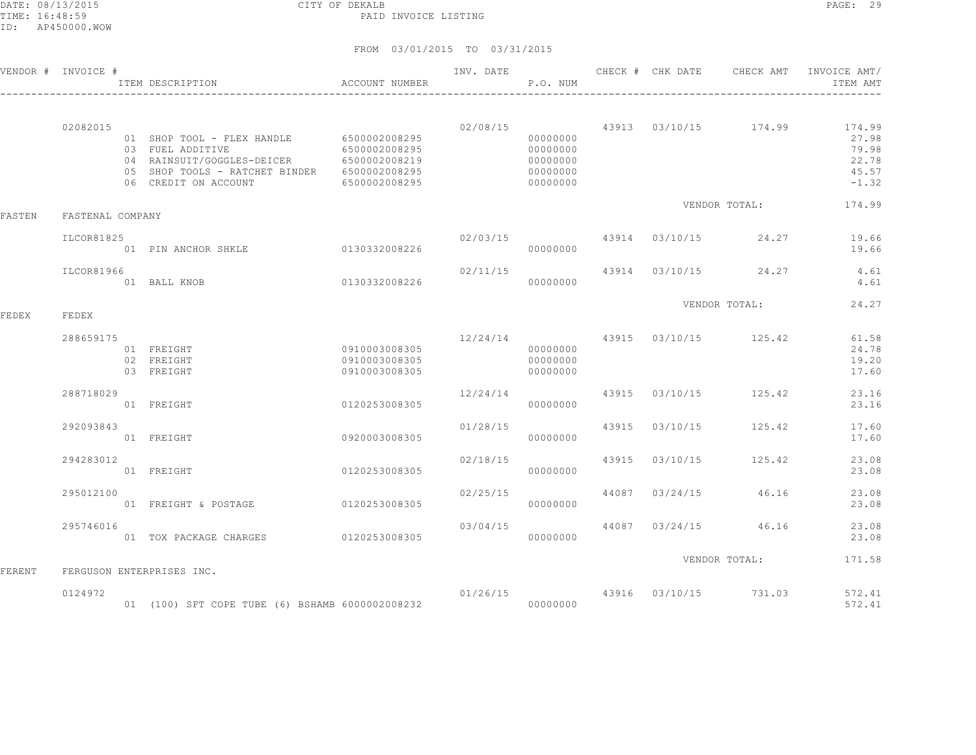DATE: 08/13/2015 CITY OF DEKALB PAGE: 29 PAID INVOICE LISTING

|        | VENDOR # INVOICE # | ITEM DESCRIPTION                                                                                                                                                                 | ACCOUNT NUMBER                                  | INV. DATE | P.O. NUM                                                 |       |                                        | CHECK # CHK DATE CHECK AMT INVOICE AMT/<br>ITEM AMT                                            |
|--------|--------------------|----------------------------------------------------------------------------------------------------------------------------------------------------------------------------------|-------------------------------------------------|-----------|----------------------------------------------------------|-------|----------------------------------------|------------------------------------------------------------------------------------------------|
|        | 02082015           | 01 SHOP TOOL - FLEX HANDLE 6500002008295<br>03 FUEL ADDITIVE<br>04 RAINSUIT/GOGGLES-DEICER 6500002008219<br>05 SHOP TOOLS - RATCHET BINDER 6500002008295<br>06 CREDIT ON ACCOUNT | 6500002008295<br>6500002008295                  |           | 00000000<br>00000000<br>00000000<br>00000000<br>00000000 |       |                                        | $02/08/15$ $43913$ $03/10/15$ $174.99$ $174.99$<br>27.98<br>79.98<br>22.78<br>45.57<br>$-1.32$ |
| FASTEN | FASTENAL COMPANY   |                                                                                                                                                                                  |                                                 |           |                                                          |       | VENDOR TOTAL:                          | 174.99                                                                                         |
|        | ILCOR81825         | 01 PIN ANCHOR SHKLE                                                                                                                                                              | 0130332008226                                   |           | 00000000                                                 |       | $02/03/15$ $43914$ $03/10/15$ $24.27$  | 19.66<br>19.66                                                                                 |
|        | ILCOR81966         | 01 BALL KNOB                                                                                                                                                                     | 0130332008226                                   |           | 00000000                                                 |       | 02/11/15 43914 03/10/15 24.27          | 4.61<br>4.61                                                                                   |
| FEDEX  | FEDEX              |                                                                                                                                                                                  |                                                 |           |                                                          |       | VENDOR TOTAL:                          | 24.27                                                                                          |
|        | 288659175          | 01 FREIGHT<br>02 FREIGHT<br>03 FREIGHT                                                                                                                                           | 0910003008305<br>0910003008305<br>0910003008305 |           | 00000000<br>00000000<br>00000000                         |       | $12/24/14$ $43915$ $03/10/15$ $125.42$ | 61.58<br>24.78<br>19.20<br>17.60                                                               |
|        | 288718029          | 01 FREIGHT                                                                                                                                                                       | 0120253008305                                   | 12/24/14  | 00000000                                                 |       | 43915 03/10/15 125.42                  | 23.16<br>23.16                                                                                 |
|        | 292093843          | 01 FREIGHT                                                                                                                                                                       | 0920003008305                                   | 01/28/15  | 00000000                                                 |       | 43915 03/10/15 125.42                  | 17.60<br>17.60                                                                                 |
|        | 294283012          | 01 FREIGHT                                                                                                                                                                       | 0120253008305                                   | 02/18/15  | 00000000                                                 | 43915 | 03/10/15 125.42                        | 23.08<br>23.08                                                                                 |
|        | 295012100          | 01 FREIGHT & POSTAGE                                                                                                                                                             | 0120253008305                                   | 02/25/15  | 00000000                                                 |       | 44087 03/24/15 46.16                   | 23.08<br>23.08                                                                                 |
|        | 295746016          | 01 TOX PACKAGE CHARGES 0120253008305                                                                                                                                             |                                                 | 03/04/15  | 00000000                                                 |       | 44087 03/24/15 46.16                   | 23.08<br>23.08                                                                                 |
| FERENT |                    | FERGUSON ENTERPRISES INC.                                                                                                                                                        |                                                 |           |                                                          |       | VENDOR TOTAL:                          | 171.58                                                                                         |
|        | 0124972            | 01 (100) SFT COPE TUBE (6) BSHAMB 6000002008232                                                                                                                                  |                                                 |           | 00000000                                                 |       | $01/26/15$ 43916 03/10/15 731.03       | 572.41<br>572.41                                                                               |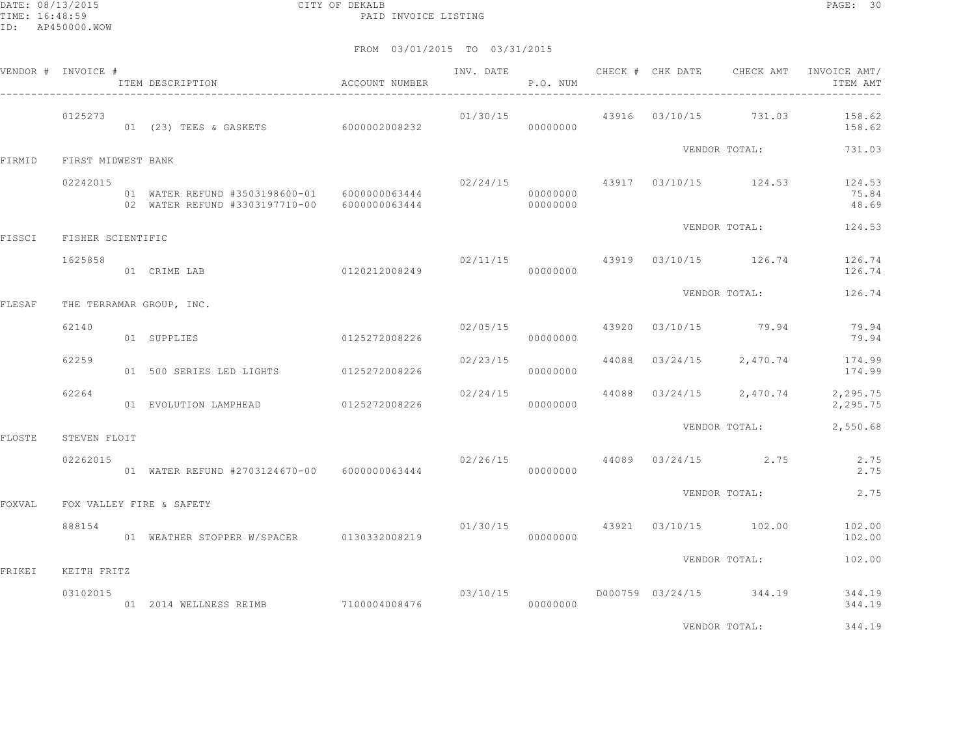|        | VENDOR # INVOICE # | ITEM DESCRIPTION                                                                             | ACCOUNT NUMBER |          | P.O. NUM |  |                                       | INV. DATE 6 CHECK # CHK DATE CHECK AMT INVOICE AMT/<br>ITEM AMT   |
|--------|--------------------|----------------------------------------------------------------------------------------------|----------------|----------|----------|--|---------------------------------------|-------------------------------------------------------------------|
|        | 0125273            | 01 (23) TEES & GASKETS 6000002008232                                                         |                |          | 00000000 |  |                                       | $01/30/15$ $43916$ $03/10/15$ $731.03$ $158.62$<br>158.62         |
| FIRMID | FIRST MIDWEST BANK |                                                                                              |                |          |          |  |                                       | VENDOR TOTAL: 731.03                                              |
|        | 02242015           | 01 WATER REFUND #3503198600-01 6000000063444<br>02 WATER REFUND #3303197710-00 6000000063444 |                |          | 00000000 |  |                                       | $02/24/15$ $43917$ $03/10/15$ $124.53$ $124.53$<br>75.84<br>48.69 |
| FISSCI | FISHER SCIENTIFIC  |                                                                                              |                |          |          |  | VENDOR TOTAL:                         | 124.53                                                            |
|        | 1625858            | 01 CRIME LAB                                                                                 |                |          |          |  |                                       | $02/11/15$ 43919 $03/10/15$ 126.74 126.74<br>126.74               |
| FLESAF |                    | THE TERRAMAR GROUP, INC.                                                                     |                |          |          |  | VENDOR TOTAL:                         | 126.74                                                            |
|        | 62140              | 01 SUPPLIES                                                                                  | 0125272008226  |          | 00000000 |  | $02/05/15$ $43920$ $03/10/15$ $79.94$ | 79.94<br>79.94                                                    |
|        | 62259              | 01 500 SERIES LED LIGHTS 0125272008226                                                       |                | 02/23/15 | 00000000 |  |                                       | 44088 03/24/15 2,470.74 174.99<br>174.99                          |
|        | 62264              | 01 EVOLUTION LAMPHEAD 0125272008226                                                          |                | 02/24/15 | 00000000 |  |                                       | 44088 03/24/15 2,470.74 2,295.75<br>2,295.75                      |
| FLOSTE | STEVEN FLOIT       |                                                                                              |                |          |          |  | VENDOR TOTAL:                         | 2,550.68                                                          |
|        | 02262015           | 01 WATER REFUND #2703124670-00 6000000063444                                                 |                |          | 00000000 |  | $02/26/15$ 44089 $03/24/15$ 2.75      | 2.75<br>2.75                                                      |
| FOXVAL |                    | FOX VALLEY FIRE & SAFETY                                                                     |                |          |          |  | VENDOR TOTAL:                         | 2.75                                                              |
|        | 888154             | 01 WEATHER STOPPER W/SPACER 0130332008219                                                    |                |          | 00000000 |  | 01/30/15 43921 03/10/15 102.00        | 102.00<br>102.00                                                  |
| FRIKEI | KEITH FRITZ        |                                                                                              |                |          |          |  | VENDOR TOTAL:                         | 102.00                                                            |
|        | 03102015           | 01  2014  WELLNESS REIMB  7100004008476  000000000                                           |                |          |          |  |                                       | 03/10/15    0000759    03/24/15    344.19    344.19<br>344.19     |
|        |                    |                                                                                              |                |          |          |  | VENDOR TOTAL:                         | 344.19                                                            |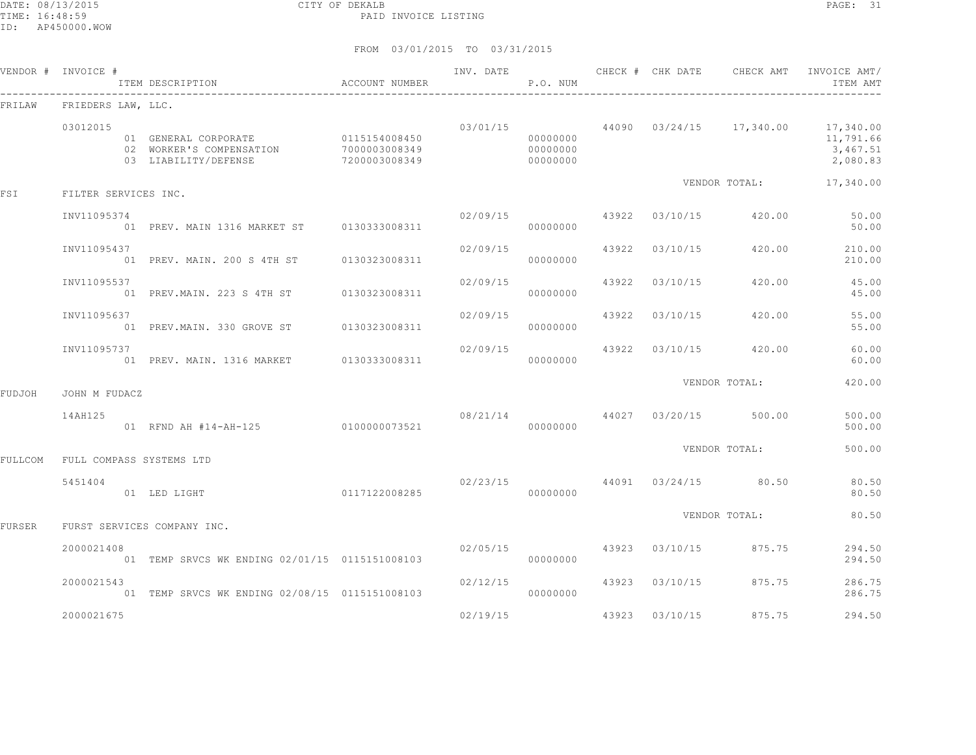DATE: 08/13/2015 CITY OF DEKALB PAGE: 31 PAID INVOICE LISTING

|         | VENDOR # INVOICE #       | ITEM DESCRIPTION                                                                       | ACCOUNT NUMBER                 | INV. DATE | P.O. NUM                         |       |                         | CHECK # CHK DATE CHECK AMT          | INVOICE AMT/<br>ITEM AMT                                                             |
|---------|--------------------------|----------------------------------------------------------------------------------------|--------------------------------|-----------|----------------------------------|-------|-------------------------|-------------------------------------|--------------------------------------------------------------------------------------|
| FRILAW  | FRIEDERS LAW, LLC.       |                                                                                        |                                |           |                                  |       |                         |                                     |                                                                                      |
|         | 03012015                 | 01 GENERAL CORPORATE 0115154008450<br>02 WORKER'S COMPENSATION<br>03 LIABILITY/DEFENSE | 7000003008349<br>7200003008349 |           | 00000000<br>00000000<br>00000000 |       |                         |                                     | $03/01/15$ 44090 $03/24/15$ 17,340.00 17,340.00<br>11,791.66<br>3,467.51<br>2,080.83 |
| FSI     | FILTER SERVICES INC.     |                                                                                        |                                |           |                                  |       |                         | VENDOR TOTAL:                       | 17,340.00                                                                            |
|         | INV11095374              | 01 PREV. MAIN 1316 MARKET ST 0130333008311                                             |                                |           | 02/09/15<br>00000000             |       | 43922 03/10/15          | 420.00                              | 50.00<br>50.00                                                                       |
|         | INV11095437              | 01 PREV. MAIN. 200 S 4TH ST                                                            | 0130323008311                  | 02/09/15  | 00000000                         |       | 43922 03/10/15          | 420.00                              | 210.00<br>210.00                                                                     |
|         | INV11095537              | 01 PREV. MAIN. 223 S 4TH ST 0130323008311                                              |                                | 02/09/15  | 00000000                         |       | 43922 03/10/15          | 420.00                              | 45.00<br>45.00                                                                       |
|         | INV11095637              | 01 PREV.MAIN. 330 GROVE ST                                                             | 0130323008311                  | 02/09/15  | 00000000                         |       | 43922 03/10/15          | 420.00                              | 55.00<br>55.00                                                                       |
|         | INV11095737              | 01 PREV. MAIN. 1316 MARKET 0130333008311                                               |                                | 02/09/15  | 00000000                         | 43922 |                         | 03/10/15 420.00                     | 60.00<br>60.00                                                                       |
| FUDJOH  | JOHN M FUDACZ            |                                                                                        |                                |           |                                  |       |                         | VENDOR TOTAL:                       | 420.00                                                                               |
|         | 14AH125                  | 01 RFND AH #14-AH-125 0100000073521                                                    |                                |           | 00000000                         |       | 08/21/14 44027 03/20/15 | 500.00                              | 500.00<br>500.00                                                                     |
| FULLCOM | FULL COMPASS SYSTEMS LTD |                                                                                        |                                |           |                                  |       |                         | VENDOR TOTAL:                       | 500.00                                                                               |
|         | 5451404                  | 01 LED LIGHT                                                                           | 0117122008285                  |           | 00000000                         |       |                         | $02/23/15$ $44091$ $03/24/15$ 80.50 | 80.50<br>80.50                                                                       |
| FURSER  |                          | FURST SERVICES COMPANY INC.                                                            |                                |           |                                  |       |                         | VENDOR TOTAL:                       | 80.50                                                                                |
|         | 2000021408               | 01 TEMP SRVCS WK ENDING 02/01/15 0115151008103                                         |                                | 02/05/15  | 00000000                         |       | 43923 03/10/15          | 875.75                              | 294.50<br>294.50                                                                     |
|         | 2000021543               | 01 TEMP SRVCS WK ENDING 02/08/15 0115151008103                                         |                                | 02/12/15  | 00000000                         |       | 43923 03/10/15          | 875.75                              | 286.75<br>286.75                                                                     |
|         | 2000021675               |                                                                                        |                                | 02/19/15  |                                  |       | 43923 03/10/15          | 875.75                              | 294.50                                                                               |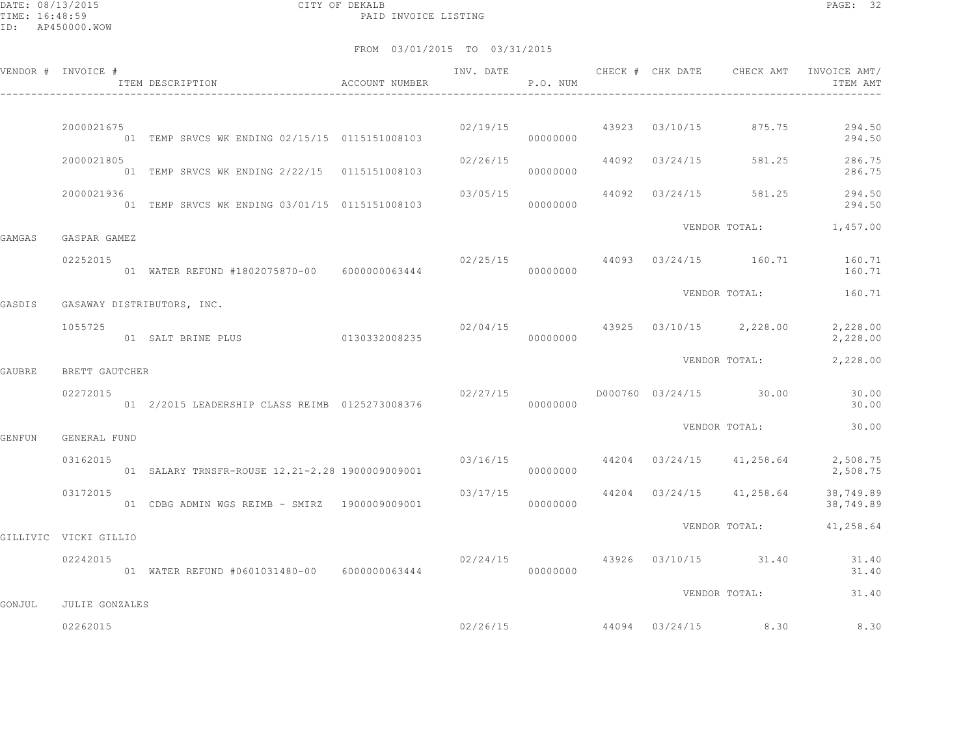DATE: 08/13/2015 CITY OF DEKALB PAGE: 32 PAID INVOICE LISTING

|               | VENDOR # INVOICE #    | ITEM DESCRIPTION ACCOUNT NUMBER                               |               |          | P.O. NUM |  |                                          | INVOICE AMT/<br>ITEM AMT                                         |
|---------------|-----------------------|---------------------------------------------------------------|---------------|----------|----------|--|------------------------------------------|------------------------------------------------------------------|
|               | 2000021675            | 01 TEMP SRVCS WK ENDING 02/15/15 0115151008103                |               |          | 00000000 |  | $02/19/15$ $43923$ $03/10/15$ $875.75$   | 294.50<br>294.50                                                 |
|               | 2000021805            | 01 TEMP SRVCS WK ENDING 2/22/15 0115151008103                 |               | 02/26/15 | 00000000 |  |                                          | 44092 03/24/15 581.25 286.75<br>286.75                           |
|               | 2000021936            | 01 TEMP SRVCS WK ENDING 03/01/15 0115151008103                |               | 03/05/15 | 00000000 |  |                                          | 44092 03/24/15 581.25 294.50<br>294.50                           |
| GAMGAS        | GASPAR GAMEZ          |                                                               |               |          |          |  |                                          | VENDOR TOTAL: 1,457.00                                           |
|               | 02252015              | 01 WATER REFUND #1802075870-00 6000000063444                  |               | 00000000 |          |  |                                          | $02/25/15$ $44093$ $03/24/15$ $160.71$ $160.71$<br>160.71        |
| GASDIS        |                       | GASAWAY DISTRIBUTORS, INC.                                    |               |          |          |  |                                          | VENDOR TOTAL: 160.71                                             |
|               | 1055725               | 01 SALT BRINE PLUS                                            | 0130332008235 |          | 00000000 |  | $02/04/15$ $43925$ $03/10/15$ $2,228.00$ | 2,228.00<br>2,228.00                                             |
| GAUBRE        | BRETT GAUTCHER        |                                                               |               |          |          |  | VENDOR TOTAL:                            | 2,228.00                                                         |
|               | 02272015              | 01  2/2015 LEADERSHIP CLASS REIMB  0125273008376  00000000000 |               | 02/27/15 |          |  |                                          | D000760 03/24/15 30.00 30.00<br>30.00                            |
| <b>GENFUN</b> | GENERAL FUND          |                                                               |               |          |          |  | VENDOR TOTAL:                            | 30.00                                                            |
|               | 03162015              | 01 SALARY TRNSFR-ROUSE 12.21-2.28 1900009009001               |               |          | 00000000 |  |                                          | $03/16/15$ $44204$ $03/24/15$ $41,258.64$ $2,508.75$<br>2,508.75 |
|               | 03172015              | 01 CDBG ADMIN WGS REIMB - SMIRZ 1900009009001                 |               |          | 00000000 |  | $03/17/15$ 44204 03/24/15 41,258.64      | 38,749.89<br>38,749.89                                           |
|               | GILLIVIC VICKI GILLIO |                                                               |               |          |          |  |                                          | VENDOR TOTAL: 41,258.64                                          |
|               | 02242015              | 01 WATER REFUND #0601031480-00 6000000063444                  |               | 00000000 |          |  | $02/24/15$ $43926$ $03/10/15$ $31.40$    | 31.40<br>31.40                                                   |
| GONJUL        | JULIE GONZALES        |                                                               |               |          |          |  | VENDOR TOTAL:                            | 31.40                                                            |
|               | 02262015              |                                                               |               |          | 02/26/15 |  | 44094 03/24/15 8.30                      | 8.30                                                             |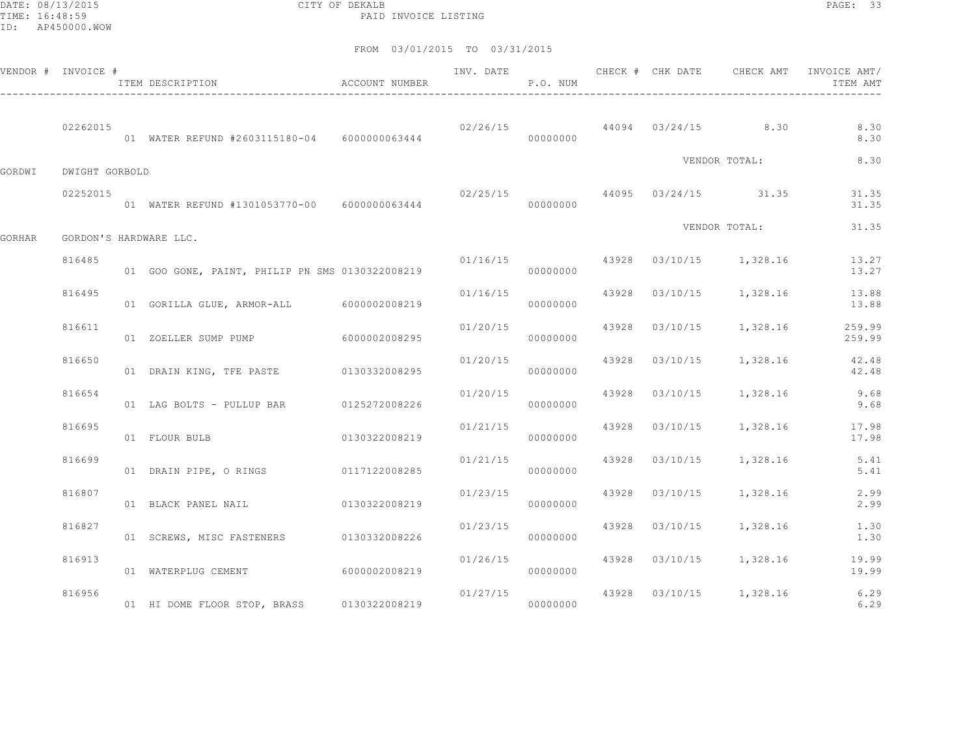DATE: 08/13/2015 CITY OF DEKALB PAGE: 33 PAID INVOICE LISTING

|        | VENDOR # INVOICE # | ITEM DESCRIPTION                                | <b>ACCOUNT NUMBER</b> | INV. DATE | P.O. NUM             | CHECK # CHK DATE | CHECK AMT                            | INVOICE AMT/<br>ITEM AMT             |
|--------|--------------------|-------------------------------------------------|-----------------------|-----------|----------------------|------------------|--------------------------------------|--------------------------------------|
|        | 02262015           | 01 WATER REFUND #2603115180-04    6000000063444 |                       |           | 00000000             |                  | $02/26/15$ 44094 03/24/15 8.30       | 8.30<br>8.30                         |
| GORDWI | DWIGHT GORBOLD     |                                                 |                       |           |                      |                  | VENDOR TOTAL:                        | 8.30                                 |
|        | 02252015           | 01 WATER REFUND #1301053770-00 6000000063444    |                       |           | 00000000             |                  | $02/25/15$ 44095 $03/24/15$ 31.35    | 31.35<br>31.35                       |
| GORHAR |                    | GORDON'S HARDWARE LLC.                          |                       |           |                      |                  | VENDOR TOTAL:                        | 31.35                                |
|        | 816485             | 01 GOO GONE, PAINT, PHILIP PN SMS 0130322008219 |                       |           | 00000000             |                  | $01/16/15$ 43928 $03/10/15$ 1,328.16 | 13.27<br>13.27                       |
|        | 816495             | 01 GORILLA GLUE, ARMOR-ALL 6000002008219        |                       | 01/16/15  | 00000000             |                  | 43928 03/10/15 1,328.16              | 13.88<br>13.88                       |
|        | 816611             | 01 ZOELLER SUMP PUMP 6000002008295              |                       |           | 01/20/15<br>00000000 |                  | 43928 03/10/15 1,328.16              | 259.99<br>259.99                     |
|        | 816650             | 01 DRAIN KING, TFE PASTE 0130332008295          |                       | 01/20/15  | 00000000             |                  | 43928 03/10/15 1,328.16              | 42.48<br>42.48                       |
|        | 816654             | 01 LAG BOLTS - PULLUP BAR 0125272008226         |                       | 01/20/15  | 00000000             |                  | 43928 03/10/15 1,328.16              | 9.68<br>9.68                         |
|        | 816695             | 01 FLOUR BULB                                   | 0130322008219         | 01/21/15  | 00000000             |                  | 43928 03/10/15 1,328.16              | 17.98<br>17.98                       |
|        | 816699             | 01 DRAIN PIPE, O RINGS 0117122008285            |                       | 01/21/15  | 00000000             |                  | 43928 03/10/15 1,328.16              | 5.41<br>5.41                         |
|        | 816807             | 01 BLACK PANEL NAIL 6130322008219               |                       | 01/23/15  | 00000000             |                  | 43928 03/10/15 1,328.16              | 2.99<br>2.99                         |
|        | 816827             | 01 SCREWS, MISC FASTENERS 0130332008226         |                       | 01/23/15  | 00000000             |                  | 43928 03/10/15 1,328.16              | 1.30<br>1.30                         |
|        | 816913             | 01 WATERPLUG CEMENT                             | 60000002008219        | 01/26/15  | 00000000             |                  | 43928  03/10/15  1,328.16            | 19.99<br>19.99                       |
|        | 816956             | 01 HI DOME FLOOR STOP, BRASS 0130322008219      |                       | 01/27/15  | 00000000             |                  |                                      | 43928 03/10/15 1,328.16 6.29<br>6.29 |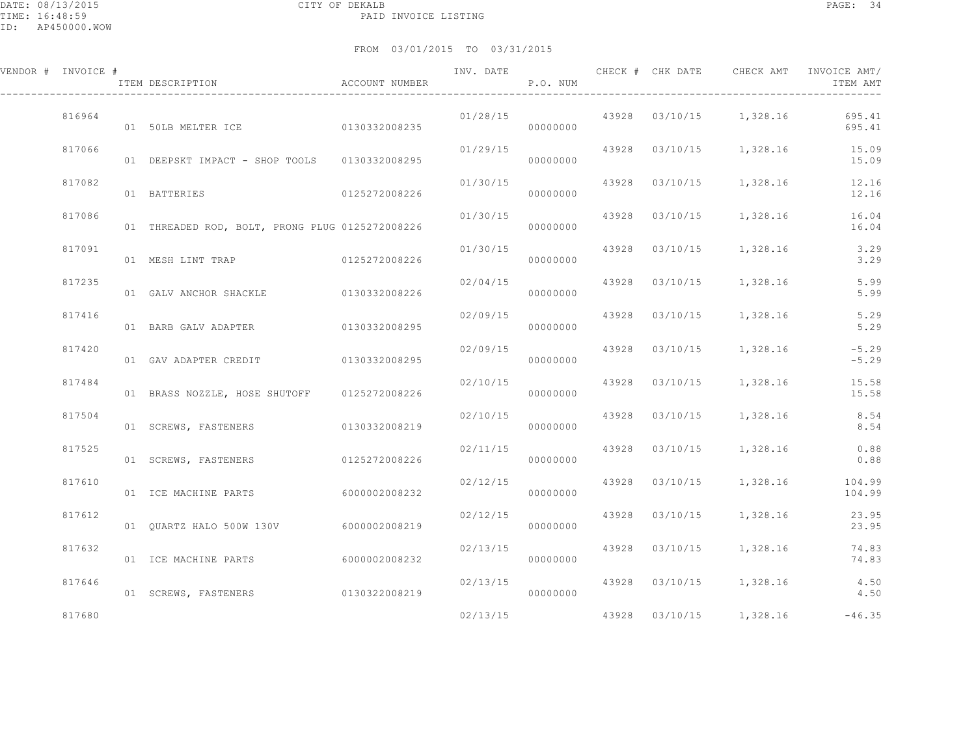| VENDOR # INVOICE # | ITEM DESCRIPTION                                | ACCOUNT NUMBER |          | P.O. NUM |  |                                  | INVOICE AMT/<br>ITEM AMT |
|--------------------|-------------------------------------------------|----------------|----------|----------|--|----------------------------------|--------------------------|
| 816964             | 01 50LB MELTER ICE 0130332008235                |                | 01/28/15 | 00000000 |  | 43928 03/10/15 1,328.16          | 695.41<br>695.41         |
| 817066             | 01 DEEPSKT IMPACT - SHOP TOOLS 0130332008295    |                | 01/29/15 | 00000000 |  | 43928  03/10/15  1,328.16  15.09 | 15.09                    |
| 817082             | 01 BATTERIES<br>0125272008226                   |                | 01/30/15 | 00000000 |  | 43928 03/10/15 1,328.16          | 12.16<br>12.16           |
| 817086             | 01 THREADED ROD, BOLT, PRONG PLUG 0125272008226 |                | 01/30/15 | 00000000 |  | 43928 03/10/15 1,328.16          | 16.04<br>16.04           |
| 817091             |                                                 |                | 01/30/15 | 00000000 |  | 43928 03/10/15 1,328.16          | 3.29<br>3.29             |
| 817235             | 01 GALV ANCHOR SHACKLE 0130332008226            |                | 02/04/15 | 00000000 |  | 43928 03/10/15 1,328.16          | 5.99<br>5.99             |
| 817416             | 01 BARB GALV ADAPTER                            | 0130332008295  | 02/09/15 | 00000000 |  | 43928 03/10/15 1,328.16          | 5.29<br>5.29             |
| 817420             | 01 GAV ADAPTER CREDIT 0130332008295             |                | 02/09/15 | 00000000 |  | 43928 03/10/15 1,328.16          | $-5.29$<br>$-5.29$       |
| 817484             | 01 BRASS NOZZLE, HOSE SHUTOFF 0125272008226     |                | 02/10/15 | 00000000 |  | 43928 03/10/15 1,328.16          | 15.58<br>15.58           |
| 817504             | 01 SCREWS, FASTENERS 0130332008219              |                | 02/10/15 | 00000000 |  | 43928 03/10/15 1,328.16 8.54     | 8.54                     |
| 817525             | 01 SCREWS, FASTENERS                            | 0125272008226  | 02/11/15 | 00000000 |  | 43928  03/10/15  1,328.16  0.88  | 0.88                     |
| 817610             | 01 ICE MACHINE PARTS                            | 6000002008232  | 02/12/15 | 00000000 |  | 43928 03/10/15 1,328.16 104.99   | 104.99                   |
| 817612             | 01  QUARTZ HALO  500W  130V  6000002008219      |                | 02/12/15 | 00000000 |  | 43928 03/10/15 1,328.16          | 23.95<br>23.95           |
| 817632             | 01 ICE MACHINE PARTS                            | 60000002008232 | 02/13/15 | 00000000 |  | 43928 03/10/15 1,328.16          | 74.83<br>74.83           |
| 817646             | 01 SCREWS, FASTENERS 0130322008219              |                | 02/13/15 | 00000000 |  | 43928 03/10/15 1,328.16 4.50     | 4.50                     |
| 817680             |                                                 |                | 02/13/15 |          |  | 43928 03/10/15 1,328.16          | $-46.35$                 |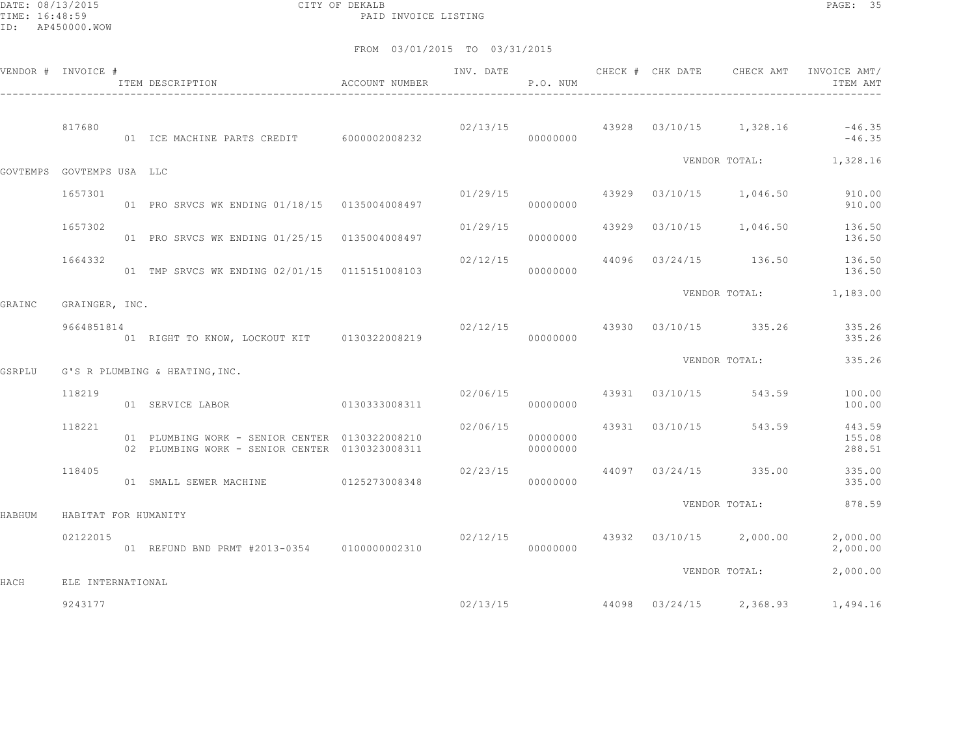DATE: 08/13/2015 CITY OF DEKALB PAGE: 35 PAID INVOICE LISTING

|        | VENDOR # INVOICE #        | ITEM DESCRIPTION                                                                                 | ACCOUNT NUMBER | INV. DATE | P.O. NUM             | CHECK # CHK DATE | CHECK AMT                                | INVOICE AMT/<br>ITEM AMT                                      |
|--------|---------------------------|--------------------------------------------------------------------------------------------------|----------------|-----------|----------------------|------------------|------------------------------------------|---------------------------------------------------------------|
|        | 817680                    | 01 ICE MACHINE PARTS CREDIT 6000002008232                                                        |                |           | 00000000             |                  |                                          | $02/13/15$ $43928$ $03/10/15$ $1,328.16$ $-46.35$<br>$-46.35$ |
|        | GOVTEMPS GOVTEMPS USA LLC |                                                                                                  |                |           |                      |                  |                                          | VENDOR TOTAL: 1,328.16                                        |
|        | 1657301                   | 01 PRO SRVCS WK ENDING 01/18/15 0135004008497                                                    |                | 01/29/15  | 00000000             |                  | 43929 03/10/15 1,046.50                  | 910.00<br>910.00                                              |
|        | 1657302                   | 01 PRO SRVCS WK ENDING 01/25/15 0135004008497                                                    |                |           | 00000000             |                  | $01/29/15$ $43929$ $03/10/15$ $1,046.50$ | 136.50<br>136.50                                              |
|        | 1664332                   | 01 TMP SRVCS WK ENDING 02/01/15 0115151008103                                                    |                | 02/12/15  | 00000000             |                  | 44096 03/24/15 136.50                    | 136.50<br>136.50                                              |
| GRAINC | GRAINGER, INC.            |                                                                                                  |                |           |                      |                  |                                          | VENDOR TOTAL: 1,183.00                                        |
|        | 9664851814                | 01 RIGHT TO KNOW, LOCKOUT KIT 0130322008219                                                      |                |           | 00000000             |                  | $02/12/15$ $43930$ $03/10/15$ $335.26$   | 335.26<br>335.26                                              |
| GSRPLU |                           | G'S R PLUMBING & HEATING, INC.                                                                   |                |           |                      |                  | VENDOR TOTAL:                            | 335.26                                                        |
|        | 118219                    | 01 SERVICE LABOR                                                                                 | 0130333008311  | 02/06/15  | 00000000             | 43931 03/10/15   | 543.59                                   | 100.00<br>100.00                                              |
|        | 118221                    | 01 PLUMBING WORK - SENIOR CENTER 0130322008210<br>02 PLUMBING WORK - SENIOR CENTER 0130323008311 |                | 02/06/15  | 00000000<br>00000000 |                  | 43931 03/10/15 543.59                    | 443.59<br>155.08<br>288.51                                    |
|        | 118405                    | 01 SMALL SEWER MACHINE 0125273008348                                                             |                | 02/23/15  | 00000000             |                  | 44097 03/24/15 335.00                    | 335.00<br>335.00                                              |
| HABHUM | HABITAT FOR HUMANITY      |                                                                                                  |                |           |                      |                  | VENDOR TOTAL:                            | 878.59                                                        |
|        | 02122015                  | 01 REFUND BND PRMT #2013-0354 0100000002310                                                      |                |           | 00000000             |                  | $02/12/15$ 43932 03/10/15 2,000.00       | 2,000.00<br>2,000.00                                          |
| HACH   | ELE INTERNATIONAL         |                                                                                                  |                |           |                      |                  | VENDOR TOTAL:                            | 2,000.00                                                      |
|        | 9243177                   |                                                                                                  |                |           | 02/13/15             |                  | 44098 03/24/15 2,368.93                  | 1,494.16                                                      |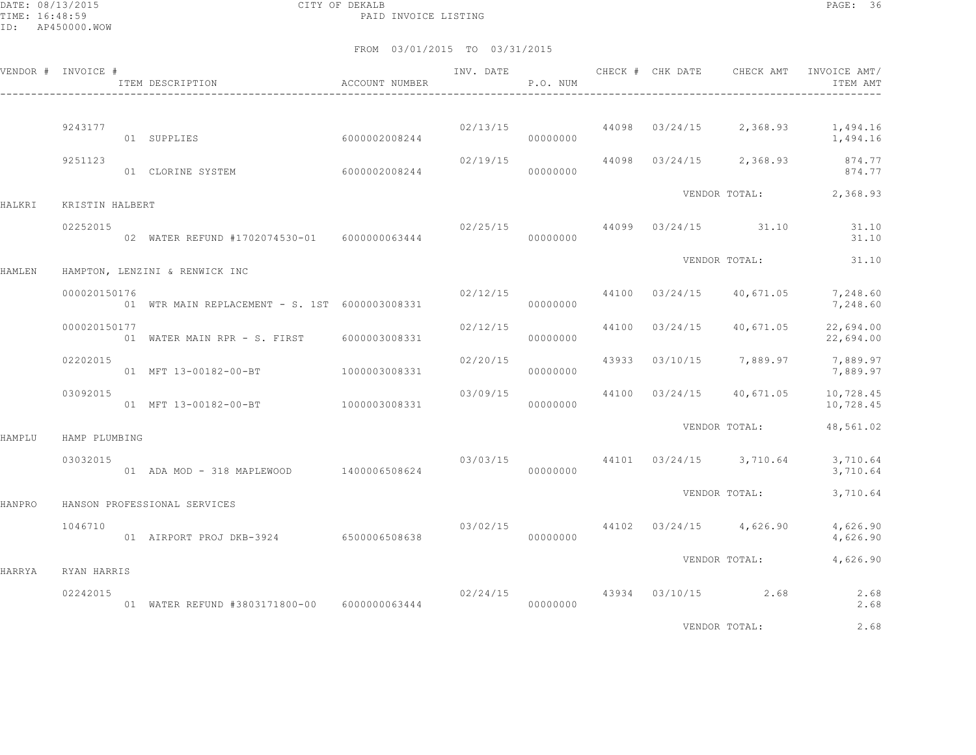DATE: 08/13/2015 CITY OF DEKALB PAGE: 36 PAID INVOICE LISTING

FROM 03/01/2015 TO 03/31/2015

|        | VENDOR # INVOICE # | ITEM DESCRIPTION                               | ACCOUNT NUMBER | INV. DATE | P.O. NUM |       | CHECK # CHK DATE | CHECK AMT                            | INVOICE AMT/<br>ITEM AMT |
|--------|--------------------|------------------------------------------------|----------------|-----------|----------|-------|------------------|--------------------------------------|--------------------------|
|        | 9243177            | 01 SUPPLIES                                    | 6000002008244  | 02/13/15  | 00000000 |       | 44098 03/24/15   | 2,368.93                             | 1,494.16<br>1,494.16     |
|        | 9251123            | 01 CLORINE SYSTEM                              | 6000002008244  | 02/19/15  | 00000000 |       |                  | 44098 03/24/15 2,368.93              | 874.77<br>874.77         |
| HALKRI | KRISTIN HALBERT    |                                                |                |           |          |       |                  |                                      | VENDOR TOTAL: 2,368.93   |
|        | 02252015           | 02 WATER REFUND #1702074530-01 6000000063444   |                |           | 00000000 |       |                  | $02/25/15$ 44099 03/24/15 31.10      | 31.10<br>31.10           |
| HAMLEN |                    | HAMPTON, LENZINI & RENWICK INC                 |                |           |          |       |                  | VENDOR TOTAL:                        | 31.10                    |
|        | 000020150176       | 01 WTR MAIN REPLACEMENT - S. 1ST 6000003008331 |                | 02/12/15  | 00000000 |       | 44100 03/24/15   | 40,671.05                            | 7,248.60<br>7,248.60     |
|        | 000020150177       | 01 WATER MAIN RPR - S. FIRST 6000003008331     |                | 02/12/15  | 00000000 | 44100 | 03/24/15         | 40,671.05                            | 22,694.00<br>22,694.00   |
|        | 02202015           | 01 MFT 13-00182-00-BT                          | 1000003008331  | 02/20/15  | 00000000 | 43933 |                  | 03/10/15 7,889.97                    | 7,889.97<br>7,889.97     |
|        | 03092015           | 01 MFT 13-00182-00-BT 1000003008331            |                | 03/09/15  | 00000000 |       | 44100 03/24/15   | 40,671.05                            | 10,728.45<br>10,728.45   |
| HAMPLU | HAMP PLUMBING      |                                                |                |           |          |       |                  | VENDOR TOTAL:                        | 48,561.02                |
|        | 03032015           | 01 ADA MOD - 318 MAPLEWOOD 1400006508624       |                |           | 00000000 |       |                  | 03/03/15 44101 03/24/15 3,710.64     | 3,710.64<br>3,710.64     |
| HANPRO |                    | HANSON PROFESSIONAL SERVICES                   |                |           |          |       |                  | VENDOR TOTAL:                        | 3,710.64                 |
|        | 1046710            | 01 AIRPORT PROJ DKB-3924 6500006508638         |                |           | 00000000 |       |                  | $03/02/15$ 44102 $03/24/15$ 4,626.90 | 4,626.90<br>4,626.90     |
| HARRYA | RYAN HARRIS        |                                                |                |           |          |       |                  | VENDOR TOTAL:                        | 4,626.90                 |
|        | 02242015           | 01 WATER REFUND #3803171800-00 6000000063444   |                | 00000000  |          |       |                  | $02/24/15$ $43934$ $03/10/15$ $2.68$ | 2.68<br>2.68             |

VENDOR TOTAL: 2.68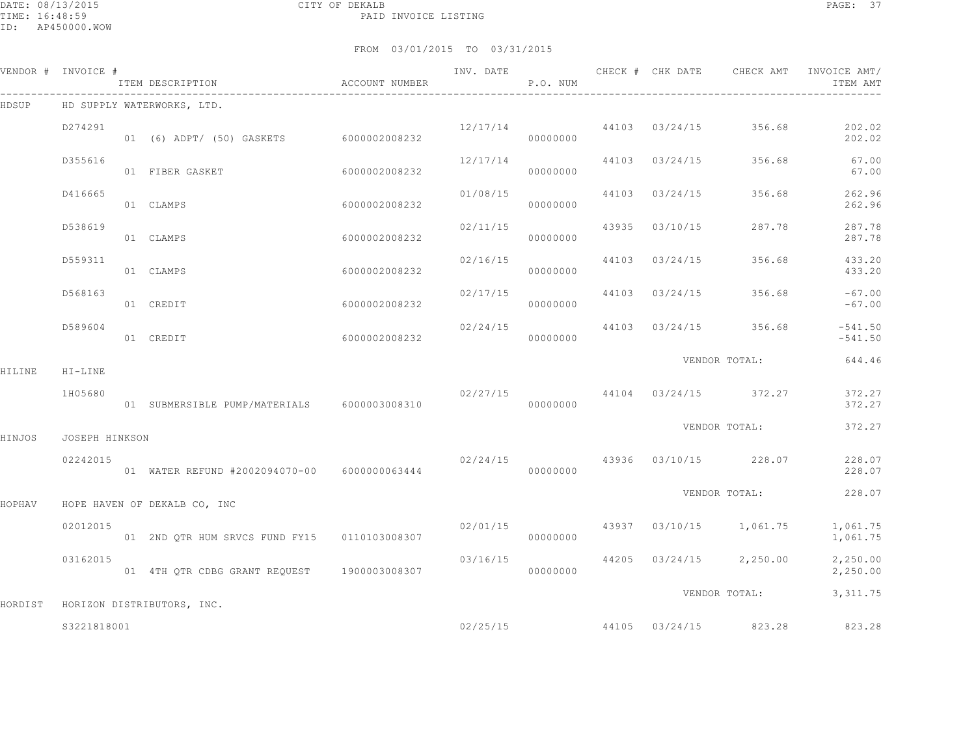DATE: 08/13/2015 CITY OF DEKALB PAGE: 37 PAID INVOICE LISTING

|        | VENDOR # INVOICE # | ITEM DESCRIPTION<br>------------------------------ | ACCOUNT NUMBER |          | P.O. NUM |                | INV. DATE CHECK # CHK DATE CHECK AMT     | INVOICE AMT/<br>ITEM AMT |
|--------|--------------------|----------------------------------------------------|----------------|----------|----------|----------------|------------------------------------------|--------------------------|
| HDSUP  |                    | HD SUPPLY WATERWORKS, LTD.                         |                |          |          |                |                                          |                          |
|        | D274291            | 01 (6) ADPT/ (50) GASKETS 6000002008232            |                | 12/17/14 | 00000000 |                | 44103 03/24/15 356.68                    | 202.02<br>202.02         |
|        | D355616            | 01 FIBER GASKET                                    | 6000002008232  | 12/17/14 | 00000000 | 44103 03/24/15 | 356.68                                   | 67.00<br>67.00           |
|        | D416665            | 01 CLAMPS                                          | 6000002008232  | 01/08/15 | 00000000 | 44103 03/24/15 | 356.68                                   | 262.96<br>262.96         |
|        | D538619            | 01 CLAMPS                                          | 6000002008232  | 02/11/15 | 00000000 | 43935 03/10/15 | 287.78                                   | 287.78<br>287.78         |
|        | D559311            | 01 CLAMPS                                          | 6000002008232  | 02/16/15 | 00000000 | 44103 03/24/15 | 356.68                                   | 433.20<br>433.20         |
|        | D568163            | 01 CREDIT                                          | 6000002008232  | 02/17/15 | 00000000 | 44103 03/24/15 | 356.68                                   | $-67.00$<br>$-67.00$     |
|        | D589604            | 01 CREDIT                                          | 6000002008232  |          | 00000000 |                | $02/24/15$ 44103 03/24/15 356.68         | $-541.50$<br>$-541.50$   |
| HILINE | $HI-LINE$          |                                                    |                |          |          |                | VENDOR TOTAL:                            | 644.46                   |
|        | 1H05680            | 01 SUBMERSIBLE PUMP/MATERIALS 6000003008310        |                |          | 00000000 |                | $02/27/15$ 44104 03/24/15 372.27         | 372.27<br>372.27         |
| HINJOS | JOSEPH HINKSON     |                                                    |                |          |          |                | VENDOR TOTAL:                            | 372.27                   |
|        | 02242015           | 01 WATER REFUND #2002094070-00 6000000063444       |                |          | 00000000 |                | 02/24/15 43936 03/10/15 228.07           | 228.07<br>228.07         |
| HOPHAV |                    | HOPE HAVEN OF DEKALB CO, INC                       |                |          |          |                | VENDOR TOTAL:                            | 228.07                   |
|        | 02012015           | 01 2ND QTR HUM SRVCS FUND FY15   0110103008307     |                |          | 00000000 |                | $02/01/15$ $43937$ $03/10/15$ $1,061.75$ | 1,061.75<br>1,061.75     |
|        | 03162015           |                                                    |                | 03/16/15 | 00000000 |                | 44205 03/24/15 2,250.00                  | 2,250.00<br>2,250.00     |
|        |                    |                                                    |                |          |          |                | VENDOR TOTAL:                            | 3,311.75                 |
|        | \$3221818001       | HORDIST HORIZON DISTRIBUTORS, INC.                 |                |          | 02/25/15 |                | 44105 03/24/15 823.28                    | 823.28                   |
|        |                    |                                                    |                |          |          |                |                                          |                          |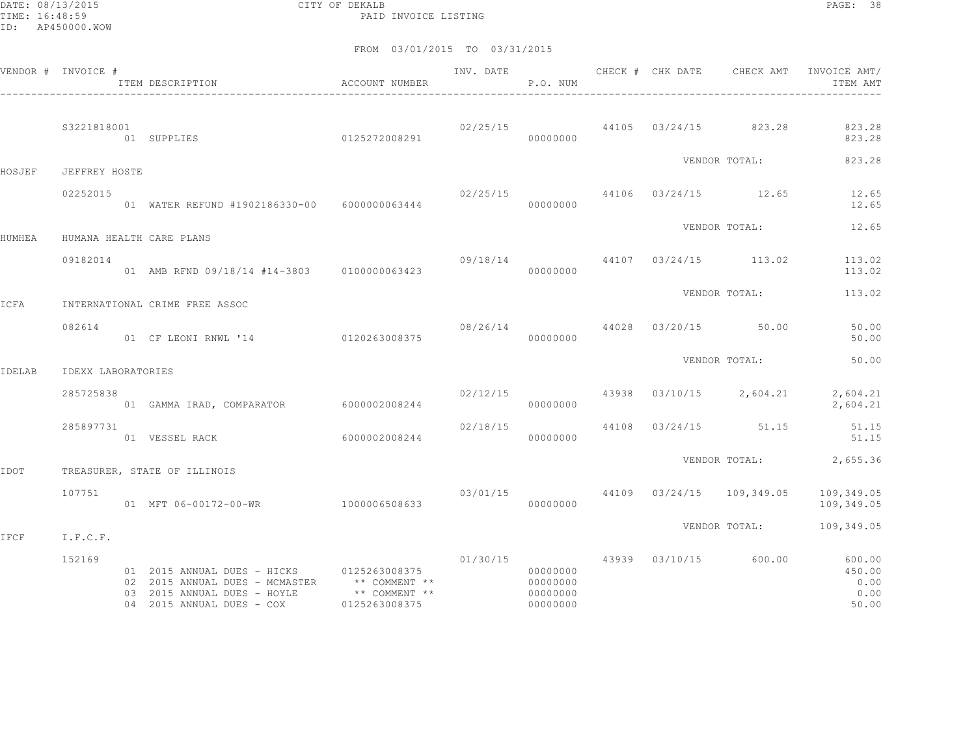DATE: 08/13/2015 CITY OF DEKALB PAGE: 38 PAID INVOICE LISTING

|             | VENDOR # INVOICE # | ACCOUNT NUMBER<br>ITEM DESCRIPTION                                                                                                                                                               |                | INV. DATE | P.O. NUM                          |  |                                    | CHECK # CHK DATE CHECK AMT INVOICE AMT/<br>ITEM AMT                                |
|-------------|--------------------|--------------------------------------------------------------------------------------------------------------------------------------------------------------------------------------------------|----------------|-----------|-----------------------------------|--|------------------------------------|------------------------------------------------------------------------------------|
|             | S3221818001        | 01 SUPPLIES 0125272008291                                                                                                                                                                        |                |           | 00000000                          |  |                                    | $02/25/15$ 44105 $03/24/15$ 823.28 823.28<br>823.28                                |
| HOSJEF      | JEFFREY HOSTE      |                                                                                                                                                                                                  |                |           |                                   |  | VENDOR TOTAL:                      | 823.28                                                                             |
|             | 02252015           | 01 WATER REFUND #1902186330-00 6000000063444                                                                                                                                                     |                | 00000000  |                                   |  | 02/25/15 44106 03/24/15 12.65      | 12.65<br>12.65                                                                     |
| HUMHEA      |                    | HUMANA HEALTH CARE PLANS                                                                                                                                                                         |                |           |                                   |  |                                    | VENDOR TOTAL: 12.65                                                                |
|             | 09182014           | 01 AMB RFND 09/18/14 #14-3803 0100000063423                                                                                                                                                      |                |           | 00000000                          |  |                                    | 09/18/14 44107 03/24/15 113.02 113.02<br>113.02                                    |
| ICFA        |                    | INTERNATIONAL CRIME FREE ASSOC                                                                                                                                                                   |                |           |                                   |  |                                    | VENDOR TOTAL: 113.02                                                               |
|             | 082614             | 01 CF LEONI RNWL '14 0120263008375                                                                                                                                                               |                |           | 00000000                          |  | $08/26/14$ $4028$ $03/20/15$ 50.00 | 50.00<br>50.00                                                                     |
| IDELAB      | IDEXX LABORATORIES |                                                                                                                                                                                                  |                |           |                                   |  | VENDOR TOTAL:                      | 50.00                                                                              |
|             | 285725838          | 01 GAMMA IRAD, COMPARATOR 6000002008244                                                                                                                                                          |                |           | 00000000                          |  |                                    | $02/12/15$ $43938$ $03/10/15$ $2,604.21$ $2,604.21$<br>2,604.21                    |
|             | 285897731          | 01 VESSEL RACK                                                                                                                                                                                   | 60000002008244 | 000000000 |                                   |  | 02/18/15 44108 03/24/15 51.15      | 51.15<br>51.15                                                                     |
| <b>TOOT</b> |                    | TREASURER, STATE OF ILLINOIS                                                                                                                                                                     |                |           |                                   |  |                                    | VENDOR TOTAL: 2,655.36                                                             |
|             | 107751             | 01 MFT 06-00172-00-WR 1000006508633                                                                                                                                                              |                |           | 00000000                          |  |                                    | $03/01/15$ $44109$ $03/24/15$ $109,349.05$ $109,349.05$<br>109,349.05              |
| IFCF        | I.F.C.F.           |                                                                                                                                                                                                  |                |           |                                   |  |                                    | VENDOR TOTAL: 109,349.05                                                           |
|             | 152169             | 01  2015  ANNUAL DUES - HICKS   0125263008375<br>02 2015 ANNUAL DUES - MCMASTER $**$ COMMENT $**$<br>03 2015 ANNUAL DUES - HOYLE $**$ COMMENT $**$<br>04  2015  ANNUAL DUES - COX  0125263008375 |                |           | 00000000<br>000000000<br>00000000 |  |                                    | $01/30/15$ $43939$ $03/10/15$ $600.00$ $600.00$<br>450.00<br>0.00<br>0.00<br>50.00 |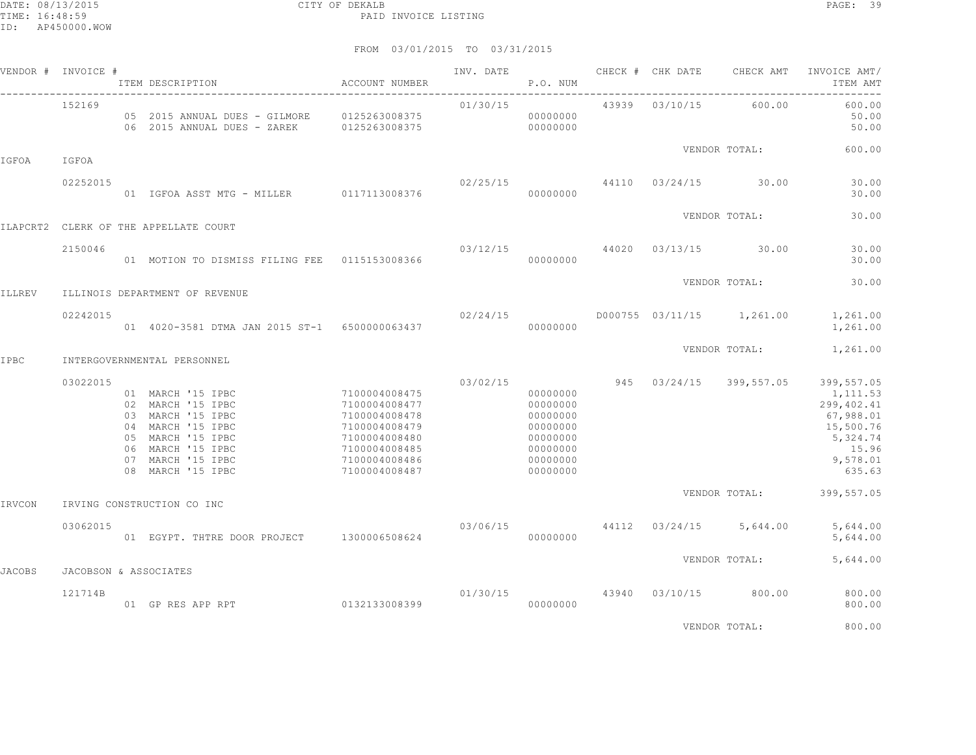|               | VENDOR # INVOICE # | ITEM DESCRIPTION                                                                                                                                                     | ACCOUNT NUMBER                                                                                                                       | INV. DATE            | P.O. NUM                                                                                     |                | CHECK # CHK DATE CHECK AMT           | INVOICE AMT/<br>ITEM AMT                                                                                  |
|---------------|--------------------|----------------------------------------------------------------------------------------------------------------------------------------------------------------------|--------------------------------------------------------------------------------------------------------------------------------------|----------------------|----------------------------------------------------------------------------------------------|----------------|--------------------------------------|-----------------------------------------------------------------------------------------------------------|
|               | 152169             | 05  2015  ANNUAL DUES - GILMORE   0125263008375<br>06  2015  ANNUAL DUES - ZAREK   0125263008375                                                                     |                                                                                                                                      | 01/30/15<br>00000000 | 00000000                                                                                     | 43939 03/10/15 | 600.00                               | 600.00<br>50.00<br>50.00                                                                                  |
| IGFOA         | IGFOA              |                                                                                                                                                                      |                                                                                                                                      |                      |                                                                                              |                | VENDOR TOTAL:                        | 600.00                                                                                                    |
|               | 02252015           | 01 IGFOA ASST MTG - MILLER 0117113008376                                                                                                                             |                                                                                                                                      | 02/25/15             | 00000000                                                                                     |                | 44110 03/24/15 30.00                 | 30.00<br>30.00                                                                                            |
|               |                    | ILAPCRT2 CLERK OF THE APPELLATE COURT                                                                                                                                |                                                                                                                                      |                      |                                                                                              |                | VENDOR TOTAL:                        | 30.00                                                                                                     |
|               | 2150046            | 01 MOTION TO DISMISS FILING FEE   0115153008366                                                                                                                      |                                                                                                                                      |                      | 00000000                                                                                     |                | $03/12/15$ 44020 03/13/15 30.00      | 30.00<br>30.00                                                                                            |
| <b>ILLREV</b> |                    | ILLINOIS DEPARTMENT OF REVENUE                                                                                                                                       |                                                                                                                                      |                      |                                                                                              |                | VENDOR TOTAL:                        | 30.00                                                                                                     |
|               | 02242015           | 01 4020-3581 DTMA JAN 2015 ST-1 6500000063437                                                                                                                        |                                                                                                                                      | 02/24/15             | 00000000                                                                                     |                |                                      | D000755 03/11/15 1,261.00 1,261.00<br>1,261.00                                                            |
| IPBC          |                    | INTERGOVERNMENTAL PERSONNEL                                                                                                                                          |                                                                                                                                      |                      |                                                                                              |                | VENDOR TOTAL:                        | 1,261.00                                                                                                  |
|               | 03022015           | 01 MARCH '15 IPBC<br>02 MARCH '15 IPBC<br>03 MARCH '15 IPBC<br>04 MARCH '15 IPBC<br>05 MARCH '15 IPBC<br>06 MARCH '15 IPBC<br>07 MARCH '15 IPBC<br>08 MARCH '15 IPBC | 7100004008475<br>7100004008477<br>7100004008478<br>7100004008479<br>7100004008480<br>7100004008485<br>7100004008486<br>7100004008487 | 03/02/15             | 00000000<br>00000000<br>00000000<br>00000000<br>00000000<br>00000000<br>00000000<br>00000000 |                | 945 03/24/15 399,557.05              | 399,557.05<br>1,111.53<br>299,402.41<br>67,988.01<br>15,500.76<br>5,324.74<br>15.96<br>9,578.01<br>635.63 |
| IRVCON        |                    | IRVING CONSTRUCTION CO INC                                                                                                                                           |                                                                                                                                      |                      |                                                                                              |                |                                      | VENDOR TOTAL: 399,557.05                                                                                  |
|               | 03062015           | 01 EGYPT. THTRE DOOR PROJECT 1300006508624                                                                                                                           |                                                                                                                                      |                      | 00000000                                                                                     |                | $03/06/15$ 44112 $03/24/15$ 5,644.00 | 5,644.00<br>5,644.00                                                                                      |
| <b>JACOBS</b> |                    | JACOBSON & ASSOCIATES                                                                                                                                                |                                                                                                                                      |                      |                                                                                              |                | VENDOR TOTAL:                        | 5,644.00                                                                                                  |
|               | 121714B            | 01 GP RES APP RPT                                                                                                                                                    | 0132133008399                                                                                                                        | 01/30/15             | 00000000                                                                                     |                | 43940 03/10/15 800.00                | 800.00<br>800.00                                                                                          |
|               |                    |                                                                                                                                                                      |                                                                                                                                      |                      |                                                                                              |                | VENDOR TOTAL:                        | 800.00                                                                                                    |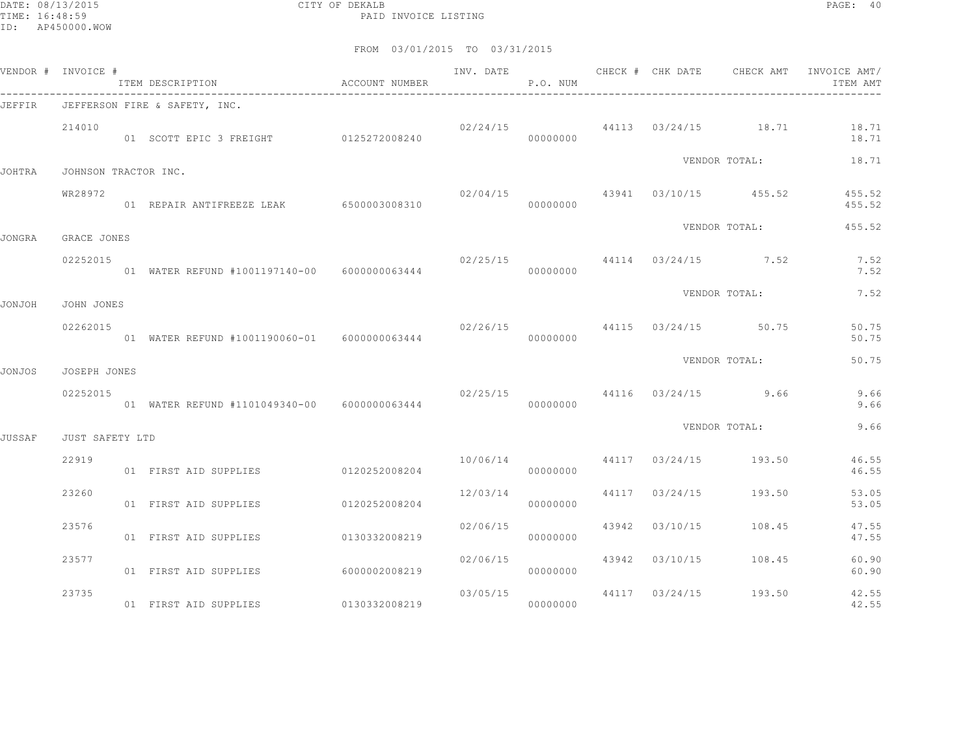DATE: 08/13/2015 CITY OF DEKALB PAGE: 40 PAID INVOICE LISTING

|               | VENDOR # INVOICE #       | ITEM DESCRIPTION ACCOUNT NUMBER                                    |               | INV. DATE | P.O. NUM |  |                                        | CHECK # CHK DATE CHECK AMT INVOICE AMT/<br>ITEM AMT |
|---------------|--------------------------|--------------------------------------------------------------------|---------------|-----------|----------|--|----------------------------------------|-----------------------------------------------------|
| JEFFIR        |                          | ---------------------------------<br>JEFFERSON FIRE & SAFETY, INC. |               |           |          |  |                                        |                                                     |
|               | 214010                   | 01 SCOTT EPIC 3 FREIGHT 0125272008240                              |               |           | 00000000 |  |                                        | $02/24/15$ 44113 $03/24/15$ 18.71 18.71<br>18.71    |
| JOHTRA        | JOHNSON TRACTOR INC.     |                                                                    |               |           |          |  | VENDOR TOTAL:                          | 18.71                                               |
|               | WR28972                  | 01 REPAIR ANTIFREEZE LEAK 6500003008310                            |               |           | 00000000 |  | $02/04/15$ $43941$ $03/10/15$ $455.52$ | 455.52<br>455.52                                    |
|               |                          |                                                                    |               |           |          |  | VENDOR TOTAL:                          | 455.52                                              |
| JONGRA        | GRACE JONES<br>02252015  | 01 WATER REFUND #1001197140-00 6000000063444                       |               |           | 00000000 |  | $02/25/15$ 44114 03/24/15 7.52         | 7.52<br>7.52                                        |
|               |                          |                                                                    |               |           |          |  | VENDOR TOTAL:                          | 7.52                                                |
| JONJOH        | JOHN JONES               |                                                                    |               |           |          |  |                                        |                                                     |
|               | 02262015                 | 01 WATER REFUND #1001190060-01  6000000063444                      |               |           | 00000000 |  | 02/26/15 44115 03/24/15 50.75          | 50.75<br>50.75                                      |
| JONJOS        | JOSEPH JONES             |                                                                    |               |           |          |  | VENDOR TOTAL:                          | 50.75                                               |
|               | 02252015                 |                                                                    |               |           | 00000000 |  | $02/25/15$ 44116 $03/24/15$ 9.66       | 9.66<br>9.66                                        |
|               |                          |                                                                    |               |           |          |  | VENDOR TOTAL:                          | 9.66                                                |
| <b>JUSSAF</b> | JUST SAFETY LTD<br>22919 |                                                                    |               |           |          |  | 10/06/14 44117 03/24/15 193.50         | 46.55                                               |
|               |                          | 01 FIRST AID SUPPLIES 0120252008204                                |               |           | 00000000 |  |                                        | 46.55                                               |
|               | 23260                    | 01 FIRST AID SUPPLIES 0120252008204                                |               | 12/03/14  | 00000000 |  | 44117 03/24/15 193.50                  | 53.05<br>53.05                                      |
|               | 23576                    | 01 FIRST AID SUPPLIES                                              | 0130332008219 | 02/06/15  | 00000000 |  | 43942 03/10/15 108.45                  | 47.55<br>47.55                                      |
|               | 23577                    | 01 FIRST AID SUPPLIES                                              | 6000002008219 | 02/06/15  | 00000000 |  | 43942 03/10/15 108.45                  | 60.90<br>60.90                                      |
|               | 23735                    | 01 FIRST AID SUPPLIES 0130332008219                                |               | 03/05/15  | 00000000 |  | 44117 03/24/15 193.50                  | 42.55<br>42.55                                      |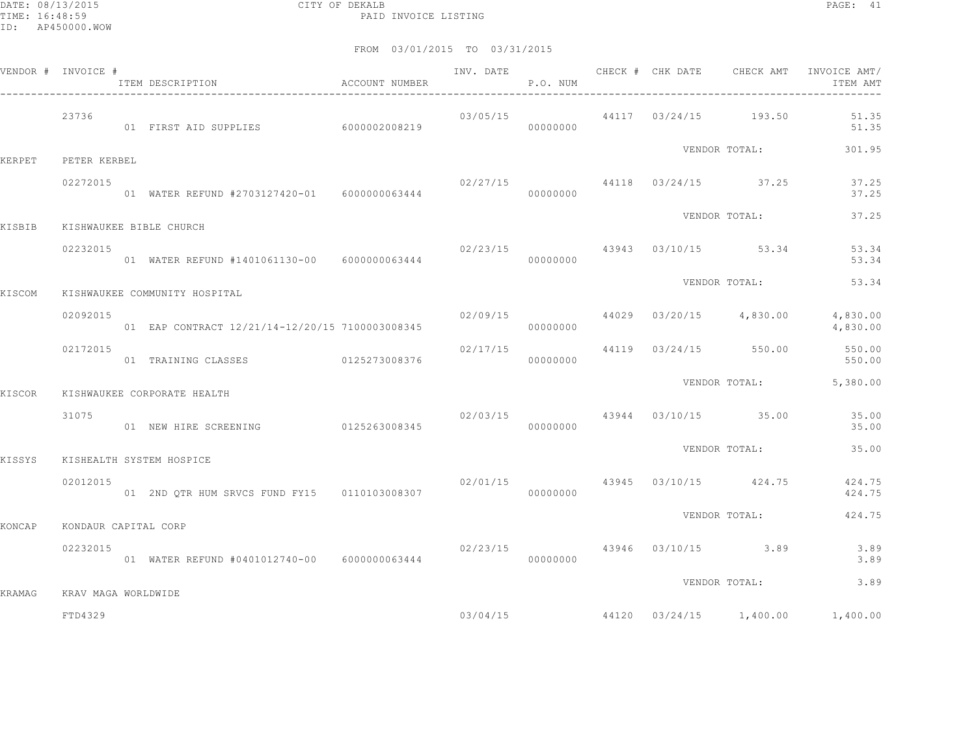|        | VENDOR # INVOICE #   | ITEM DESCRIPTION <a> d<br/> <math display="inline">\,</math>ACCOUNT NUMBER</a> |          | P.O. NUM |  |                                    | ITEM AMT                                            |
|--------|----------------------|--------------------------------------------------------------------------------|----------|----------|--|------------------------------------|-----------------------------------------------------|
|        | 23736                | 01 FIRST AID SUPPLIES 6000002008219                                            |          | 00000000 |  | $03/05/15$ 44117 $03/24/15$ 193.50 | 51.35<br>51.35                                      |
| KERPET | PETER KERBEL         |                                                                                |          |          |  | VENDOR TOTAL:                      | 301.95                                              |
|        | 02272015             | 01 WATER REFUND #2703127420-01 6000000063444                                   | 00000000 |          |  | $02/27/15$ 44118 $03/24/15$ 37.25  | 37.25<br>37.25                                      |
| KISBIB |                      | KISHWAUKEE BIBLE CHURCH                                                        |          |          |  | VENDOR TOTAL:                      | 37.25                                               |
|        | 02232015             | 01 WATER REFUND #1401061130-00 6000000063444                                   |          | 00000000 |  | 02/23/15 43943 03/10/15 53.34      | 53.34<br>53.34                                      |
| KISCOM |                      | KISHWAUKEE COMMUNITY HOSPITAL                                                  |          |          |  | VENDOR TOTAL:                      | 53.34                                               |
|        | 02092015             | 01 EAP CONTRACT 12/21/14-12/20/15 7100003008345                                |          | 00000000 |  | $02/09/15$ 44029 03/20/15 4,830.00 | 4,830.00<br>4,830.00                                |
|        | 02172015             | 01 TRAINING CLASSES 0125273008376                                              |          | 00000000 |  | $02/17/15$ 44119 03/24/15 550.00   | 550.00<br>550.00                                    |
| KISCOR |                      | KISHWAUKEE CORPORATE HEALTH                                                    |          |          |  |                                    | VENDOR TOTAL: 5,380.00                              |
|        | 31075                | 01 NEW HIRE SCREENING 0125263008345                                            |          | 00000000 |  | $02/03/15$ 43944 03/10/15 35.00    | 35.00<br>35.00                                      |
| KISSYS |                      | KISHEALTH SYSTEM HOSPICE                                                       |          |          |  | VENDOR TOTAL:                      | 35.00                                               |
|        | 02012015             | 01 2ND QTR HUM SRVCS FUND FY15 0110103008307                                   |          | 00000000 |  | 02/01/15 43945 03/10/15 424.75     | 424.75<br>424.75                                    |
| KONCAP | KONDAUR CAPITAL CORP |                                                                                |          |          |  | VENDOR TOTAL:                      | 424.75                                              |
|        | 02232015             | 01 WATER REFUND #0401012740-00 6000000063444                                   |          | 00000000 |  | 02/23/15 43946 03/10/15 3.89       | 3.89<br>3.89                                        |
| KRAMAG | KRAV MAGA WORLDWIDE  |                                                                                |          |          |  | VENDOR TOTAL:                      | 3.89                                                |
|        | FTD4329              |                                                                                |          |          |  |                                    | $03/04/15$ $44120$ $03/24/15$ $1,400.00$ $1,400.00$ |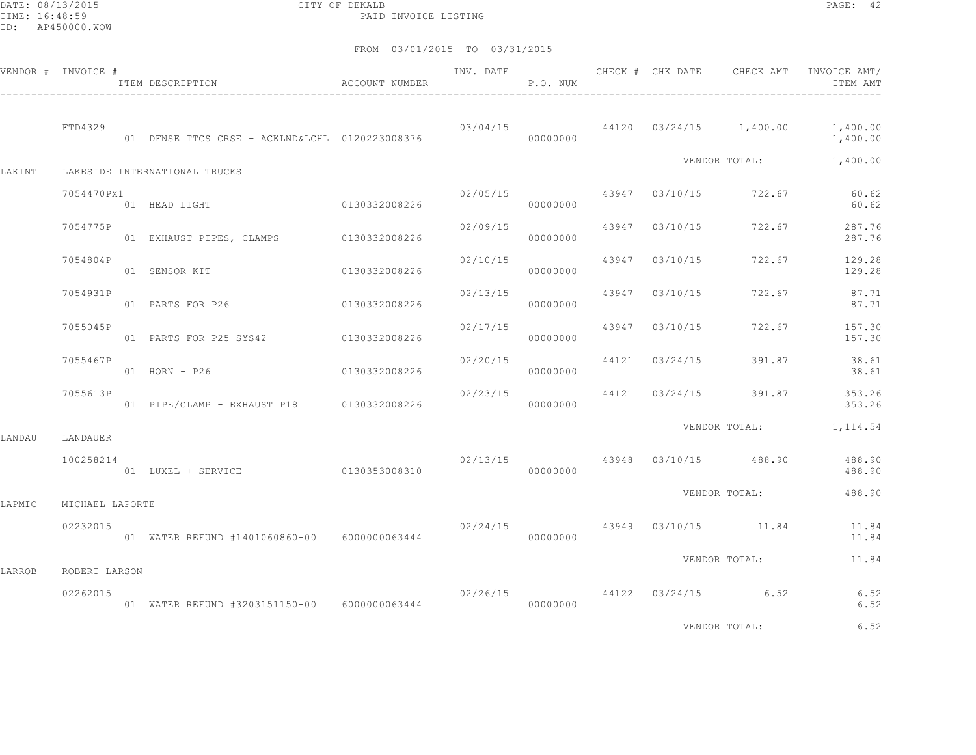DATE: 08/13/2015 CITY OF DEKALB PAGE: 42 PAID INVOICE LISTING

FROM 03/01/2015 TO 03/31/2015

|        | VENDOR # INVOICE # | ITEM DESCRIPTION                             | <b>ACCOUNT NUMBER</b> |          | P.O. NUM |                |                                                                                 | INV. DATE 6 1997 CHECK # CHK DATE 6 CHECK AMT INVOICE AMT<br>ITEM AMT |
|--------|--------------------|----------------------------------------------|-----------------------|----------|----------|----------------|---------------------------------------------------------------------------------|-----------------------------------------------------------------------|
|        | FTD4329            |                                              |                       |          |          |                |                                                                                 | $03/04/15$ $44120$ $03/24/15$ $1,400.00$ $1,400.00$<br>1,400.00       |
| LAKINT |                    | LAKESIDE INTERNATIONAL TRUCKS                |                       |          |          |                |                                                                                 | VENDOR TOTAL: 1,400.00                                                |
|        | 7054470PX1         | 01 HEAD LIGHT 0130332008226                  |                       | 02/05/15 | 00000000 |                | 43947 03/10/15 722.67                                                           | 60.62<br>60.62                                                        |
|        | 7054775P           | 01 EXHAUST PIPES, CLAMPS 0130332008226       |                       | 02/09/15 | 00000000 |                | 43947 03/10/15 722.67                                                           | 287.76<br>287.76                                                      |
|        | 7054804P           | 01 SENSOR KIT                                | 0130332008226         | 02/10/15 | 00000000 |                | 43947 03/10/15 722.67                                                           | 129.28<br>129.28                                                      |
|        | 7054931P           | 01 PARTS FOR P26                             | 0130332008226         | 02/13/15 | 00000000 | 43947 03/10/15 | 722.67                                                                          | 87.71<br>87.71                                                        |
|        | 7055045P           | 01 PARTS FOR P25 SYS42 0130332008226         |                       | 02/17/15 | 00000000 | 43947 03/10/15 | 722.67                                                                          | 157.30<br>157.30                                                      |
|        | 7055467P           | 01 HORN - P26 0130332008226                  |                       | 02/20/15 | 00000000 | 44121 03/24/15 | 391.87                                                                          | 38.61<br>38.61                                                        |
|        | 7055613P           | 01 PIPE/CLAMP - EXHAUST P18 0130332008226    |                       |          | 00000000 |                |                                                                                 | 02/23/15 44121 03/24/15 391.87 353.26<br>353.26                       |
| LANDAU | LANDAUER           |                                              |                       |          |          |                |                                                                                 | VENDOR TOTAL: 1, 114.54                                               |
|        | 100258214          | 01 LUXEL + SERVICE                           | 0130353008310         |          | 00000000 |                | 02/13/15 43948 03/10/15 488.90                                                  | 488.90<br>488.90                                                      |
| LAPMIC | MICHAEL LAPORTE    |                                              |                       |          |          |                | VENDOR TOTAL:                                                                   | 488.90                                                                |
|        | 02232015           |                                              |                       |          |          |                | 02/24/15 43949 03/10/15 11.84                                                   | 11.84<br>11.84                                                        |
| LARROB | ROBERT LARSON      |                                              |                       |          |          |                | VENDOR TOTAL:                                                                   | 11.84                                                                 |
|        | 02262015           | 01 WATER REFUND #3203151150-00 6000000063444 |                       |          | 00000000 |                | 02/26/15 44122 03/24/15 6.52                                                    | 6.52<br>6.52                                                          |
|        |                    |                                              |                       |          |          |                | the contract of the contract of the contract of the contract of the contract of | .                                                                     |

VENDOR TOTAL: 6.52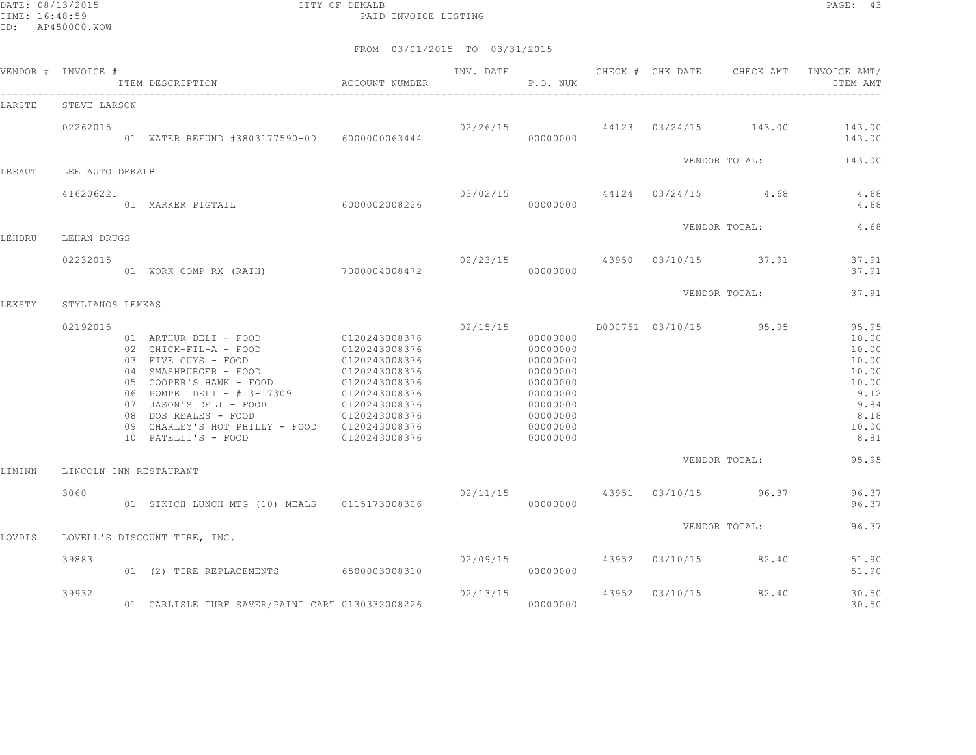DATE: 08/13/2015 CITY OF DEKALB PAGE: 43 PAID INVOICE LISTING

|        | VENDOR # INVOICE #     | ITEM DESCRIPTION                                                                                                                                                                                                                                                                                             | <b>ACCOUNT NUMBER</b>                                                                                               | INV. DATE                             | P.O. NUM                                                                                                             |       |                | CHECK # CHK DATE CHECK AMT           | INVOICE AMT/<br>ITEM AMT                                                                    |
|--------|------------------------|--------------------------------------------------------------------------------------------------------------------------------------------------------------------------------------------------------------------------------------------------------------------------------------------------------------|---------------------------------------------------------------------------------------------------------------------|---------------------------------------|----------------------------------------------------------------------------------------------------------------------|-------|----------------|--------------------------------------|---------------------------------------------------------------------------------------------|
| LARSTE | STEVE LARSON           |                                                                                                                                                                                                                                                                                                              |                                                                                                                     |                                       |                                                                                                                      |       |                |                                      |                                                                                             |
|        | 02262015               | 01 WATER REFUND #3803177590-00 6000000063444                                                                                                                                                                                                                                                                 |                                                                                                                     |                                       | 00000000                                                                                                             |       |                | $02/26/15$ 44123 $03/24/15$ 143.00   | 143.00<br>143.00                                                                            |
| LEEAUT | LEE AUTO DEKALB        |                                                                                                                                                                                                                                                                                                              |                                                                                                                     |                                       |                                                                                                                      |       |                | VENDOR TOTAL:                        | 143.00                                                                                      |
|        | 416206221              | 60000002008226<br>01 MARKER PIGTAIL                                                                                                                                                                                                                                                                          |                                                                                                                     | 00000000                              |                                                                                                                      |       |                | $03/02/15$ $44124$ $03/24/15$ $4.68$ | 4.68<br>4.68                                                                                |
| LEHDRU | LEHAN DRUGS            |                                                                                                                                                                                                                                                                                                              |                                                                                                                     |                                       |                                                                                                                      |       |                | VENDOR TOTAL:                        | 4.68                                                                                        |
|        | 02232015               | 01 WORK COMP RX (RAIH) 7000004008472                                                                                                                                                                                                                                                                         |                                                                                                                     | $02/23/15$ $43950$ $03/10/15$ $37.91$ | 00000000                                                                                                             |       |                |                                      | 37.91<br>37.91                                                                              |
| LEKSTY | STYLIANOS LEKKAS       |                                                                                                                                                                                                                                                                                                              |                                                                                                                     |                                       |                                                                                                                      |       |                | VENDOR TOTAL:                        | 37.91                                                                                       |
|        | 02192015               | 01 ARTHUR DELI - FOOD 0120243008376<br>02 CHICK-FIL-A - FOOD<br>03 FIVE GUYS - FOOD<br>04 SMASHBURGER - FOOD<br>05 COOPER'S HAWK - FOOD<br>06 POMPEI DELI - #13-17309 0120243008376<br>07 JASON'S DELI - FOOD<br>08 DOS REALES - FOOD<br>09 CHARLEY'S HOT PHILLY - FOOD 0120243008376<br>10 PATELLI'S - FOOD | 0120243008376<br>0120243008376<br>0120243008376<br>0120243008376<br>0120243008376<br>0120243008376<br>0120243008376 | 02/15/15                              | 00000000<br>00000000<br>00000000<br>00000000<br>00000000<br>00000000<br>00000000<br>00000000<br>00000000<br>00000000 |       |                | D000751 03/10/15 95.95               | 95.95<br>10.00<br>10.00<br>10.00<br>10.00<br>10.00<br>9.12<br>9.84<br>8.18<br>10.00<br>8.81 |
| LININN | LINCOLN INN RESTAURANT |                                                                                                                                                                                                                                                                                                              |                                                                                                                     |                                       |                                                                                                                      |       |                | VENDOR TOTAL:                        | 95.95                                                                                       |
|        | 3060                   | 01 SIKICH LUNCH MTG (10) MEALS 0115173008306                                                                                                                                                                                                                                                                 |                                                                                                                     | 02/11/15                              | 00000000                                                                                                             |       |                | 43951 03/10/15 96.37                 | 96.37<br>96.37                                                                              |
| LOVDIS |                        | LOVELL'S DISCOUNT TIRE, INC.                                                                                                                                                                                                                                                                                 |                                                                                                                     |                                       |                                                                                                                      |       |                | VENDOR TOTAL:                        | 96.37                                                                                       |
|        | 39883                  | 01 (2) TIRE REPLACEMENTS 6500003008310                                                                                                                                                                                                                                                                       |                                                                                                                     |                                       | 02/09/15<br>00000000                                                                                                 |       | 43952 03/10/15 | 82.40                                | 51.90<br>51.90                                                                              |
|        | 39932                  | 01 CARLISLE TURF SAVER/PAINT CART 0130332008226                                                                                                                                                                                                                                                              |                                                                                                                     | 02/13/15                              | 00000000                                                                                                             | 43952 | 03/10/15       | 82.40                                | 30.50<br>30.50                                                                              |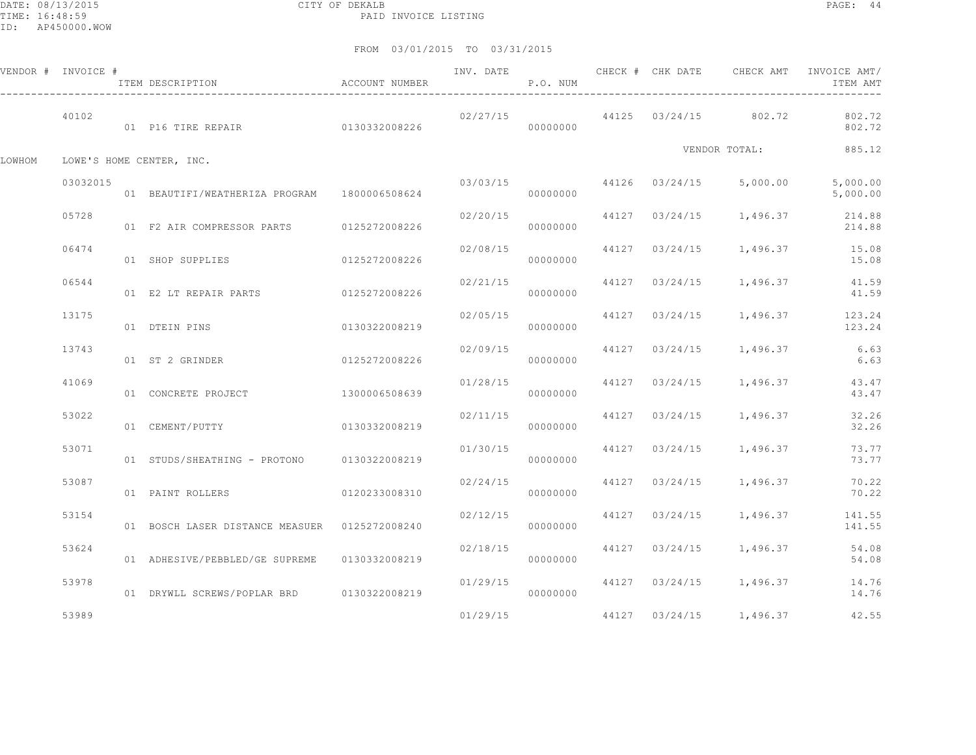|        | VENDOR # INVOICE # | ITEM DESCRIPTION                              | ACCOUNT NUMBER | INV. DATE | P.O. NUM |                | CHECK # CHK DATE CHECK AMT | INVOICE AMT/<br>ITEM AMT                 |
|--------|--------------------|-----------------------------------------------|----------------|-----------|----------|----------------|----------------------------|------------------------------------------|
|        | 40102              | 01 P16 TIRE REPAIR 60130332008226             |                | 02/27/15  | 00000000 |                | 44125 03/24/15 802.72      | 802.72<br>802.72                         |
| LOWHOM |                    | LOWE'S HOME CENTER, INC.                      |                |           |          |                | VENDOR TOTAL:              | 885.12                                   |
|        | 03032015           | 01 BEAUTIFI/WEATHERIZA PROGRAM 1800006508624  |                | 03/03/15  | 00000000 |                | 44126 03/24/15 5,000.00    | 5,000.00<br>5,000.00                     |
|        | 05728              | 01 F2 AIR COMPRESSOR PARTS 0125272008226      |                | 02/20/15  | 00000000 |                |                            | 44127 03/24/15 1,496.37 214.88<br>214.88 |
|        | 06474              | 01 SHOP SUPPLIES                              | 0125272008226  | 02/08/15  | 00000000 |                | 44127 03/24/15 1,496.37    | 15.08<br>15.08                           |
|        | 06544              | 01 E2 LT REPAIR PARTS 0125272008226           |                | 02/21/15  | 00000000 |                | 44127 03/24/15 1,496.37    | 41.59<br>41.59                           |
|        | 13175              | 01 DTEIN PINS                                 | 0130322008219  | 02/05/15  | 00000000 |                | 44127 03/24/15 1,496.37    | 123.24<br>123.24                         |
|        | 13743              | 01 ST 2 GRINDER                               | 0125272008226  | 02/09/15  | 00000000 |                | 44127 03/24/15 1,496.37    | 6.63<br>6.63                             |
|        | 41069              | 01 CONCRETE PROJECT                           | 1300006508639  | 01/28/15  | 00000000 | 44127 03/24/15 | 1,496.37                   | 43.47<br>43.47                           |
|        | 53022              | 01 CEMENT/PUTTY                               | 0130332008219  | 02/11/15  | 00000000 |                | 44127 03/24/15 1,496.37    | 32.26<br>32.26                           |
|        | 53071              | 01 STUDS/SHEATHING - PROTONO 0130322008219    |                | 01/30/15  | 00000000 |                | 44127 03/24/15 1,496.37    | 73.77<br>73.77                           |
|        | 53087              | 01 PAINT ROLLERS                              | 0120233008310  | 02/24/15  | 00000000 |                | 44127 03/24/15 1,496.37    | 70.22<br>70.22                           |
|        | 53154              | 01 BOSCH LASER DISTANCE MEASUER 0125272008240 |                | 02/12/15  | 00000000 | 44127 03/24/15 | 1,496.37                   | 141.55<br>141.55                         |
|        | 53624              | 01 ADHESIVE/PEBBLED/GE SUPREME                | 0130332008219  | 02/18/15  | 00000000 |                | 44127 03/24/15 1,496.37    | 54.08<br>54.08                           |
|        | 53978              | 01 DRYWLL SCREWS/POPLAR BRD 0130322008219     |                | 01/29/15  | 00000000 |                | 44127 03/24/15 1,496.37    | 14.76<br>14.76                           |
|        | 53989              |                                               |                | 01/29/15  |          |                | 44127 03/24/15 1,496.37    | 42.55                                    |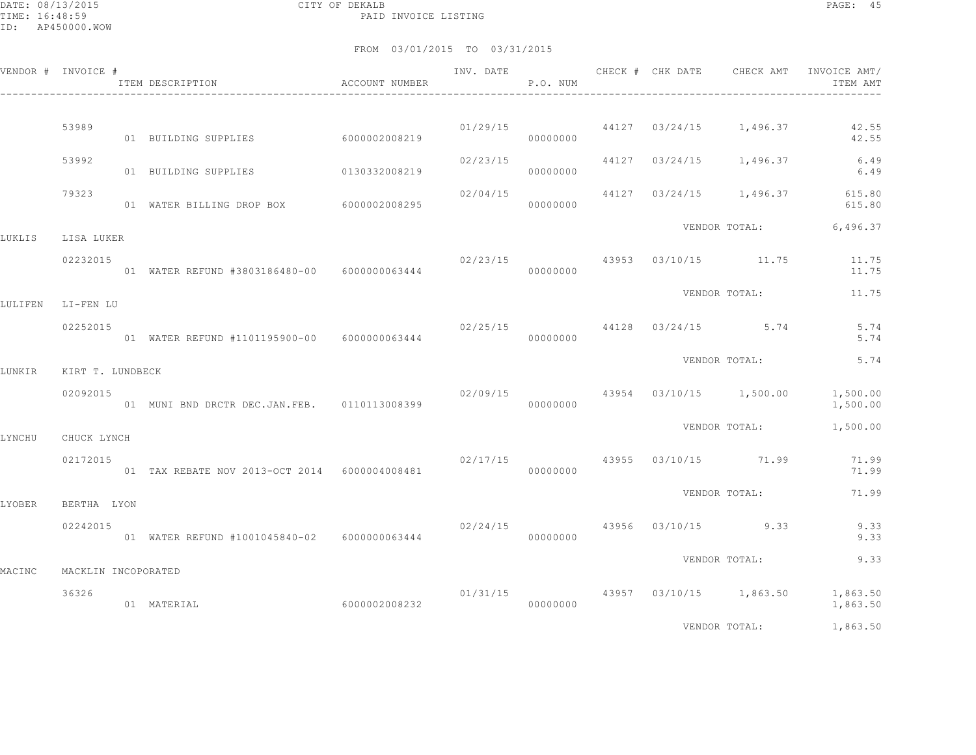DATE: 08/13/2015 CITY OF DEKALB PAGE: 45 PAID INVOICE LISTING

|         | VENDOR # INVOICE #           | ACCOUNT NUMBER<br>ITEM DESCRIPTION<br>________________________________ |               | INV. DATE                             | P.O. NUM |  |                                          | CHECK # CHK DATE CHECK AMT INVOICE AMT/<br>ITEM AMT |
|---------|------------------------------|------------------------------------------------------------------------|---------------|---------------------------------------|----------|--|------------------------------------------|-----------------------------------------------------|
|         | 53989                        | 01 BUILDING SUPPLIES                                                   | 6000002008219 |                                       | 00000000 |  | $01/29/15$ $44127$ $03/24/15$ $1,496.37$ | 42.55<br>42.55                                      |
|         | 53992                        | 01 BUILDING SUPPLIES                                                   | 0130332008219 | 02/23/15                              | 00000000 |  | 44127 03/24/15 1,496.37                  | 6.49<br>6.49                                        |
|         | 79323                        | 01 WATER BILLING DROP BOX 6000002008295                                |               | 02/04/15                              | 00000000 |  |                                          | 44127 03/24/15 1,496.37 615.80<br>615.80            |
| LUKLIS  | LISA LUKER                   |                                                                        |               |                                       |          |  |                                          | VENDOR TOTAL: 6,496.37                              |
|         | 02232015                     | 01 WATER REFUND #3803186480-00    6000000063444                        |               | 02/23/15                              | 00000000 |  | 43953 03/10/15 11.75                     | 11.75<br>11.75                                      |
| LULIFEN | LI-FEN LU                    |                                                                        |               |                                       |          |  | VENDOR TOTAL:                            | 11.75                                               |
|         | 02252015                     |                                                                        |               |                                       | 00000000 |  | $02/25/15$ 44128 $03/24/15$ 5.74         | 5.74<br>5.74                                        |
| LUNKIR  | KIRT T. LUNDBECK             |                                                                        |               |                                       |          |  | VENDOR TOTAL:                            | 5.74                                                |
|         | 02092015                     | 01 MUNI BND DRCTR DEC.JAN.FEB. 0110113008399                           |               | 02/09/15                              | 00000000 |  | 43954 03/10/15 1,500.00                  | 1,500.00<br>1,500.00                                |
| LYNCHU  | CHUCK LYNCH                  |                                                                        |               |                                       |          |  | VENDOR TOTAL:                            | 1,500.00                                            |
|         | 02172015                     | 01 TAX REBATE NOV 2013-OCT 2014 6000004008481                          |               | $02/17/15$ $43955$ $03/10/15$ $71.99$ | 00000000 |  |                                          | 71.99<br>71.99                                      |
| LYOBER  | BERTHA LYON                  |                                                                        |               |                                       |          |  | VENDOR TOTAL:                            | 71.99                                               |
|         | 02242015                     |                                                                        |               | $02/24/15$ $43956$ $03/10/15$ 9.33    | 00000000 |  |                                          | 9.33<br>9.33                                        |
|         |                              |                                                                        |               |                                       |          |  | VENDOR TOTAL:                            | 9.33                                                |
| MACINC  | MACKLIN INCOPORATED<br>36326 | 01 MATERIAL                                                            | 6000002008232 | 01/31/15                              | 00000000 |  | 43957 03/10/15 1,863.50                  | 1,863.50<br>1,863.50                                |
|         |                              |                                                                        |               |                                       |          |  | VENDOR TOTAL:                            | 1,863.50                                            |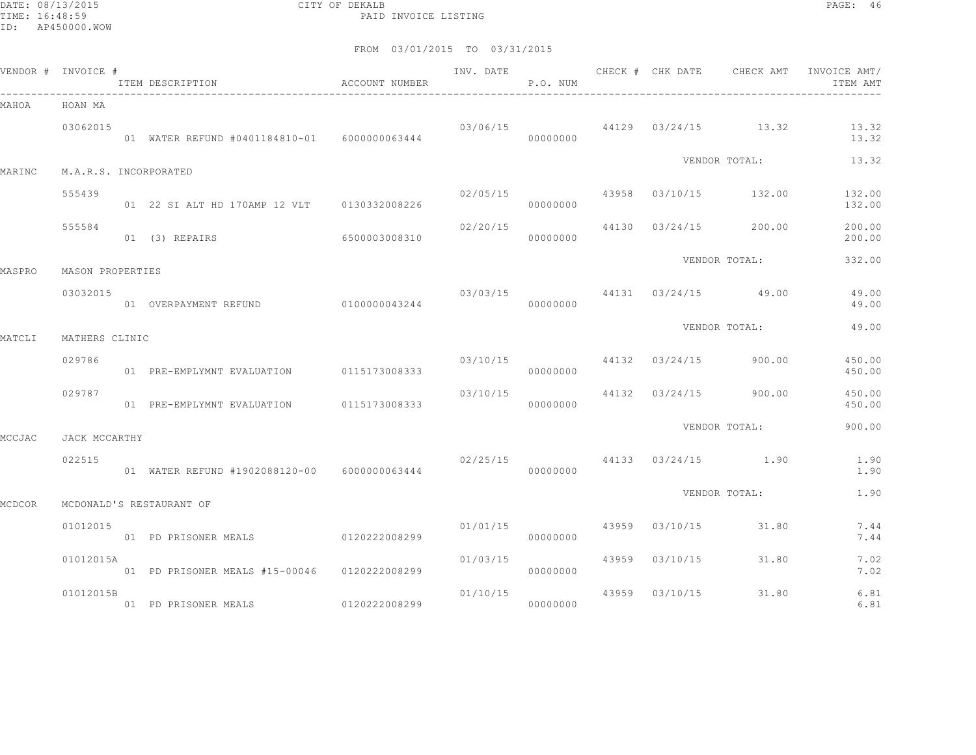DATE: 08/13/2015 CITY OF DEKALB PAGE: 46 PAID INVOICE LISTING

|        | VENDOR # INVOICE #    | ITEM DESCRIPTION                              | ACCOUNT NUMBER |                         | P.O. NUM |       |                | INV. DATE 6 CHECK # CHK DATE CHECK AMT | INVOICE AMT/<br>ITEM AMT |
|--------|-----------------------|-----------------------------------------------|----------------|-------------------------|----------|-------|----------------|----------------------------------------|--------------------------|
| MAHOA  | HOAN MA               |                                               |                |                         |          |       |                |                                        |                          |
|        | 03062015              | 01 WATER REFUND #0401184810-01  6000000063444 |                |                         | 00000000 |       |                | $03/06/15$ 44129 $03/24/15$ 13.32      | 13.32<br>13.32           |
| MARINC | M.A.R.S. INCORPORATED |                                               |                |                         |          |       |                | VENDOR TOTAL:                          | 13.32                    |
|        |                       |                                               |                |                         |          |       |                |                                        |                          |
|        | 555439                | 01 22 SI ALT HD 170AMP 12 VLT 0130332008226   |                | 02/05/15                | 00000000 |       |                | 43958 03/10/15 132.00                  | 132.00<br>132.00         |
|        | 555584                | 01 (3) REPAIRS                                | 6500003008310  | 02/20/15                | 00000000 |       |                | 44130 03/24/15 200.00                  | 200.00<br>200.00         |
| MASPRO | MASON PROPERTIES      |                                               |                |                         |          |       |                | VENDOR TOTAL:                          | 332.00                   |
|        | 03032015              | 01 OVERPAYMENT REFUND 0100000043244           |                | 03/03/15                | 00000000 |       |                | 44131 03/24/15 49.00                   | 49.00<br>49.00           |
|        |                       |                                               |                |                         |          |       |                | VENDOR TOTAL:                          | 49.00                    |
| MATCLI | MATHERS CLINIC        |                                               |                |                         |          |       |                |                                        |                          |
|        | 029786                | 01 PRE-EMPLYMNT EVALUATION 0115173008333      |                | 03/10/15 44132 03/24/15 | 00000000 |       |                | 900.00                                 | 450.00<br>450.00         |
|        | 029787                | 01 PRE-EMPLYMNT EVALUATION 0115173008333      |                | 03/10/15                | 00000000 |       |                | 44132 03/24/15 900.00                  | 450.00<br>450.00         |
| MCCJAC | JACK MCCARTHY         |                                               |                |                         |          |       |                | VENDOR TOTAL:                          | 900.00                   |
|        | 022515                | 01 WATER REFUND #1902088120-00 6000000063444  |                |                         | 00000000 |       |                | $02/25/15$ 44133 $03/24/15$ 1.90       | 1.90<br>1.90             |
| MCDCOR |                       | MCDONALD'S RESTAURANT OF                      |                |                         |          |       |                | VENDOR TOTAL:                          | 1.90                     |
|        |                       |                                               |                |                         |          |       |                |                                        |                          |
|        | 01012015              | 01 PD PRISONER MEALS 0120222008299            |                | 01/01/15                | 00000000 |       | 43959 03/10/15 | 31.80                                  | 7.44<br>7.44             |
|        | 01012015A             | 01 PD PRISONER MEALS #15-00046 0120222008299  |                | 01/03/15                | 00000000 |       | 43959 03/10/15 | 31.80                                  | 7.02<br>7.02             |
|        | 01012015B             | 01 PD PRISONER MEALS                          | 0120222008299  | 01/10/15                | 00000000 | 43959 | 03/10/15       | 31.80                                  | 6.81<br>6.81             |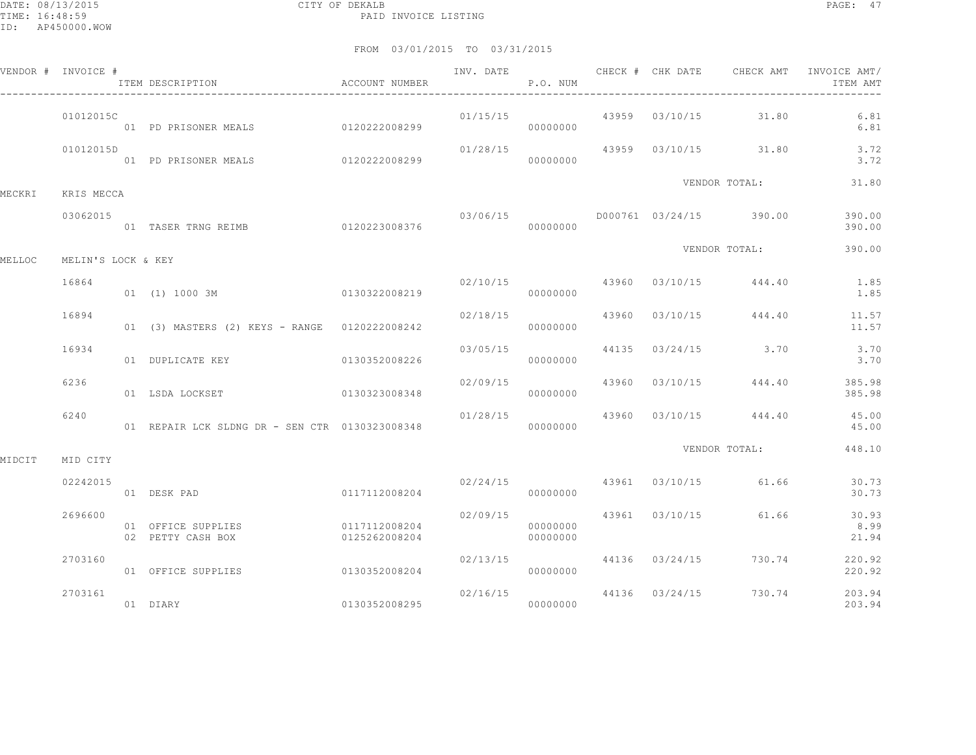|        | VENDOR # INVOICE # | ITEM DESCRIPTION                               | ACCOUNT NUMBER                 |                                     | P.O. NUM             |  |                                        | INVOICE AMT/<br>ITEM AMT |
|--------|--------------------|------------------------------------------------|--------------------------------|-------------------------------------|----------------------|--|----------------------------------------|--------------------------|
|        | 01012015C          | 01 PD PRISONER MEALS 0120222008299             |                                | 01/15/15                            | 00000000             |  | 43959 03/10/15 31.80                   | 6.81<br>6.81             |
|        | 01012015D          |                                                |                                | 01/28/15                            |                      |  | 43959 03/10/15 31.80                   | 3.72<br>3.72             |
| MECKRI | KRIS MECCA         |                                                |                                |                                     |                      |  | VENDOR TOTAL:                          | 31.80                    |
|        | 03062015           | 01 TASER TRNG REIMB                            | 0120223008376                  |                                     | 00000000             |  | $03/06/15$ D000761 03/24/15 390.00     | 390.00<br>390.00         |
| MELLOC | MELIN'S LOCK & KEY |                                                |                                |                                     |                      |  | VENDOR TOTAL:                          | 390.00                   |
|        | 16864              | 0130322008219<br>01 (1) 1000 3M                |                                |                                     | 00000000             |  | $02/10/15$ 43960 $03/10/15$ 444.40     | 1.85<br>1.85             |
|        | 16894              | 01 (3) MASTERS (2) KEYS - RANGE 0120222008242  |                                |                                     | 00000000             |  | $02/18/15$ $43960$ $03/10/15$ $444.40$ | 11.57<br>11.57           |
|        | 16934              | 01 DUPLICATE KEY 0130352008226                 |                                | 03/05/15                            | 00000000             |  | 44135 03/24/15 3.70                    | 3.70<br>3.70             |
|        | 6236               | 01 LSDA LOCKSET                                | 0130323008348                  | 02/09/15                            | 00000000             |  | 43960 03/10/15 444.40                  | 385.98<br>385.98         |
|        | 6240               | 01 REPAIR LCK SLDNG DR - SEN CTR 0130323008348 |                                |                                     | 00000000             |  | $01/28/15$ 43960 $03/10/15$ 444.40     | 45.00<br>45.00           |
| MIDCIT | MID CITY           |                                                |                                |                                     |                      |  | VENDOR TOTAL:                          | 448.10                   |
|        | 02242015           | 01 DESK PAD                                    | 0117112008204                  |                                     | 00000000             |  | $02/24/15$ $43961$ $03/10/15$ $61.66$  | 30.73<br>30.73           |
|        | 2696600            | 01 OFFICE SUPPLIES<br>02 PETTY CASH BOX        | 0117112008204<br>0125262008204 | 02/09/15                            | 00000000<br>00000000 |  | 43961 03/10/15 61.66                   | 30.93<br>8.99<br>21.94   |
|        | 2703160            | 01 OFFICE SUPPLIES                             | 0130352008204                  | 02/13/15                            | 00000000             |  | 44136 03/24/15 730.74                  | 220.92<br>220.92         |
|        | 2703161            | 01 DIARY                                       | 0130352008295                  | 02/16/15 44136 03/24/15<br>00000000 |                      |  | 730.74                                 | 203.94<br>203.94         |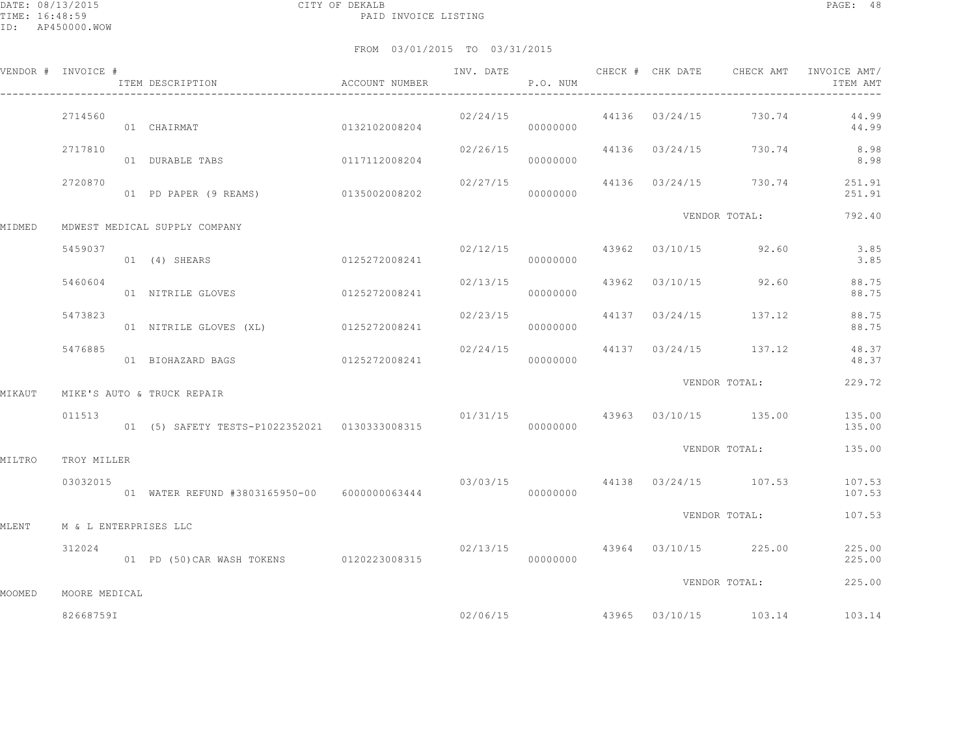DATE: 08/13/2015 CITY OF DEKALB PAGE: 48 PAID INVOICE LISTING

ID: AP450000.WOW

|        | VENDOR # INVOICE #    | ITEM DESCRIPTION CONTROLLER ACCOUNT NUMBER    |               | P.O. NUM |          |  |                                        | ITEM AMT                           |
|--------|-----------------------|-----------------------------------------------|---------------|----------|----------|--|----------------------------------------|------------------------------------|
|        | 2714560               | 01 CHAIRMAT 0132102008204                     |               |          | 00000000 |  | 02/24/15 44136 03/24/15 730.74         | 44.99<br>44.99                     |
|        | 2717810               | 01 DURABLE TABS 0117112008204                 |               | 02/26/15 | 00000000 |  |                                        | 44136 03/24/15 730.74 8.98<br>8.98 |
|        | 2720870               | 01 PD PAPER (9 REAMS) 0135002008202           |               |          | 00000000 |  | 02/27/15 44136 03/24/15 730.74         | 251.91<br>251.91                   |
| MIDMED |                       | MDWEST MEDICAL SUPPLY COMPANY                 |               |          |          |  | VENDOR TOTAL:                          | 792.40                             |
|        | 5459037               | 01 (4) SHEARS 0125272008241                   |               | 02/12/15 | 00000000 |  | 43962 03/10/15 92.60                   | 3.85<br>3.85                       |
|        | 5460604               | 01 NITRILE GLOVES 0125272008241               |               | 02/13/15 | 00000000 |  | 43962 03/10/15 92.60                   | 88.75<br>88.75                     |
|        | 5473823               | 01 NITRILE GLOVES (XL) 0125272008241          |               | 02/23/15 | 00000000 |  | 44137 03/24/15 137.12                  | 88.75<br>88.75                     |
|        | 5476885               | 01 BIOHAZARD BAGS                             | 0125272008241 |          | 00000000 |  | $02/24/15$ 44137 $03/24/15$ 137.12     | 48.37<br>48.37                     |
| MIKAUT |                       | MIKE'S AUTO & TRUCK REPAIR                    |               |          |          |  | VENDOR TOTAL:                          | 229.72                             |
|        | 011513                | 01 (5) SAFETY TESTS-P1022352021 0130333008315 |               |          | 00000000 |  | $01/31/15$ $43963$ $03/10/15$ $135.00$ | 135.00<br>135.00                   |
| MILTRO | TROY MILLER           |                                               |               |          |          |  | VENDOR TOTAL:                          | 135.00                             |
|        | 03032015              | 01 WATER REFUND #3803165950-00 6000000063444  |               |          | 00000000 |  | 03/03/15 44138 03/24/15 107.53         | 107.53<br>107.53                   |
| MLENT  | M & L ENTERPRISES LLC |                                               |               |          |          |  | VENDOR TOTAL:                          | 107.53                             |
|        | 312024                | 01 PD (50) CAR WASH TOKENS 0120223008315      |               |          | 00000000 |  | $02/13/15$ $43964$ $03/10/15$ $225.00$ | 225.00<br>225.00                   |
| MOOMED | MOORE MEDICAL         |                                               |               |          |          |  | VENDOR TOTAL:                          | 225.00                             |
|        | 826687591             |                                               |               |          | 02/06/15 |  | 43965 03/10/15 103.14                  | 103.14                             |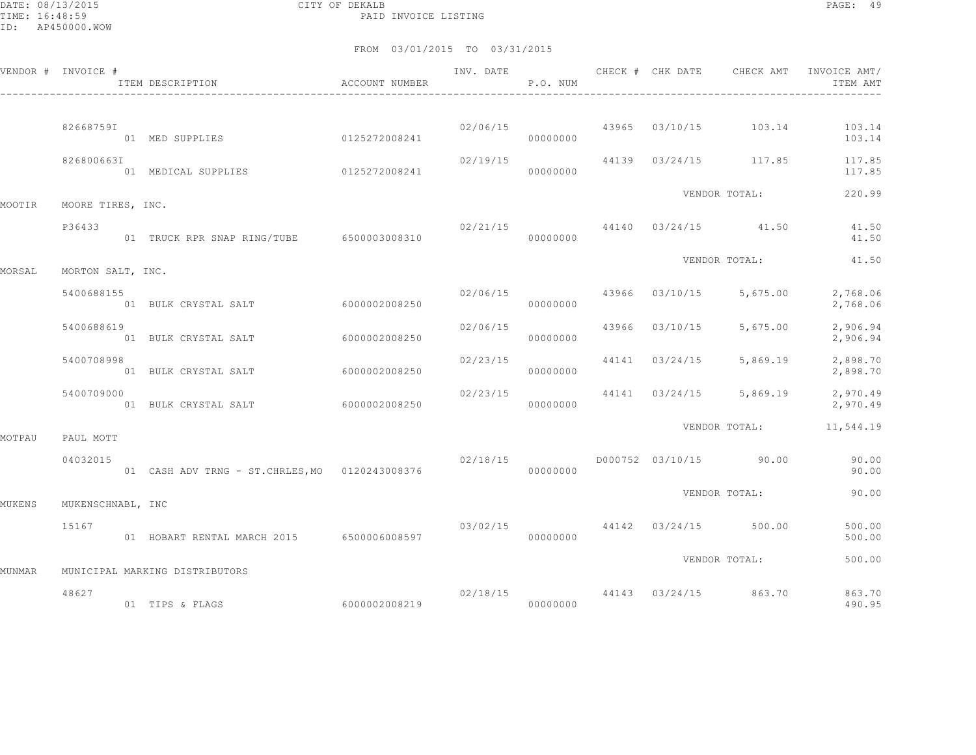DATE: 08/13/2015 CITY OF DEKALB PAGE: 49 PAID INVOICE LISTING

|        | VENDOR # INVOICE # | ITEM DESCRIPTION <b>ACCOUNT</b> NUMBER<br>--------------------------------- |               |                      | P.O. NUM             |                       |                                    | INV. DATE 6 1999 CHECK # CHK DATE 6 CHECK AMT INVOICE AMT<br>ITEM AMT |
|--------|--------------------|-----------------------------------------------------------------------------|---------------|----------------------|----------------------|-----------------------|------------------------------------|-----------------------------------------------------------------------|
|        | 826687591          | 01 MED SUPPLIES 0125272008241                                               |               |                      | 00000000             |                       |                                    | $02/06/15$ $43965$ $03/10/15$ $103.14$ $103.14$<br>103.14             |
|        | 826800663I         | 01 MEDICAL SUPPLIES                                                         | 0125272008241 | 02/19/15<br>00000000 |                      |                       | 44139 03/24/15 117.85              | 117.85<br>117.85                                                      |
| MOOTIR | MOORE TIRES, INC.  |                                                                             |               |                      |                      |                       | VENDOR TOTAL:                      | 220.99                                                                |
|        | P36433             |                                                                             |               |                      |                      |                       | $02/21/15$ 44140 $03/24/15$ 41.50  | 41.50<br>41.50                                                        |
| MORSAL | MORTON SALT, INC.  |                                                                             |               |                      |                      |                       | VENDOR TOTAL:                      | 41.50                                                                 |
|        | 5400688155         | 01 BULK CRYSTAL SALT 6000002008250                                          |               |                      | 02/06/15<br>00000000 |                       | 43966 03/10/15 5,675.00            | 2,768.06<br>2,768.06                                                  |
|        | 5400688619         | 01 BULK CRYSTAL SALT                                                        | 6000002008250 | 02/06/15             | 00000000             |                       | 43966 03/10/15 5,675.00            | 2,906.94<br>2,906.94                                                  |
|        | 5400708998         | 01 BULK CRYSTAL SALT                                                        | 6000002008250 | 02/23/15             | 00000000             |                       | 44141 03/24/15 5,869.19            | 2,898.70<br>2,898.70                                                  |
|        | 5400709000         | 01 BULK CRYSTAL SALT 6000002008250                                          |               | 02/23/15             | 00000000             |                       |                                    | 44141 03/24/15 5,869.19 2,970.49<br>2,970.49                          |
| MOTPAU | PAUL MOTT          |                                                                             |               |                      |                      |                       | VENDOR TOTAL:                      | 11,544.19                                                             |
|        | 04032015           |                                                                             |               | 02/18/15             | 00000000             |                       | D000752 03/10/15 90.00             | 90.00<br>90.00                                                        |
| MUKENS | MUKENSCHNABL, INC  |                                                                             |               |                      |                      |                       | VENDOR TOTAL:                      | 90.00                                                                 |
|        | 15167              | 01 HOBART RENTAL MARCH 2015 6500006008597 000000000 00000000                |               | 03/02/15             |                      | 44142 03/24/15 500.00 |                                    | 500.00<br>500.00                                                      |
|        |                    |                                                                             |               |                      |                      |                       | VENDOR TOTAL:                      | 500.00                                                                |
| MUNMAR | 48627              | MUNICIPAL MARKING DISTRIBUTORS<br>01 TIPS & FLAGS                           |               |                      |                      |                       | $02/18/15$ 44143 $03/24/15$ 863.70 | 863.70<br>490.95                                                      |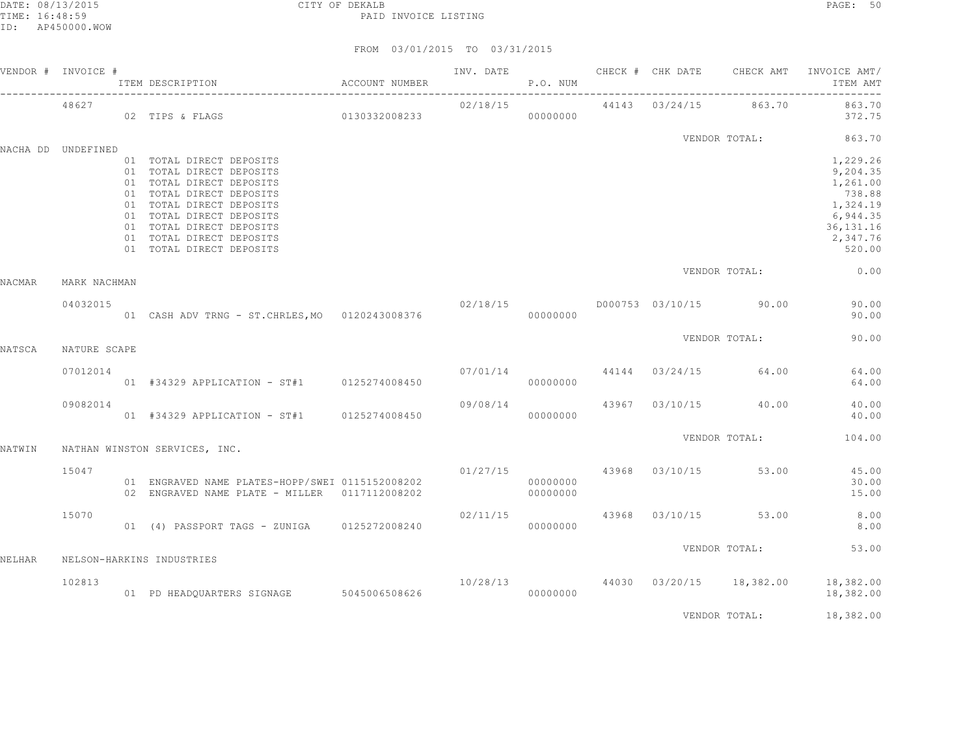|        | VENDOR # INVOICE # |                                                                                                                                                                                                                                                          |  |           |  |                                       | INV. DATE 6 CHECK # CHK DATE CHECK AMT INVOICE AMT/<br>ITEM AMT                                         |
|--------|--------------------|----------------------------------------------------------------------------------------------------------------------------------------------------------------------------------------------------------------------------------------------------------|--|-----------|--|---------------------------------------|---------------------------------------------------------------------------------------------------------|
|        | 48627              |                                                                                                                                                                                                                                                          |  |           |  |                                       |                                                                                                         |
|        | NACHA DD UNDEFINED |                                                                                                                                                                                                                                                          |  |           |  |                                       | VENDOR TOTAL: 863.70                                                                                    |
|        |                    | 01 TOTAL DIRECT DEPOSITS<br>01 TOTAL DIRECT DEPOSITS<br>01 TOTAL DIRECT DEPOSITS<br>01 TOTAL DIRECT DEPOSITS<br>01 TOTAL DIRECT DEPOSITS<br>01 TOTAL DIRECT DEPOSITS<br>01 TOTAL DIRECT DEPOSITS<br>01 TOTAL DIRECT DEPOSITS<br>01 TOTAL DIRECT DEPOSITS |  |           |  |                                       | 1,229.26<br>9,204.35<br>1,261.00<br>738.88<br>1,324.19<br>6,944.35<br>36, 131. 16<br>2,347.76<br>520.00 |
| NACMAR | MARK NACHMAN       |                                                                                                                                                                                                                                                          |  |           |  |                                       | VENDOR TOTAL: 0.00                                                                                      |
|        | 04032015           | 02/18/15 $0.00000000$ D000753 03/10/15 90.00<br>0.00000000 0120243008376 000000000                                                                                                                                                                       |  |           |  |                                       | 90.00<br>90.00                                                                                          |
| NATSCA | NATURE SCAPE       |                                                                                                                                                                                                                                                          |  |           |  | VENDOR TOTAL:                         | 90.00                                                                                                   |
|        | 07012014           |                                                                                                                                                                                                                                                          |  |           |  |                                       | 64.00<br>64.00                                                                                          |
|        | 09082014           | 09/08/14<br>$01$ #34329 APPLICATION - ST#1 0125274008450 09/08/14                                                                                                                                                                                        |  |           |  | 43967 03/10/15 40.00                  | 40.00<br>40.00                                                                                          |
| NATWIN |                    | NATHAN WINSTON SERVICES, INC.                                                                                                                                                                                                                            |  |           |  | VENDOR TOTAL:                         | 104.00                                                                                                  |
|        | 15047              | 01 ENGRAVED NAME PLATES-HOPP/SWEI 0115152008202<br>02 ENGRAVED NAME PLATE - MILLER 0117112008202                                                                                                                                                         |  | 000000000 |  | $01/27/15$ $43968$ $03/10/15$ $53.00$ | 45.00<br>30.00<br>15.00                                                                                 |
|        | 15070              |                                                                                                                                                                                                                                                          |  |           |  |                                       | $02/11/15$ $43968$ $03/10/15$ $53.00$ $8.00$<br>8.00                                                    |
| NELHAR |                    | NELSON-HARKINS INDUSTRIES                                                                                                                                                                                                                                |  |           |  | VENDOR TOTAL:                         | 53.00                                                                                                   |
|        | 102813             | $10/28/13$ $10/28/13$ $10/28/13$ $000000000$ $1000000000$ $10/28/13$ $000000000$ $10/28/13$ $000000000$ $18,382.00$ $18,382.00$                                                                                                                          |  |           |  |                                       |                                                                                                         |
|        |                    |                                                                                                                                                                                                                                                          |  |           |  | VENDOR TOTAL:                         | 18,382.00                                                                                               |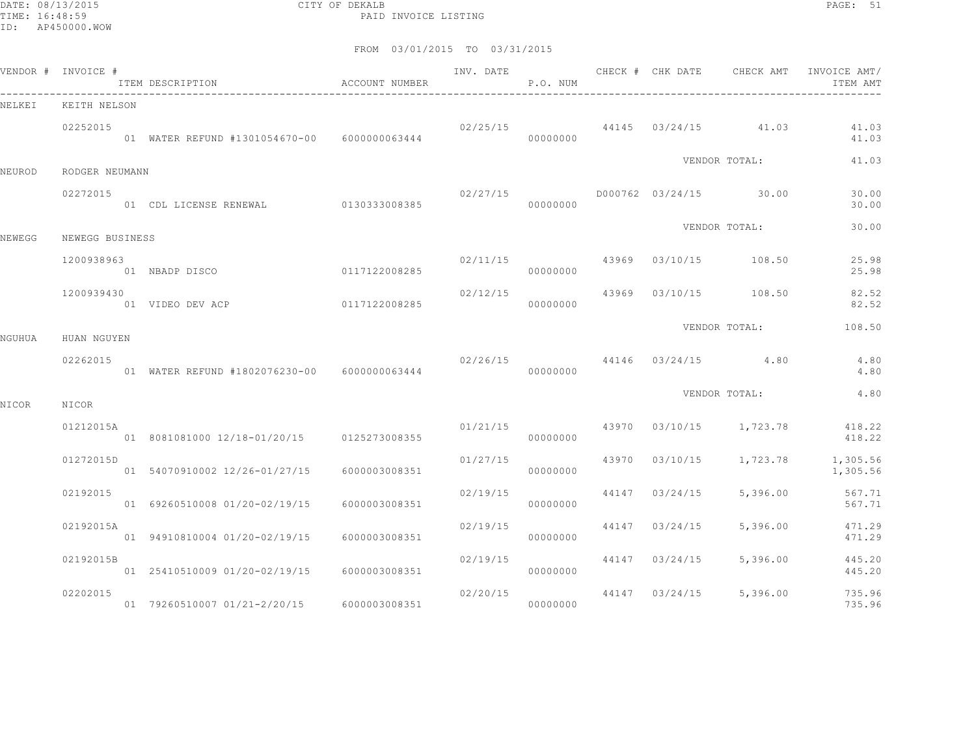DATE: 08/13/2015 CITY OF DEKALB PAGE: 51 PAID INVOICE LISTING

|        | VENDOR # INVOICE # | ITEM DESCRIPTION                             | ACCOUNT NUMBER | INV. DATE                        | P.O. NUM             |                | CHECK # CHK DATE CHECK AMT       | INVOICE AMT/<br>ITEM AMT |
|--------|--------------------|----------------------------------------------|----------------|----------------------------------|----------------------|----------------|----------------------------------|--------------------------|
| NELKEI | KEITH NELSON       |                                              |                |                                  |                      |                |                                  |                          |
|        | 02252015           | 01 WATER REFUND #1301054670-00 6000000063444 |                |                                  | 00000000             |                | $02/25/15$ 44145 03/24/15 41.03  | 41.03<br>41.03           |
| NEUROD | RODGER NEUMANN     |                                              |                |                                  |                      |                | VENDOR TOTAL:                    | 41.03                    |
|        | 02272015           | 01 CDL LICENSE RENEWAL 0130333008385         |                | 02/27/15                         | 00000000             |                | D000762 03/24/15 30.00           | 30.00<br>30.00           |
| NEWEGG | NEWEGG BUSINESS    |                                              |                |                                  |                      |                | VENDOR TOTAL:                    | 30.00                    |
|        | 1200938963         | 01 NBADP DISCO                               | 0117122008285  |                                  | 00000000             |                | $02/11/15$ 43969 03/10/15 108.50 | 25.98<br>25.98           |
|        | 1200939430         | 01 VIDEO DEV ACP                             | 0117122008285  | 02/12/15                         | 00000000             |                | 43969 03/10/15 108.50            | 82.52<br>82.52           |
| NGUHUA | HUAN NGUYEN        |                                              |                |                                  |                      |                | VENDOR TOTAL:                    | 108.50                   |
|        | 02262015           | 01 WATER REFUND #1802076230-00 6000000063444 |                | $02/26/15$ 44146 $03/24/15$ 4.80 | 00000000             |                |                                  | 4.80<br>4.80             |
| NICOR  | NICOR              |                                              |                |                                  |                      |                | VENDOR TOTAL:                    | 4.80                     |
|        | 01212015A          | 01 8081081000 12/18-01/20/15 0125273008355   |                |                                  | 01/21/15<br>00000000 |                | 43970 03/10/15 1,723.78          | 418.22<br>418.22         |
|        | 01272015D          | 01 54070910002 12/26-01/27/15                | 6000003008351  |                                  | 01/27/15<br>00000000 |                | 43970 03/10/15 1,723.78          | 1,305.56<br>1,305.56     |
|        | 02192015           | 01 69260510008 01/20-02/19/15                | 6000003008351  | 02/19/15                         | 00000000             | 44147 03/24/15 | 5,396.00                         | 567.71<br>567.71         |
|        | 02192015A          | 01 94910810004 01/20-02/19/15                | 6000003008351  | 02/19/15                         | 00000000             | 44147 03/24/15 | 5,396.00                         | 471.29<br>471.29         |
|        | 02192015B          | 01 25410510009 01/20-02/19/15                | 6000003008351  | 02/19/15                         | 00000000             | 44147 03/24/15 | 5,396.00                         | 445.20<br>445.20         |
|        | 02202015           | 01 79260510007 01/21-2/20/15                 | 6000003008351  |                                  | 02/20/15<br>00000000 | 44147 03/24/15 | 5,396.00                         | 735.96<br>735.96         |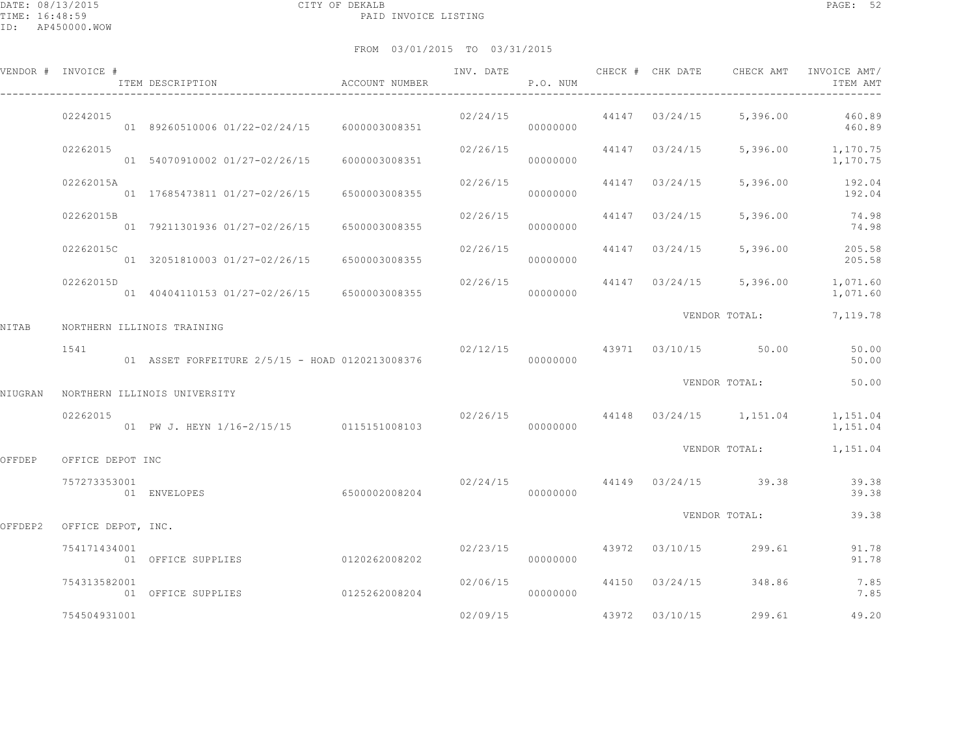|         | VENDOR # INVOICE #         | ITEM DESCRIPTION                                | ACCOUNT NUMBER | INV. DATE | P.O. NUM             |       | CHECK # CHK DATE | CHECK AMT                            | INVOICE AMT/<br>ITEM AMT                                    |
|---------|----------------------------|-------------------------------------------------|----------------|-----------|----------------------|-------|------------------|--------------------------------------|-------------------------------------------------------------|
|         | 02242015                   | 01 89260510006 01/22-02/24/15 6000003008351     |                |           | 00000000             |       |                  |                                      | $02/24/15$ $44147$ $03/24/15$ $5,396.00$ $460.89$<br>460.89 |
|         | 02262015                   | 01 54070910002 01/27-02/26/15                   | 6000003008351  | 02/26/15  | 00000000             |       | 44147 03/24/15   |                                      | 5,396.00 1,170.75<br>1,170.75                               |
|         | 02262015A                  | 01 17685473811 01/27-02/26/15                   | 6500003008355  | 02/26/15  | 00000000             | 44147 | 03/24/15         |                                      | 5,396.00 192.04<br>192.04                                   |
|         | 02262015B                  | 01 79211301936 01/27-02/26/15                   | 6500003008355  | 02/26/15  | 00000000             | 44147 | 03/24/15         | 5,396.00                             | 74.98<br>74.98                                              |
|         | 02262015C                  | 01 32051810003 01/27-02/26/15                   | 6500003008355  | 02/26/15  | 00000000             | 44147 | 03/24/15         | 5,396.00                             | 205.58<br>205.58                                            |
|         | 02262015D                  | 01 40404110153 01/27-02/26/15                   | 6500003008355  | 02/26/15  | 00000000             |       |                  | 44147 03/24/15 5,396.00              | 1,071.60<br>1,071.60                                        |
| NITAB   | NORTHERN ILLINOIS TRAINING |                                                 |                |           |                      |       |                  | VENDOR TOTAL:                        | 7,119.78                                                    |
|         | 1541                       | 01 ASSET FORFEITURE 2/5/15 - HOAD 0120213008376 |                |           | 00000000             |       |                  | 02/12/15 43971 03/10/15 50.00        | 50.00<br>50.00                                              |
| NIUGRAN |                            | NORTHERN ILLINOIS UNIVERSITY                    |                |           |                      |       |                  | VENDOR TOTAL:                        | 50.00                                                       |
|         | 02262015                   | 01 PW J. HEYN 1/16-2/15/15 0115151008103        |                |           | 00000000             |       |                  | $02/26/15$ 44148 $03/24/15$ 1,151.04 | 1,151.04<br>1,151.04                                        |
| OFFDEP  | OFFICE DEPOT INC           |                                                 |                |           |                      |       |                  | VENDOR TOTAL:                        | 1,151.04                                                    |
|         | 757273353001               | 01 ENVELOPES                                    | 6500002008204  |           | 00000000             |       |                  | $02/24/15$ 44149 $03/24/15$ 39.38    | 39.38<br>39.38                                              |
| OFFDEP2 | OFFICE DEPOT, INC.         |                                                 |                |           |                      |       |                  | VENDOR TOTAL:                        | 39.38                                                       |
|         | 754171434001               | 01 OFFICE SUPPLIES                              | 0120262008202  |           | 02/23/15<br>00000000 |       | 43972 03/10/15   | 299.61                               | 91.78<br>91.78                                              |
|         | 754313582001               | 01 OFFICE SUPPLIES                              | 0125262008204  | 02/06/15  | 00000000             |       | 44150 03/24/15   | 348.86                               | 7.85<br>7.85                                                |
|         | 754504931001               |                                                 |                | 02/09/15  |                      | 43972 | 03/10/15         | 299.61                               | 49.20                                                       |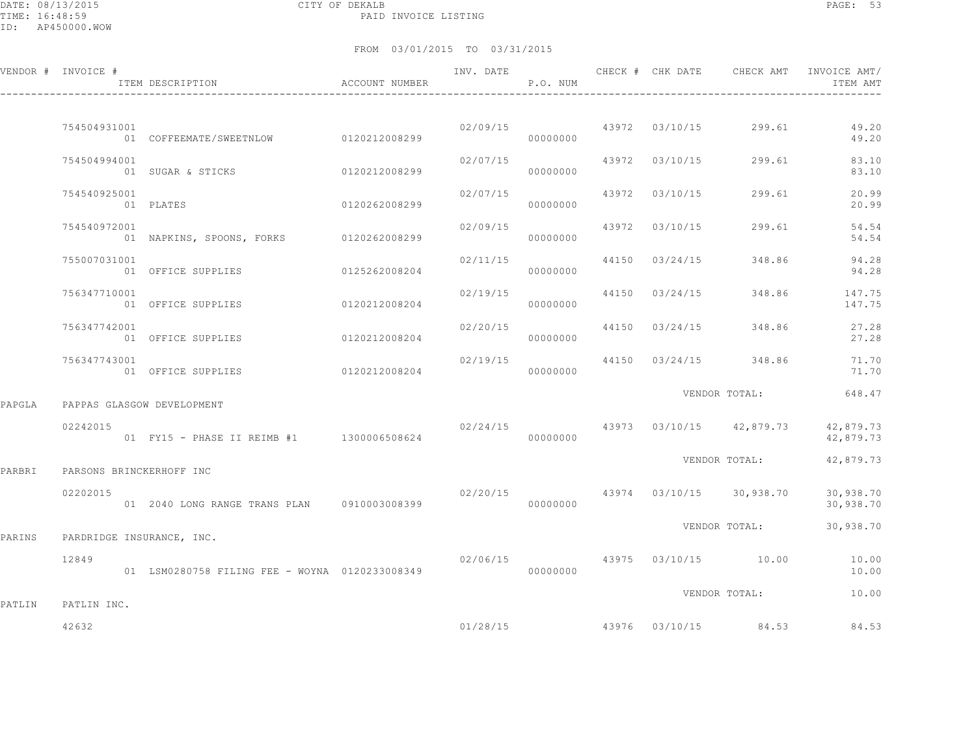DATE: 08/13/2015 CITY OF DEKALB PAGE: 53 PAID INVOICE LISTING

|        | VENDOR # INVOICE #         | ITEM DESCRIPTION<br>$\hfill$<br>ACCOUNT NUMBER                                                                                                            |               |          | P.O. NUM |       |          |                                           | INV. DATE 6 CHECK # CHK DATE CHECK AMT INVOICE AMT/<br>ITEM AMT |
|--------|----------------------------|-----------------------------------------------------------------------------------------------------------------------------------------------------------|---------------|----------|----------|-------|----------|-------------------------------------------|-----------------------------------------------------------------|
|        | 754504931001               | 01 COFFEEMATE/SWEETNLOW 0120212008299                                                                                                                     |               |          | 00000000 |       |          |                                           | $02/09/15$ $43972$ $03/10/15$ $299.61$ $49.20$<br>49.20         |
|        | 754504994001               | 01 SUGAR & STICKS                                                                                                                                         | 0120212008299 | 02/07/15 | 00000000 |       |          | 43972 03/10/15 299.61                     | 83.10<br>83.10                                                  |
|        | 754540925001               | 01 PLATES                                                                                                                                                 | 0120262008299 | 02/07/15 | 00000000 |       |          | 43972 03/10/15 299.61                     | 20.99<br>20.99                                                  |
|        | 754540972001               | 01 NAPKINS, SPOONS, FORKS 0120262008299                                                                                                                   |               | 02/09/15 | 00000000 | 43972 | 03/10/15 | 299.61                                    | 54.54<br>54.54                                                  |
|        | 755007031001               | 01 OFFICE SUPPLIES                                                                                                                                        | 0125262008204 | 02/11/15 | 00000000 | 44150 | 03/24/15 | 348.86                                    | 94.28<br>94.28                                                  |
|        | 756347710001               | 01 OFFICE SUPPLIES                                                                                                                                        | 0120212008204 | 02/19/15 | 00000000 |       |          |                                           | 44150 03/24/15 348.86 147.75<br>147.75                          |
|        | 756347742001               | 01 OFFICE SUPPLIES                                                                                                                                        | 0120212008204 | 02/20/15 | 00000000 |       |          | 44150 03/24/15 348.86                     | 27.28<br>27.28                                                  |
|        | 756347743001               | 01 OFFICE SUPPLIES 0120212008204                                                                                                                          |               | 02/19/15 | 00000000 |       |          |                                           | 44150 03/24/15 348.86 71.70<br>71.70                            |
| PAPGLA | PAPPAS GLASGOW DEVELOPMENT |                                                                                                                                                           |               |          |          |       |          | VENDOR TOTAL:                             | 648.47                                                          |
|        | 02242015                   | $02/24/15$ $02/24/15$ $03/10/15$ $03/10/15$ $03/10/15$ $03/10/15$ $03/10/15$ $03/10/15$ $03/10/15$ $03/10/15$ $03/10/15$ $03/10/15$ $03/10/15$ $03/10/15$ |               |          |          |       |          |                                           | 42,879.73<br>42,879.73                                          |
| PARBRI | PARSONS BRINCKERHOFF INC   |                                                                                                                                                           |               |          |          |       |          | VENDOR TOTAL:                             | 42,879.73                                                       |
|        | 02202015                   | 01  2040  LONG RANGE TRANS  PLAN  0910003008399                                                                                                           |               |          | 00000000 |       |          | $02/20/15$ $43974$ $03/10/15$ $30,938.70$ | 30,938.70<br>30,938.70                                          |
| PARINS | PARDRIDGE INSURANCE, INC.  |                                                                                                                                                           |               |          |          |       |          | VENDOR TOTAL:                             | 30,938.70                                                       |
|        | 12849                      | 01 LSM0280758 FILING FEE - WOYNA 0120233008349                                                                                                            |               |          | 00000000 |       |          | $02/06/15$ $43975$ $03/10/15$ $10.00$     | 10.00<br>10.00                                                  |
| PATLIN | PATLIN INC.                |                                                                                                                                                           |               |          |          |       |          | VENDOR TOTAL:                             | 10.00                                                           |
|        | 42632                      |                                                                                                                                                           |               |          |          |       |          | $01/28/15$ $43976$ $03/10/15$ $84.53$     | 84.53                                                           |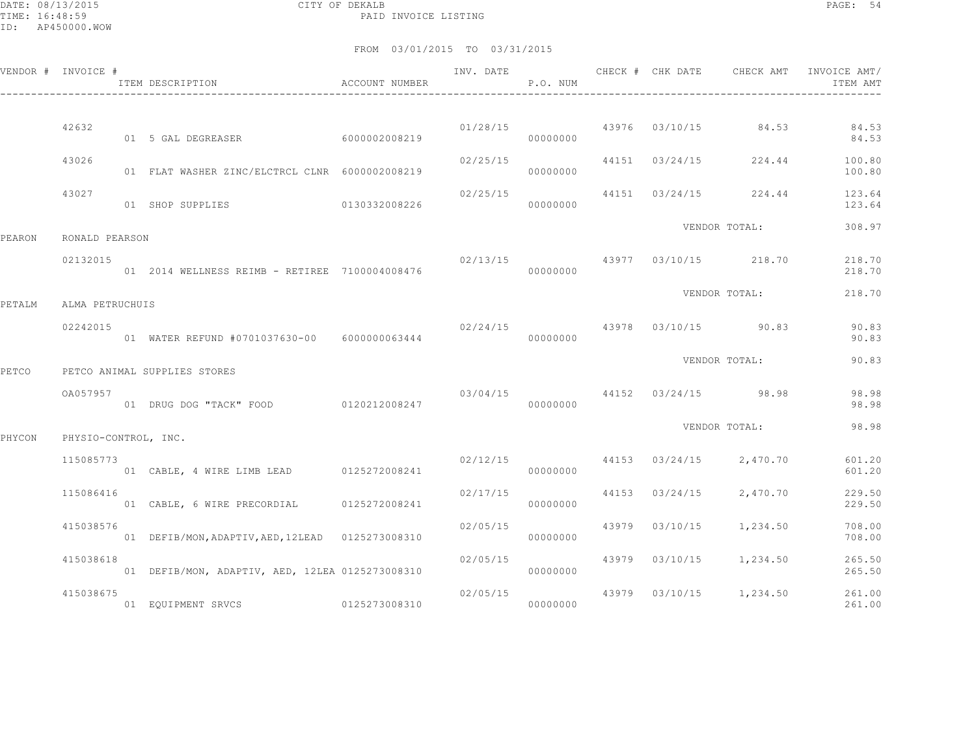DATE: 08/13/2015 CITY OF DEKALB PAGE: 54 PAID INVOICE LISTING

|        | VENDOR # INVOICE #   | ITEM DESCRIPTION                                   | ACCOUNT NUMBER | INV. DATE | P.O. NUM | CHECK # CHK DATE | CHECK AMT                                | INVOICE AMT/<br>ITEM AMT   |
|--------|----------------------|----------------------------------------------------|----------------|-----------|----------|------------------|------------------------------------------|----------------------------|
|        | 42632                | 01 5 GAL DEGREASER                                 | 60000002008219 |           | 00000000 |                  | $01/28/15$ 43976 03/10/15 84.53          | 84.53<br>84.53             |
|        | 43026                | 01 FLAT WASHER ZINC/ELCTRCL CLNR 6000002008219     |                | 02/25/15  | 00000000 |                  | 44151 03/24/15 224.44                    | 100.80                     |
|        | 43027                | 01 SHOP SUPPLIES 0130332008226                     |                | 02/25/15  | 00000000 |                  | 44151 03/24/15 224.44                    | 100.80<br>123.64<br>123.64 |
| PEARON | RONALD PEARSON       |                                                    |                |           |          |                  | VENDOR TOTAL:                            | 308.97                     |
|        | 02132015             | 01  2014  WELLNESS  REIMB - RETIREE  7100004008476 |                |           | 00000000 |                  | $02/13/15$ $43977$ $03/10/15$ $218.70$   | 218.70<br>218.70           |
| PETALM | ALMA PETRUCHUIS      |                                                    |                |           |          |                  | VENDOR TOTAL:                            | 218.70                     |
|        | 02242015             | 01 WATER REFUND #0701037630-00 6000000063444       |                |           | 00000000 |                  | $02/24/15$ $43978$ $03/10/15$ $90.83$    | 90.83<br>90.83             |
| PETCO  |                      | PETCO ANIMAL SUPPLIES STORES                       |                |           |          |                  | VENDOR TOTAL:                            | 90.83                      |
|        | OA057957             | 01 DRUG DOG "TACK" FOOD 0120212008247              |                |           | 00000000 |                  | $03/04/15$ $44152$ $03/24/15$ 98.98      | 98.98<br>98.98             |
| PHYCON | PHYSIO-CONTROL, INC. |                                                    |                |           |          |                  | VENDOR TOTAL:                            | 98.98                      |
|        | 115085773            | 01 CABLE, 4 WIRE LIMB LEAD 0125272008241           |                |           | 00000000 |                  | $02/12/15$ $44153$ $03/24/15$ $2,470.70$ | 601.20<br>601.20           |
|        | 115086416            | 01 CABLE, 6 WIRE PRECORDIAL 0125272008241          |                | 02/17/15  | 00000000 |                  | 44153 03/24/15 2,470.70                  | 229.50<br>229.50           |
|        | 415038576            | 01 DEFIB/MON, ADAPTIV, AED, 12LEAD 0125273008310   |                | 02/05/15  | 00000000 |                  | 43979 03/10/15 1,234.50                  | 708.00<br>708.00           |
|        | 415038618            | 01 DEFIB/MON, ADAPTIV, AED, 12LEA 0125273008310    |                | 02/05/15  | 00000000 |                  | 43979 03/10/15 1,234.50                  | 265.50<br>265.50           |
|        | 415038675            | 01 EQUIPMENT SRVCS 0125273008310                   |                |           | 00000000 |                  | $02/05/15$ $43979$ $03/10/15$ $1,234.50$ | 261.00<br>261.00           |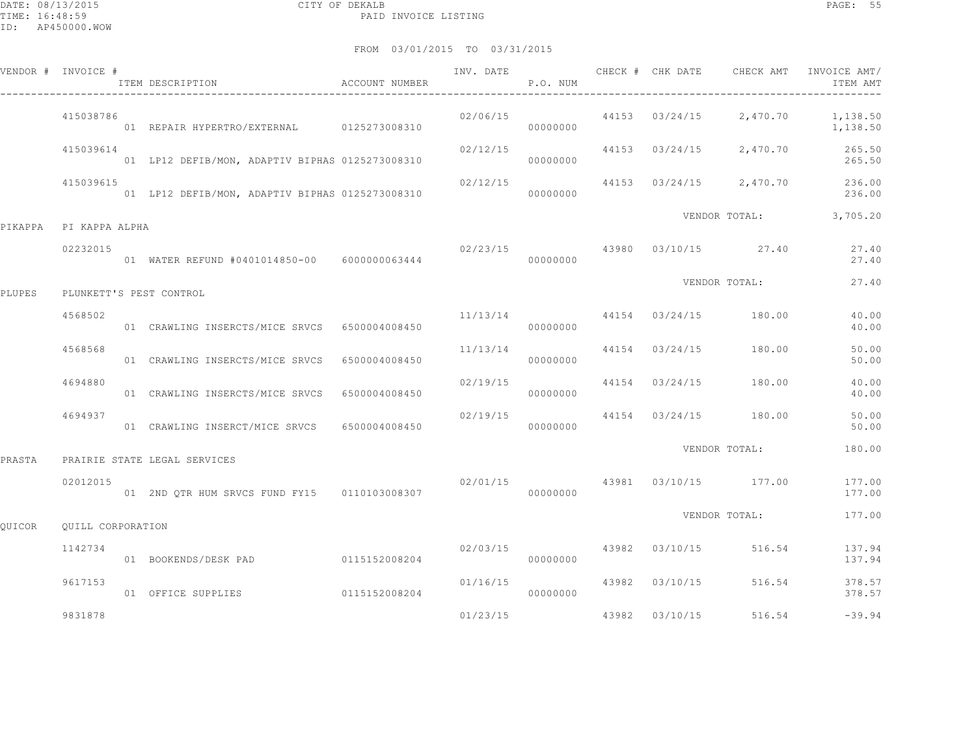|         | VENDOR # INVOICE # | ITEM DESCRIPTION                                | ACCOUNT NUMBER | INV. DATE | P.O. NUM             | CHECK # CHK DATE | CHECK AMT                              | INVOICE AMT/<br>ITEM AMT                 |
|---------|--------------------|-------------------------------------------------|----------------|-----------|----------------------|------------------|----------------------------------------|------------------------------------------|
|         | 415038786          | 01 REPAIR HYPERTRO/EXTERNAL 0125273008310       |                |           | 02/06/15<br>00000000 |                  | 44153 03/24/15 2,470.70                | 1,138.50<br>1,138.50                     |
|         | 415039614          | 01 LP12 DEFIB/MON, ADAPTIV BIPHAS 0125273008310 |                | 02/12/15  | 00000000             |                  |                                        | 44153 03/24/15 2,470.70 265.50<br>265.50 |
|         | 415039615          | 01 LP12 DEFIB/MON, ADAPTIV BIPHAS 0125273008310 |                | 02/12/15  | 00000000             |                  | 44153 03/24/15 2,470.70                | 236.00<br>236.00                         |
| PIKAPPA | PI KAPPA ALPHA     |                                                 |                |           |                      |                  | VENDOR TOTAL:                          | 3,705.20                                 |
|         | 02232015           | 01 WATER REFUND #0401014850-00 6000000063444    |                |           | 00000000             |                  | 02/23/15 43980 03/10/15 27.40          | 27.40<br>27.40                           |
| PLUPES  |                    | PLUNKETT'S PEST CONTROL                         |                |           |                      |                  | VENDOR TOTAL:                          | 27.40                                    |
|         | 4568502            | 01 CRAWLING INSERCTS/MICE SRVCS 6500004008450   |                | 11/13/14  | 00000000             |                  | 44154 03/24/15 180.00                  | 40.00<br>40.00                           |
|         | 4568568            | 01 CRAWLING INSERCTS/MICE SRVCS 6500004008450   |                | 11/13/14  | 00000000             |                  | 44154 03/24/15 180.00                  | 50.00<br>50.00                           |
|         | 4694880            | 01 CRAWLING INSERCTS/MICE SRVCS 6500004008450   |                | 02/19/15  | 00000000             |                  | 44154 03/24/15 180.00                  | 40.00<br>40.00                           |
|         | 4694937            | 01 CRAWLING INSERCT/MICE SRVCS                  | 6500004008450  | 02/19/15  | 00000000             |                  | 44154 03/24/15 180.00                  | 50.00<br>50.00                           |
| PRASTA  |                    | PRAIRIE STATE LEGAL SERVICES                    |                |           |                      |                  | VENDOR TOTAL:                          | 180.00                                   |
|         | 02012015           | 01 2ND QTR HUM SRVCS FUND FY15 0110103008307    |                |           | 00000000             |                  | $02/01/15$ $43981$ $03/10/15$ $177.00$ | 177.00<br>177.00                         |
| OUICOR  | OUILL CORPORATION  |                                                 |                |           |                      |                  | VENDOR TOTAL:                          | 177.00                                   |
|         | 1142734            | 01 BOOKENDS/DESK PAD 0115152008204              |                | 02/03/15  | 00000000             |                  | 43982 03/10/15 516.54                  | 137.94<br>137.94                         |
|         | 9617153            | 01 OFFICE SUPPLIES                              | 0115152008204  | 01/16/15  | 00000000             | 43982 03/10/15   | 516.54                                 | 378.57<br>378.57                         |
|         | 9831878            |                                                 |                | 01/23/15  |                      | 43982 03/10/15   | 516.54                                 | $-39.94$                                 |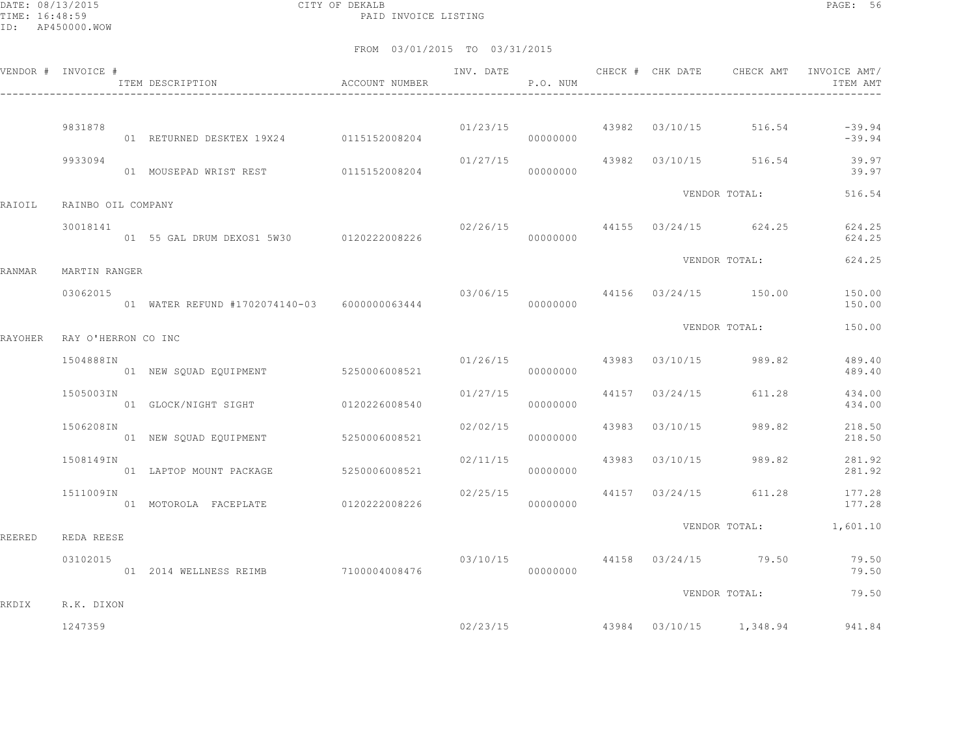DATE: 08/13/2015 CITY OF DEKALB PAGE: 56 PAID INVOICE LISTING

|         | VENDOR # INVOICE #  | ITEM DESCRIPTION <a> d<br/> d<br/> d<br/> d<br/> d<br/> d<br/>CCOUNT NUMBER</a> |          | P.O. NUM |                |                                        | ITEM AMT               |
|---------|---------------------|---------------------------------------------------------------------------------|----------|----------|----------------|----------------------------------------|------------------------|
|         | 9831878             | 01 RETURNED DESKTEX 19X24 0115152008204                                         |          | 00000000 |                | $01/23/15$ $43982$ $03/10/15$ $516.54$ | $-39.94$<br>$-39.94$   |
|         | 9933094             | 01 MOUSEPAD WRIST REST 0115152008204                                            |          | 00000000 |                | $01/27/15$ 43982 03/10/15 516.54       | 39.97<br>39.97         |
| RAIOIL  | RAINBO OIL COMPANY  |                                                                                 |          |          |                | VENDOR TOTAL:                          | 516.54                 |
|         | 30018141            |                                                                                 |          |          |                | 02/26/15 44155 03/24/15 624.25         | 624.25<br>624.25       |
| RANMAR  | MARTIN RANGER       |                                                                                 |          |          |                | VENDOR TOTAL:                          | 624.25                 |
|         | 03062015            | 01 WATER REFUND #1702074140-03 6000000063444                                    |          | 00000000 |                | 03/06/15 44156 03/24/15 150.00         | 150.00<br>150.00       |
| RAYOHER | RAY O'HERRON CO INC |                                                                                 |          |          |                | VENDOR TOTAL:                          | 150.00                 |
|         | 1504888IN           | 01 NEW SQUAD EQUIPMENT 5250006008521                                            |          | 00000000 |                | $01/26/15$ 43983 03/10/15 989.82       | 489.40<br>489.40       |
|         | 1505003IN           | 01 GLOCK/NIGHT SIGHT 0120226008540                                              | 01/27/15 | 00000000 |                | 44157 03/24/15 611.28                  | 434.00<br>434.00       |
|         | 1506208IN           | 01 NEW SQUAD EQUIPMENT 5250006008521                                            | 02/02/15 | 00000000 | 43983 03/10/15 | 989.82                                 | 218.50<br>218.50       |
|         | 1508149IN           | 01 LAPTOP MOUNT PACKAGE 5250006008521                                           |          | 00000000 |                | $02/11/15$ $43983$ $03/10/15$ $989.82$ | 281.92<br>281.92       |
|         | 1511009IN           |                                                                                 | 02/25/15 | 00000000 |                | 44157 03/24/15 611.28                  | 177.28<br>177.28       |
| REERED  | REDA REESE          |                                                                                 |          |          |                |                                        | VENDOR TOTAL: 1,601.10 |
|         | 03102015            | 01 2014 WELLNESS REIMB 7100004008476                                            |          | 00000000 |                | 03/10/15 44158 03/24/15 79.50          | 79.50<br>79.50         |
| RKDIX   | R.K. DIXON          |                                                                                 |          |          |                | VENDOR TOTAL:                          | 79.50                  |
|         | 1247359             |                                                                                 |          | 02/23/15 |                | 43984 03/10/15 1,348.94                | 941.84                 |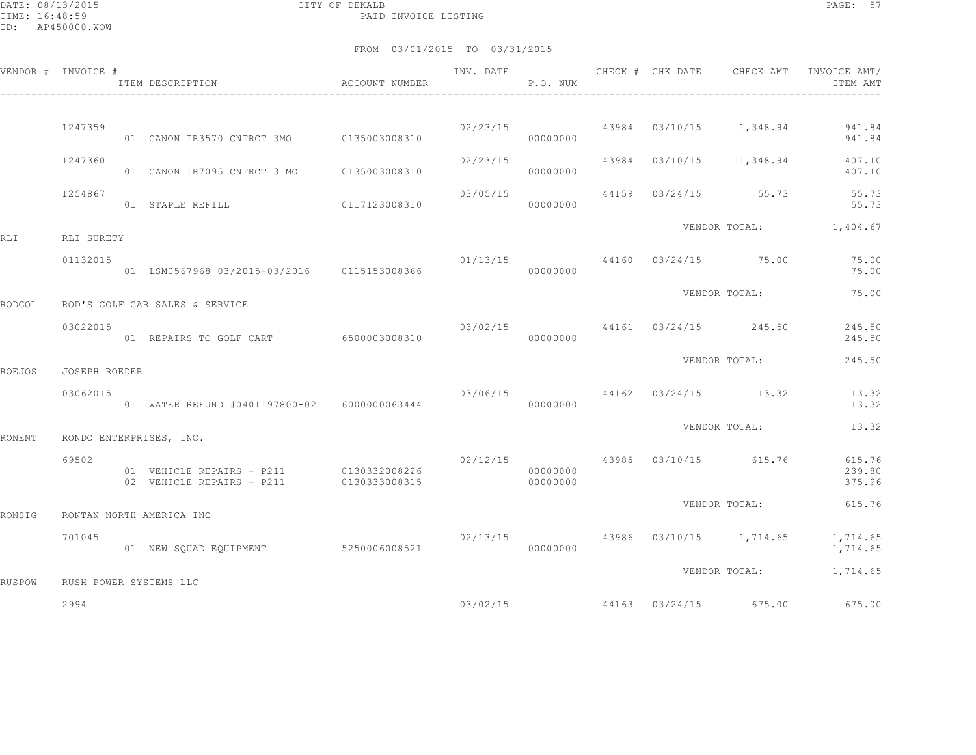DATE: 08/13/2015 CITY OF DEKALB PAGE: 57 PAID INVOICE LISTING

|        | VENDOR # INVOICE #     | ITEM DESCRIPTION                                                                   | ACCOUNT NUMBER | INV. DATE | P.O. NUM             |  |                                          | CHECK # CHK DATE CHECK AMT INVOICE AMT/<br>ITEM AMT |
|--------|------------------------|------------------------------------------------------------------------------------|----------------|-----------|----------------------|--|------------------------------------------|-----------------------------------------------------|
|        |                        |                                                                                    |                |           |                      |  |                                          |                                                     |
|        | 1247359                | 01 CANON IR3570 CNTRCT 3MO   0135003008310                                         |                |           | 00000000             |  | $02/23/15$ 43984 03/10/15 1,348.94       | 941.84<br>941.84                                    |
|        | 1247360                | 01 CANON IR7095 CNTRCT 3 MO 0135003008310                                          |                | 02/23/15  | 00000000             |  | 43984 03/10/15 1,348.94                  | 407.10<br>407.10                                    |
|        | 1254867                | 01 STAPLE REFILL                                                                   | 0117123008310  | 03/05/15  | 00000000             |  | 44159 03/24/15 55.73                     | 55.73<br>55.73                                      |
|        |                        |                                                                                    |                |           |                      |  |                                          | VENDOR TOTAL: 1,404.67                              |
| RLI    | RLI SURETY<br>01132015 | 01 LSM0567968 03/2015-03/2016   0115153008366                                      |                |           | 00000000             |  | $01/13/15$ 44160 03/24/15 75.00          | 75.00<br>75.00                                      |
| RODGOL |                        | ROD'S GOLF CAR SALES & SERVICE                                                     |                |           |                      |  | VENDOR TOTAL:                            | 75.00                                               |
|        | 03022015               | 01 REPAIRS TO GOLF CART 6500003008310                                              |                |           | 00000000             |  | 03/02/15 44161 03/24/15 245.50           | 245.50<br>245.50                                    |
|        |                        |                                                                                    |                |           |                      |  | VENDOR TOTAL:                            | 245.50                                              |
| ROEJOS | JOSEPH ROEDER          |                                                                                    |                |           |                      |  |                                          |                                                     |
|        | 03062015               | 01 WATER REFUND #0401197800-02 6000000063444                                       |                |           | 00000000             |  | 03/06/15 44162 03/24/15 13.32            | 13.32<br>13.32                                      |
| RONENT |                        | RONDO ENTERPRISES, INC.                                                            |                |           |                      |  | VENDOR TOTAL:                            | 13.32                                               |
|        | 69502                  | 01 VEHICLE REPAIRS - P211 0130332008226<br>02 VEHICLE REPAIRS - P211 0130333008315 |                |           | 00000000<br>00000000 |  | $02/12/15$ $43985$ $03/10/15$ $615.76$   | 615.76<br>239.80<br>375.96                          |
| RONSIG |                        | RONTAN NORTH AMERICA INC                                                           |                |           |                      |  | VENDOR TOTAL:                            | 615.76                                              |
|        |                        |                                                                                    |                |           |                      |  |                                          |                                                     |
|        | 701045                 | 01 NEW SQUAD EQUIPMENT 5250006008521                                               |                |           | 00000000             |  | $02/13/15$ $43986$ $03/10/15$ $1,714.65$ | 1,714.65<br>1,714.65                                |
| RUSPOW |                        | RUSH POWER SYSTEMS LLC                                                             |                |           |                      |  | VENDOR TOTAL:                            | 1,714.65                                            |
|        | 2994                   |                                                                                    |                |           | 03/02/15             |  | 44163 03/24/15 675.00                    | 675.00                                              |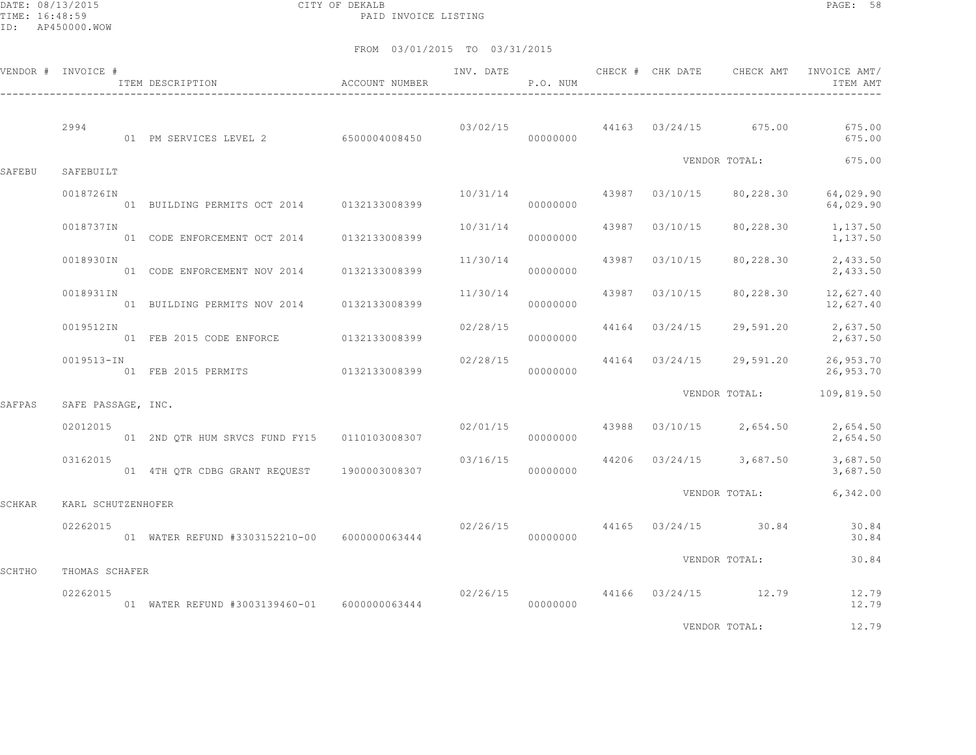DATE: 08/13/2015 CITY OF DEKALB PAGE: 58 PAID INVOICE LISTING

|        | VENDOR # INVOICE # | ITEM DESCRIPTION                             | ACCOUNT NUMBER | INV. DATE | P.O. NUM             |       | CHECK # CHK DATE | CHECK AMT               | INVOICE AMT/<br>ITEM AMT |
|--------|--------------------|----------------------------------------------|----------------|-----------|----------------------|-------|------------------|-------------------------|--------------------------|
|        | 2994               | 01 PM SERVICES LEVEL 2 6500004008450         |                |           | 03/02/15<br>00000000 |       |                  | 44163 03/24/15 675.00   | 675.00<br>675.00         |
| SAFEBU | SAFEBUILT          |                                              |                |           |                      |       |                  | VENDOR TOTAL:           | 675.00                   |
|        | 0018726IN          | 01 BUILDING PERMITS OCT 2014 0132133008399   |                | 10/31/14  | 00000000             | 43987 | 03/10/15         | 80,228.30               | 64,029.90<br>64,029.90   |
|        | 0018737IN          | 01 CODE ENFORCEMENT OCT 2014 0132133008399   |                | 10/31/14  | 00000000             | 43987 | 03/10/15         | 80,228.30               | 1,137.50<br>1,137.50     |
|        | 0018930IN          | 01 CODE ENFORCEMENT NOV 2014                 | 0132133008399  | 11/30/14  | 00000000             | 43987 | 03/10/15         | 80,228.30               | 2,433.50<br>2,433.50     |
|        | 0018931IN          | 01 BUILDING PERMITS NOV 2014 0132133008399   |                | 11/30/14  | 00000000             | 43987 | 03/10/15         | 80,228.30               | 12,627.40<br>12,627.40   |
|        | 0019512IN          | 01 FEB 2015 CODE ENFORCE                     | 0132133008399  | 02/28/15  | 00000000             |       | 44164 03/24/15   | 29,591.20               | 2,637.50<br>2,637.50     |
|        | 0019513-IN         | 01 FEB 2015 PERMITS                          | 0132133008399  | 02/28/15  | 00000000             |       | 44164 03/24/15   | 29,591.20               | 26,953.70<br>26,953.70   |
| SAFPAS | SAFE PASSAGE, INC. |                                              |                |           |                      |       |                  | VENDOR TOTAL:           | 109,819.50               |
|        | 02012015           | 01 2ND OTR HUM SRVCS FUND FY15 0110103008307 |                | 02/01/15  | 00000000             | 43988 |                  | $03/10/15$ 2,654.50     | 2,654.50<br>2,654.50     |
|        | 03162015           | 01 4TH QTR CDBG GRANT REQUEST                | 1900003008307  | 03/16/15  | 00000000             |       |                  | 44206 03/24/15 3,687.50 | 3,687.50<br>3,687.50     |
| SCHKAR | KARL SCHUTZENHOFER |                                              |                |           |                      |       |                  | VENDOR TOTAL:           | 6,342.00                 |
|        | 02262015           | 01 WATER REFUND #3303152210-00 6000000063444 |                | 02/26/15  | 00000000             |       | 44165 03/24/15   | 30.84                   | 30.84<br>30.84           |
| SCHTHO | THOMAS SCHAFER     |                                              |                |           |                      |       |                  | VENDOR TOTAL:           | 30.84                    |
|        | 02262015           | 01 WATER REFUND #3003139460-01 6000000063444 |                | 02/26/15  | 00000000             |       |                  | 44166 03/24/15 12.79    | 12.79<br>12.79           |
|        |                    |                                              |                |           |                      |       |                  | VENDOR TOTAL:           | 12.79                    |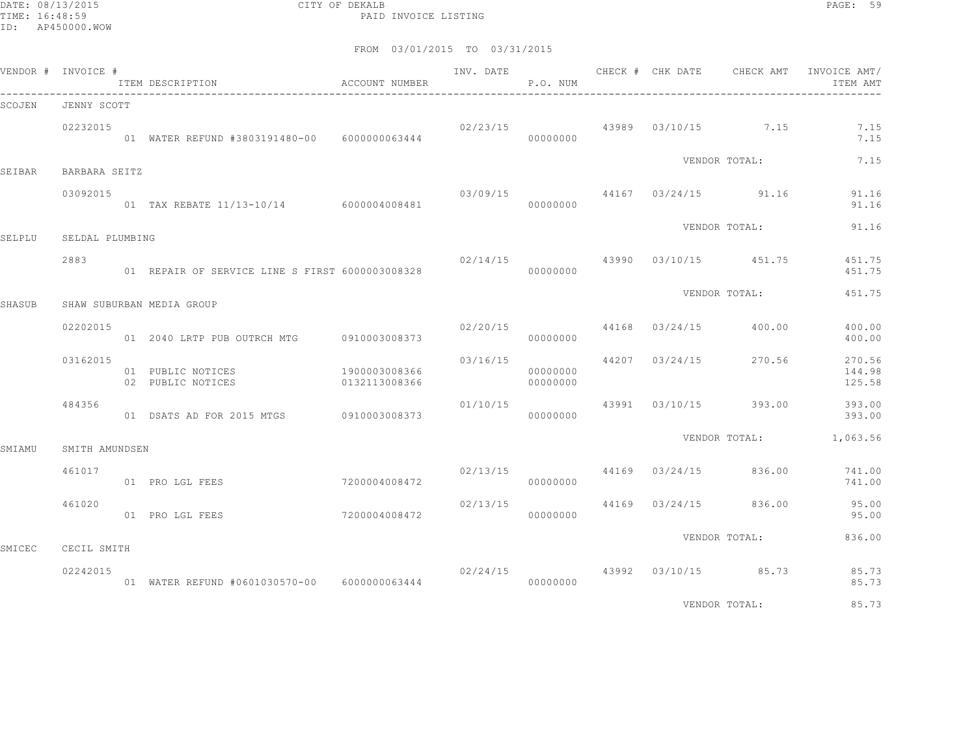DATE: 08/13/2015 CITY OF DEKALB PAGE: 59 PAID INVOICE LISTING

|        | VENDOR # INVOICE # |                                                                 |                                | INV. DATE                          | P.O. NUM             | CHECK # CHK DATE | CHECK AMT                              | INVOICE AMT/<br>ITEM AMT   |
|--------|--------------------|-----------------------------------------------------------------|--------------------------------|------------------------------------|----------------------|------------------|----------------------------------------|----------------------------|
| SCOJEN | JENNY SCOTT        |                                                                 |                                |                                    |                      |                  |                                        |                            |
|        | 02232015           | 01 WATER REFUND #3803191480-00 6000000063444                    |                                |                                    | 00000000             |                  | $02/23/15$ $43989$ $03/10/15$ $7.15$   | 7.15<br>7.15               |
| SEIBAR | BARBARA SEITZ      |                                                                 |                                |                                    |                      |                  | VENDOR TOTAL:                          | 7.15                       |
|        | 03092015           | 01 TAX REBATE 11/13-10/14 6000004008481                         |                                |                                    |                      |                  | $03/09/15$ 44167 $03/24/15$ 91.16      | 91.16                      |
|        |                    |                                                                 |                                | 00000000                           |                      |                  | VENDOR TOTAL:                          | 91.16<br>91.16             |
| SELPLU | SELDAL PLUMBING    |                                                                 |                                |                                    |                      |                  |                                        |                            |
|        | 2883               | 01 REPAIR OF SERVICE LINE S FIRST 6000003008328                 |                                |                                    | 00000000             |                  | $02/14/15$ $43990$ $03/10/15$ $451.75$ | 451.75<br>451.75           |
| SHASUB |                    | SHAW SUBURBAN MEDIA GROUP                                       |                                |                                    |                      |                  | VENDOR TOTAL:                          | 451.75                     |
|        |                    |                                                                 |                                |                                    |                      |                  |                                        |                            |
|        | 02202015           |                                                                 |                                | $02/20/15$ 44168 $03/24/15$ 400.00 | 00000000             |                  |                                        | 400.00<br>400.00           |
|        | 03162015           | 01 PUBLIC NOTICES<br>02 PUBLIC NOTICES                          | 1900003008366<br>0132113008366 | 03/16/15                           | 00000000<br>00000000 |                  | 44207 03/24/15 270.56                  | 270.56<br>144.98<br>125.58 |
|        | 484356             | 01 DSATS AD FOR 2015 MTGS 0910003008373                         |                                | 01/10/15                           | 00000000             |                  | 43991 03/10/15 393.00                  | 393.00<br>393.00           |
| SMIAMU | SMITH AMUNDSEN     |                                                                 |                                |                                    |                      |                  |                                        | VENDOR TOTAL: 1,063.56     |
|        | 461017             | 01 PRO LGL FEES                                                 | 7200004008472                  |                                    | 00000000             |                  | $02/13/15$ $44169$ $03/24/15$ $836.00$ | 741.00<br>741.00           |
|        | 461020             | 01 PRO LGL FEES                                                 | 7200004008472                  | 02/13/15                           | 00000000             |                  | 44169 03/24/15 836.00                  | 95.00<br>95.00             |
|        |                    |                                                                 |                                |                                    |                      |                  | VENDOR TOTAL:                          | 836.00                     |
| SMICEC | CECIL SMITH        |                                                                 |                                |                                    |                      |                  |                                        |                            |
|        | 02242015           | 01 WATER REFUND #0601030570-00 6000000063444 000000000 00000000 |                                |                                    |                      |                  | 02/24/15 43992 03/10/15 85.73          | 85.73<br>85.73             |
|        |                    |                                                                 |                                |                                    |                      |                  | VENDOR TOTAL:                          | 85.73                      |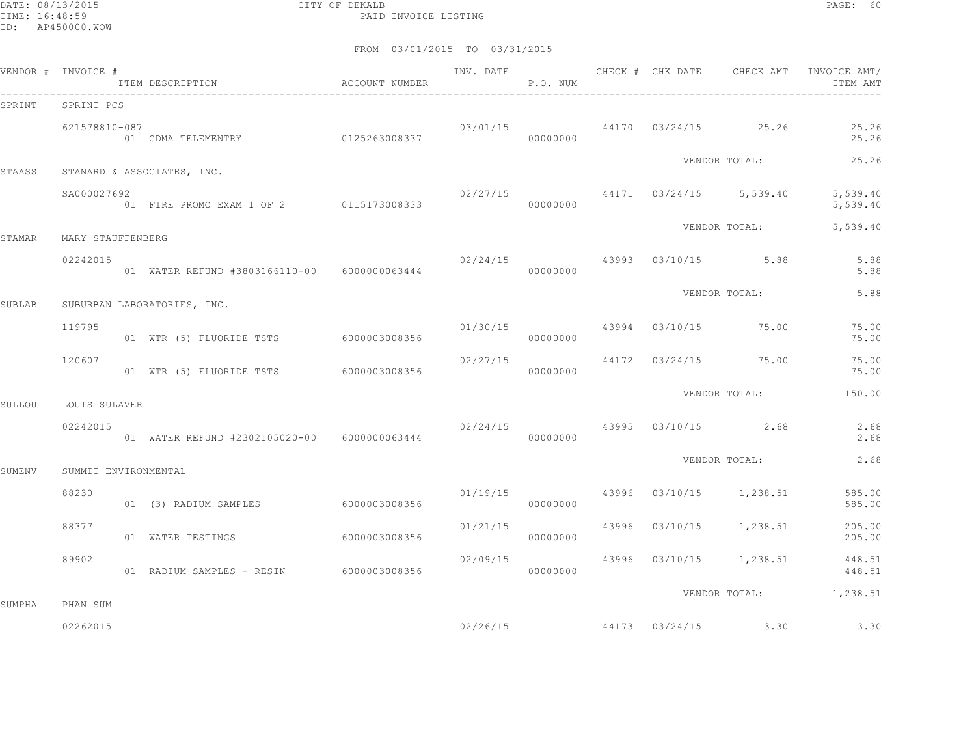DATE: 08/13/2015 CITY OF DEKALB PAGE: 60 PAID INVOICE LISTING

|        | VENDOR # INVOICE #   | TTEM DESCRIPTION ACCOUNT NUMBER              |               |          | P.O. NUM |  |                                                                                                                                                                                                                                                                                                                                                                                                                                                    | ITEM AMT             |
|--------|----------------------|----------------------------------------------|---------------|----------|----------|--|----------------------------------------------------------------------------------------------------------------------------------------------------------------------------------------------------------------------------------------------------------------------------------------------------------------------------------------------------------------------------------------------------------------------------------------------------|----------------------|
| SPRINT | SPRINT PCS           |                                              |               |          |          |  |                                                                                                                                                                                                                                                                                                                                                                                                                                                    |                      |
|        | 621578810-087        | 01 CDMA TELEMENTRY 0125263008337             |               |          | 00000000 |  |                                                                                                                                                                                                                                                                                                                                                                                                                                                    | 25.26<br>25.26       |
| STAASS |                      | STANARD & ASSOCIATES, INC.                   |               |          |          |  |                                                                                                                                                                                                                                                                                                                                                                                                                                                    | 25.26                |
|        | SA000027692          | 01 FIRE PROMO EXAM 1 OF 2 0115173008333      |               |          | 00000000 |  |                                                                                                                                                                                                                                                                                                                                                                                                                                                    | 5,539.40<br>5,539.40 |
| STAMAR | MARY STAUFFENBERG    |                                              |               |          |          |  |                                                                                                                                                                                                                                                                                                                                                                                                                                                    | 5,539.40             |
|        | 02242015             | 01 WATER REFUND #3803166110-00 6000000063444 |               | 00000000 |          |  |                                                                                                                                                                                                                                                                                                                                                                                                                                                    | 5.88<br>5.88         |
| SUBLAB |                      | SUBURBAN LABORATORIES, INC.                  |               |          |          |  | $03/01/15$ $44170$ $03/24/15$ $25.26$<br>VENDOR TOTAL:<br>$02/27/15$ $44171$ $03/24/15$ $5,539.40$<br>VENDOR TOTAL:<br>$02/24/15$ $43993$ $03/10/15$ 5.88<br>VENDOR TOTAL:<br>$01/30/15$ $43994$ $03/10/15$ $75.00$<br>44172 03/24/15 75.00<br>VENDOR TOTAL:<br>$02/24/15$ 43995 03/10/15 2.68<br>VENDOR TOTAL:<br>$01/19/15$ $43996$ $03/10/15$ $1,238.51$<br>43996 03/10/15 1,238.51<br>43996 03/10/15 1,238.51 448.51<br>VENDOR TOTAL: 1,238.51 | 5.88                 |
|        | 119795               | 01 WTR (5) FLUORIDE TSTS 6000003008356       |               |          | 00000000 |  |                                                                                                                                                                                                                                                                                                                                                                                                                                                    | 75.00<br>75.00       |
|        | 120607               | 01 WTR (5) FLUORIDE TSTS 6000003008356       |               | 02/27/15 | 00000000 |  |                                                                                                                                                                                                                                                                                                                                                                                                                                                    | 75.00<br>75.00       |
| SULLOU | LOUIS SULAVER        |                                              |               |          |          |  |                                                                                                                                                                                                                                                                                                                                                                                                                                                    | 150.00               |
|        | 02242015             | 01 WATER REFUND #2302105020-00 6000000063444 |               | 00000000 |          |  |                                                                                                                                                                                                                                                                                                                                                                                                                                                    | 2.68<br>2.68         |
| SUMENV | SUMMIT ENVIRONMENTAL |                                              |               |          |          |  |                                                                                                                                                                                                                                                                                                                                                                                                                                                    | 2.68                 |
|        | 88230                | 01 (3) RADIUM SAMPLES 6000003008356          |               |          | 00000000 |  |                                                                                                                                                                                                                                                                                                                                                                                                                                                    | 585.00<br>585.00     |
|        | 88377                | 01 WATER TESTINGS                            | 6000003008356 | 01/21/15 | 00000000 |  |                                                                                                                                                                                                                                                                                                                                                                                                                                                    | 205.00<br>205.00     |
|        | 89902                | 01 RADIUM SAMPLES - RESIN 6000003008356      |               | 02/09/15 | 00000000 |  |                                                                                                                                                                                                                                                                                                                                                                                                                                                    | 448.51               |
| SUMPHA | PHAN SUM             |                                              |               |          |          |  |                                                                                                                                                                                                                                                                                                                                                                                                                                                    |                      |
|        | 02262015             |                                              |               |          | 02/26/15 |  | 44173 03/24/15 3.30                                                                                                                                                                                                                                                                                                                                                                                                                                | 3.30                 |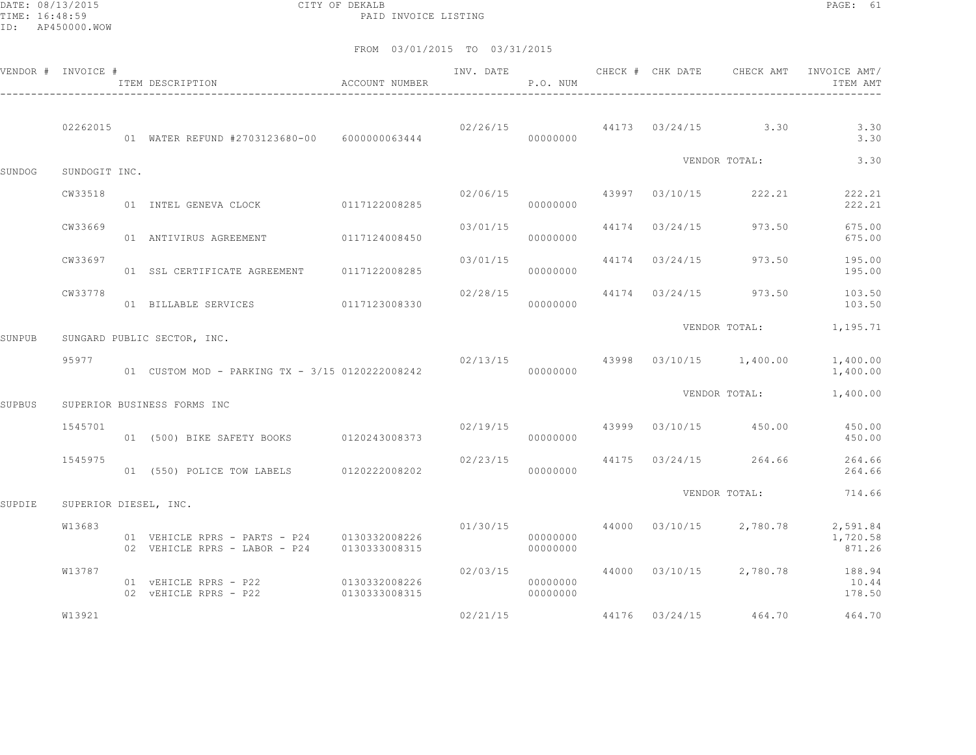DATE: 08/13/2015 CITY OF DEKALB PAGE: 61 PAID INVOICE LISTING

|        | VENDOR # INVOICE #    | ITEM DESCRIPTION                                                                           | <b>ACCOUNT NUMBER</b> |          | P.O. NUM             |                |                                                                                                                                                                                                                  | ITEM AMT                                                            |
|--------|-----------------------|--------------------------------------------------------------------------------------------|-----------------------|----------|----------------------|----------------|------------------------------------------------------------------------------------------------------------------------------------------------------------------------------------------------------------------|---------------------------------------------------------------------|
|        | 02262015              | 01 WATER REFUND #2703123680-00 6000000063444                                               |                       | 00000000 |                      |                |                                                                                                                                                                                                                  | 3.30<br>3.30                                                        |
| SUNDOG | SUNDOGIT INC.         |                                                                                            |                       |          |                      |                | $02/26/15$ 44173 $03/24/15$ 3.30<br>VENDOR TOTAL:<br>973.50<br>$02/13/15$ 43998 $03/10/15$ 1,400.00<br>VENDOR TOTAL:<br>43999 03/10/15 450.00<br>44175 03/24/15 264.66<br>VENDOR TOTAL:<br>44176 03/24/15 464.70 | 3.30                                                                |
|        | CW33518               | 01 INTEL GENEVA CLOCK 0117122008285                                                        |                       | 02/06/15 | 00000000             | 43997 03/10/15 | 222.21                                                                                                                                                                                                           | 222.21<br>222.21                                                    |
|        | CW33669               | 01 ANTIVIRUS AGREEMENT                                                                     | 0117124008450         | 03/01/15 | 00000000             | 44174 03/24/15 |                                                                                                                                                                                                                  | 675.00<br>675.00                                                    |
|        | CW33697               | 01 SSL CERTIFICATE AGREEMENT 0117122008285                                                 |                       | 03/01/15 | 00000000             | 44174 03/24/15 | 973.50                                                                                                                                                                                                           | 195.00<br>195.00                                                    |
|        | CW33778               | 01 BILLABLE SERVICES 0117123008330                                                         |                       | 02/28/15 | 00000000             | 44174 03/24/15 | 973.50                                                                                                                                                                                                           | 103.50<br>103.50                                                    |
| SUNPUB |                       | SUNGARD PUBLIC SECTOR, INC.                                                                |                       |          |                      |                |                                                                                                                                                                                                                  | VENDOR TOTAL: 1,195.71                                              |
|        | 95977                 | 01 CUSTOM MOD - PARKING TX - 3/15 0120222008242                                            |                       |          | 00000000             |                |                                                                                                                                                                                                                  | 1,400.00<br>1,400.00                                                |
| SUPBUS |                       | SUPERIOR BUSINESS FORMS INC                                                                |                       |          |                      |                |                                                                                                                                                                                                                  | 1,400.00                                                            |
|        | 1545701               | 01 (500) BIKE SAFETY BOOKS 0120243008373                                                   |                       | 02/19/15 | 00000000             |                |                                                                                                                                                                                                                  | 450.00<br>450.00                                                    |
|        | 1545975               | 01 (550) POLICE TOW LABELS 0120222008202                                                   |                       | 02/23/15 | 00000000             |                |                                                                                                                                                                                                                  | 264.66<br>264.66                                                    |
| SUPDIE | SUPERIOR DIESEL, INC. |                                                                                            |                       |          |                      |                |                                                                                                                                                                                                                  | 714.66                                                              |
|        | W13683                | 01 VEHICLE RPRS - PARTS - P24 0130332008226<br>02 VEHICLE RPRS - LABOR - P24 0130333008315 |                       |          | 00000000<br>00000000 |                |                                                                                                                                                                                                                  | 01/30/15  44000  03/10/15  2,780.78  2,591.84<br>1,720.58<br>871.26 |
|        | W13787                | 01 VEHICLE RPRS - P22<br>02 VEHICLE RPRS - P22 0130333008315                               | 0130332008226         | 02/03/15 | 00000000<br>00000000 |                |                                                                                                                                                                                                                  | 44000 03/10/15 2,780.78 188.94<br>10.44<br>178.50                   |
|        | W13921                |                                                                                            |                       | 02/21/15 |                      |                |                                                                                                                                                                                                                  | 464.70                                                              |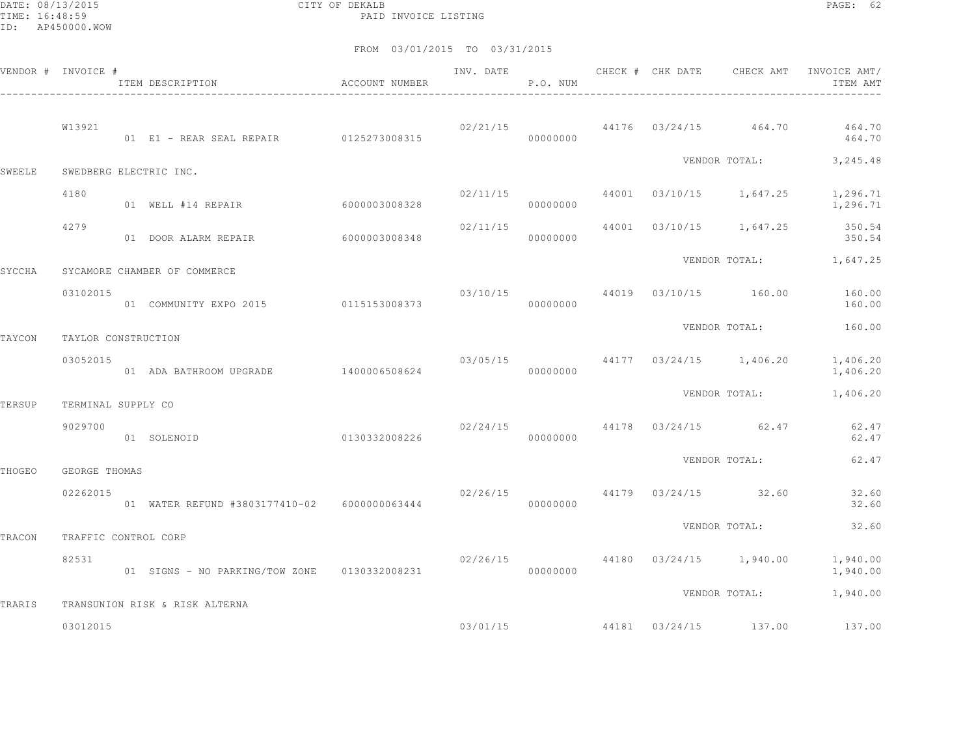DATE: 08/13/2015 CITY OF DEKALB PAGE: 62 PAID INVOICE LISTING

|        | VENDOR # INVOICE #   | ITEM DESCRIPTION                             | ACCOUNT NUMBER | INV. DATE | P.O. NUM             | CHECK # CHK DATE | CHECK AMT                           | INVOICE AMT/<br>ITEM AMT |
|--------|----------------------|----------------------------------------------|----------------|-----------|----------------------|------------------|-------------------------------------|--------------------------|
|        | W13921               | 01 E1 - REAR SEAL REPAIR 0125273008315       |                |           | 02/21/15<br>00000000 |                  | 44176 03/24/15 464.70               | 464.70<br>464.70         |
| SWEELE |                      | SWEDBERG ELECTRIC INC.                       |                |           |                      |                  |                                     | VENDOR TOTAL: 3, 245.48  |
|        | 4180                 | 01 WELL #14 REPAIR                           | 60000003008328 | 02/11/15  | 00000000             |                  | 44001 03/10/15 1,647.25             | 1,296.71<br>1,296.71     |
|        | 4279                 | 01 DOOR ALARM REPAIR                         | 60000003008348 | 02/11/15  | 00000000             |                  | 44001 03/10/15 1,647.25             | 350.54<br>350.54         |
| SYCCHA |                      | SYCAMORE CHAMBER OF COMMERCE                 |                |           |                      |                  |                                     | VENDOR TOTAL: 1,647.25   |
|        | 03102015             | 01 COMMUNITY EXPO 2015 0115153008373         |                |           | 00000000             |                  | 03/10/15 44019 03/10/15 160.00      | 160.00<br>160.00         |
| TAYCON | TAYLOR CONSTRUCTION  |                                              |                |           |                      |                  | VENDOR TOTAL:                       | 160.00                   |
|        | 03052015             | 01 ADA BATHROOM UPGRADE 1400006508624        |                | 03/05/15  | 00000000             |                  | 44177 03/24/15 1,406.20             | 1,406.20<br>1,406.20     |
| TERSUP | TERMINAL SUPPLY CO   |                                              |                |           |                      |                  | VENDOR TOTAL:                       | 1,406.20                 |
|        | 9029700              | 0130332008226<br>01 SOLENOID                 |                |           | 00000000             |                  | $02/24/15$ $44178$ $03/24/15$ 62.47 | 62.47<br>62.47           |
| THOGEO | GEORGE THOMAS        |                                              |                |           |                      |                  | VENDOR TOTAL:                       | 62.47                    |
|        | 02262015             | 01 WATER REFUND #3803177410-02 6000000063444 |                | 02/26/15  | 00000000             |                  | 44179 03/24/15 32.60                | 32.60<br>32.60           |
| TRACON | TRAFFIC CONTROL CORP |                                              |                |           |                      |                  | VENDOR TOTAL:                       | 32.60                    |
|        | 82531                | 01 SIGNS - NO PARKING/TOW ZONE 0130332008231 |                | 02/26/15  | 00000000             |                  | 44180 03/24/15 1,940.00             | 1,940.00<br>1,940.00     |
| TRARIS |                      | TRANSUNION RISK & RISK ALTERNA               |                |           |                      |                  | VENDOR TOTAL:                       | 1,940.00                 |
|        | 03012015             |                                              |                | 03/01/15  |                      |                  | 44181 03/24/15 137.00               | 137.00                   |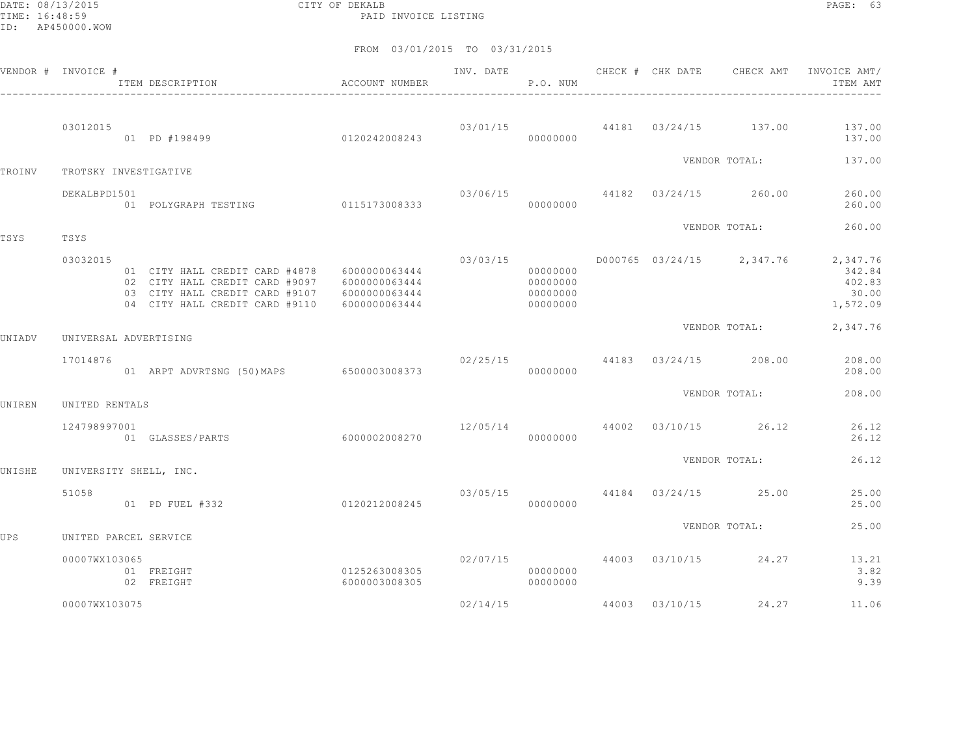DATE: 08/13/2015 CITY OF DEKALB PAGE: 63 PAID INVOICE LISTING

|        | VENDOR # INVOICE #     | ITEM DESCRIPTION<br>-------------------------                                                                                        | ACCOUNT NUMBER                                                   |                                 | P.O. NUM                                     |                                |                                       | INV. DATE 6 1999 CHECK # CHK DATE 6 CHECK AMT INVOICE AMT<br>ITEM AMT       |
|--------|------------------------|--------------------------------------------------------------------------------------------------------------------------------------|------------------------------------------------------------------|---------------------------------|----------------------------------------------|--------------------------------|---------------------------------------|-----------------------------------------------------------------------------|
|        | 03012015               | 0120242008243<br>01 PD #198499                                                                                                       |                                                                  | 03/01/15                        | 00000000                                     | 44181 03/24/15 137.00          |                                       | 137.00<br>137.00                                                            |
| TROINV | TROTSKY INVESTIGATIVE  |                                                                                                                                      |                                                                  |                                 |                                              |                                | VENDOR TOTAL:                         | 137.00                                                                      |
|        | DEKALBPD1501           | 01 POLYGRAPH TESTING 0115173008333                                                                                                   |                                                                  |                                 | 00000000                                     | 03/06/15 44182 03/24/15 260.00 |                                       | 260.00<br>260.00                                                            |
| TSYS   | TSYS                   |                                                                                                                                      |                                                                  |                                 |                                              |                                | VENDOR TOTAL:                         | 260.00                                                                      |
|        | 03032015               | 01 CITY HALL CREDIT CARD #4878<br>02 CITY HALL CREDIT CARD #9097<br>03 CITY HALL CREDIT CARD #9107<br>04 CITY HALL CREDIT CARD #9110 | 6000000063444<br>6000000063444<br>6000000063444<br>6000000063444 | 03/03/15                        | 00000000<br>00000000<br>00000000<br>00000000 |                                |                                       | D000765 03/24/15 2,347.76 2,347.76<br>342.84<br>402.83<br>30.00<br>1,572.09 |
| UNIADV | UNIVERSAL ADVERTISING  |                                                                                                                                      |                                                                  |                                 |                                              |                                | VENDOR TOTAL:                         | 2,347.76                                                                    |
|        | 17014876               | 01 ARPT ADVRTSNG (50)MAPS 6500003008373                                                                                              |                                                                  |                                 | 00000000                                     |                                | $02/25/15$ 44183 $03/24/15$ 208.00    | 208.00<br>208.00                                                            |
| UNIREN | UNITED RENTALS         |                                                                                                                                      |                                                                  |                                 |                                              |                                | VENDOR TOTAL:                         | 208.00                                                                      |
|        | 124798997001           | 01 GLASSES/PARTS                                                                                                                     | 6000002008270                                                    |                                 | 00000000                                     |                                | $12/05/14$ $44002$ $03/10/15$ $26.12$ | 26.12<br>26.12                                                              |
| UNISHE | UNIVERSITY SHELL, INC. |                                                                                                                                      |                                                                  |                                 |                                              |                                | VENDOR TOTAL:                         | 26.12                                                                       |
|        | 51058                  | 0120212008245<br>01 PD FUEL #332                                                                                                     |                                                                  | $03/05/15$ 44184 03/24/15 25.00 | 00000000                                     |                                |                                       | 25.00<br>25.00                                                              |
| UPS    | UNITED PARCEL SERVICE  |                                                                                                                                      |                                                                  |                                 |                                              |                                | VENDOR TOTAL:                         | 25.00                                                                       |
|        | 00007WX103065          | 01 FREIGHT<br>02 FREIGHT                                                                                                             | 0125263008305<br>6000003008305                                   |                                 | 00000000<br>00000000                         |                                | $02/07/15$ 44003 03/10/15 24.27       | 13.21<br>3.82<br>9.39                                                       |
|        | 00007WX103075          |                                                                                                                                      |                                                                  | 02/14/15                        |                                              |                                | 44003 03/10/15 24.27                  | 11.06                                                                       |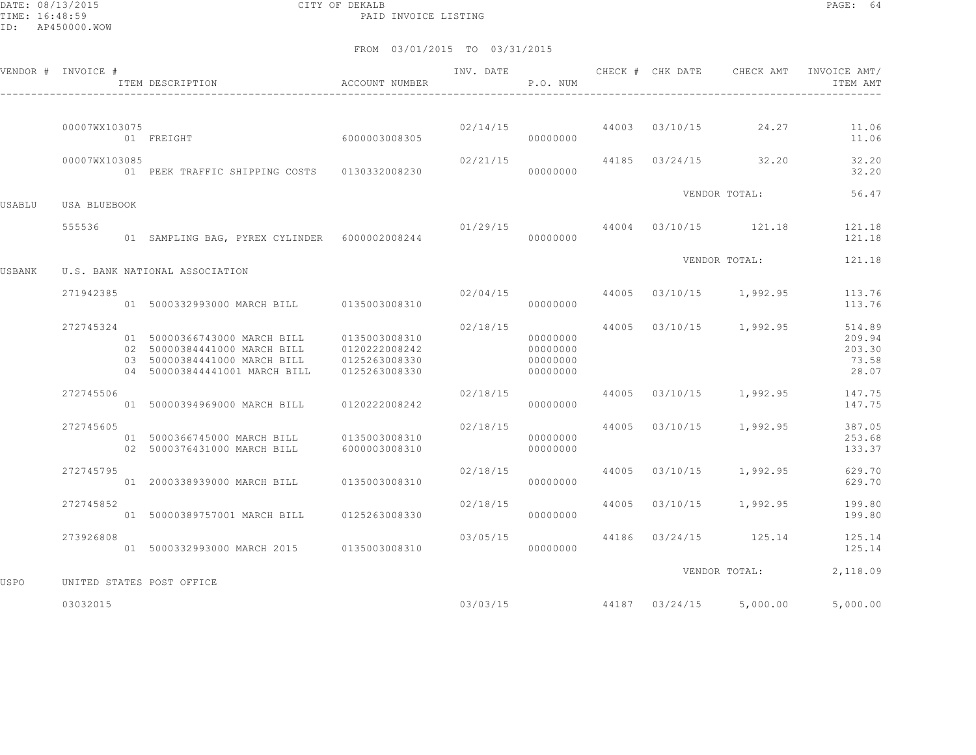DATE: 08/13/2015 CITY OF DEKALB PAGE: 64 PAID INVOICE LISTING

|        | VENDOR # INVOICE # | ITEM DESCRIPTION                                                                                                              | ACCOUNT NUMBER                                                   | INV. DATE                        | P.O. NUM                                     |  | CHECK # CHK DATE CHECK AMT            | INVOICE AMT/<br>ITEM AMT                     |
|--------|--------------------|-------------------------------------------------------------------------------------------------------------------------------|------------------------------------------------------------------|----------------------------------|----------------------------------------------|--|---------------------------------------|----------------------------------------------|
|        |                    |                                                                                                                               |                                                                  |                                  |                                              |  |                                       |                                              |
|        | 00007WX103075      | 01 FREIGHT                                                                                                                    | 6000003008305                                                    |                                  | 00000000                                     |  | $02/14/15$ $44003$ $03/10/15$ $24.27$ | 11.06<br>11.06                               |
|        | 00007WX103085      | 01 PEEK TRAFFIC SHIPPING COSTS 0130332008230                                                                                  |                                                                  | 02/21/15                         | 00000000                                     |  | 44185 03/24/15 32.20                  | 32.20<br>32.20                               |
| USABLU | USA BLUEBOOK       |                                                                                                                               |                                                                  |                                  |                                              |  | VENDOR TOTAL:                         | 56.47                                        |
|        | 555536             |                                                                                                                               |                                                                  | $01/29/15$ 44004 03/10/15 121.18 |                                              |  |                                       | 121.18                                       |
|        |                    | 01 SAMPLING BAG, PYREX CYLINDER 6000002008244                                                                                 |                                                                  |                                  | 00000000                                     |  |                                       | 121.18                                       |
| USBANK |                    | U.S. BANK NATIONAL ASSOCIATION                                                                                                |                                                                  |                                  |                                              |  | VENDOR TOTAL:                         | 121.18                                       |
|        | 271942385          | 01 5000332993000 MARCH BILL 0135003008310                                                                                     |                                                                  | 02/04/15                         | 00000000                                     |  | 44005 03/10/15 1,992.95               | 113.76<br>113.76                             |
|        | 272745324          | 01 50000366743000 MARCH BILL<br>02 50000384441000 MARCH BILL<br>03 50000384441000 MARCH BILL<br>04 500003844441001 MARCH BILL | 0135003008310<br>0120222008242<br>0125263008330<br>0125263008330 | 02/18/15                         | 00000000<br>00000000<br>00000000<br>00000000 |  | 44005 03/10/15 1,992.95               | 514.89<br>209.94<br>203.30<br>73.58<br>28.07 |
|        | 272745506          | 01 50000394969000 MARCH BILL 0120222008242                                                                                    |                                                                  | 02/18/15                         | 00000000                                     |  |                                       | 44005 03/10/15 1,992.95 147.75<br>147.75     |
|        | 272745605          | 01 5000366745000 MARCH BILL<br>02 5000376431000 MARCH BILL                                                                    | 0135003008310<br>6000003008310                                   | 02/18/15                         | 00000000<br>00000000                         |  | 44005 03/10/15 1,992.95               | 387.05<br>253.68<br>133.37                   |
|        | 272745795          | 01 2000338939000 MARCH BILL                                                                                                   | 0135003008310                                                    | 02/18/15                         | 00000000                                     |  | 44005 03/10/15 1,992.95               | 629.70<br>629.70                             |
|        | 272745852          | 01 50000389757001 MARCH BILL                                                                                                  | 0125263008330                                                    | 02/18/15                         | 00000000                                     |  | 44005 03/10/15 1,992.95               | 199.80<br>199.80                             |
|        | 273926808          | 01 5000332993000 MARCH 2015 0135003008310                                                                                     |                                                                  | 03/05/15                         | 00000000                                     |  | 44186 03/24/15 125.14                 | 125.14<br>125.14                             |
| USPO   |                    | UNITED STATES POST OFFICE                                                                                                     |                                                                  |                                  |                                              |  | VENDOR TOTAL:                         | 2,118.09                                     |
|        | 03032015           |                                                                                                                               |                                                                  |                                  | 03/03/15                                     |  | 44187 03/24/15 5,000.00               | 5,000.00                                     |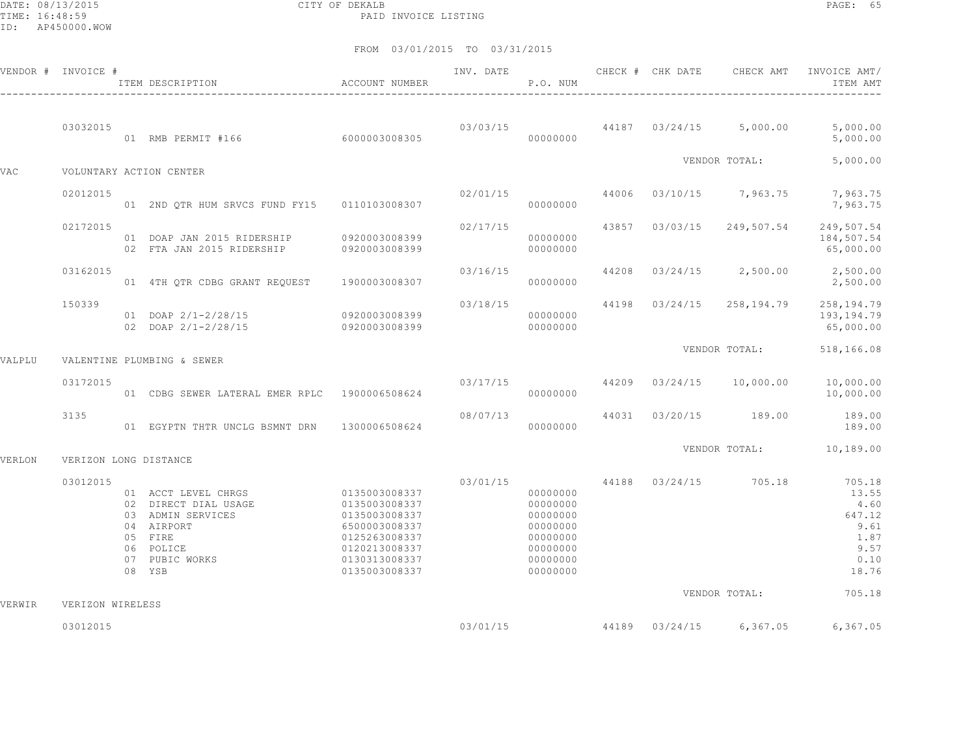DATE: 08/13/2015 CITY OF DEKALB PAGE: 65 PAID INVOICE LISTING

|        | VENDOR # INVOICE #    | ITEM DESCRIPTION                                                                                                                                                                           | ACCOUNT NUMBER                                                   | INV. DATE | P.O. NUM                                                                                     | CHECK # CHK DATE |                                       | CHECK AMT INVOICE AMT/<br>ITEM AMT                                                               |
|--------|-----------------------|--------------------------------------------------------------------------------------------------------------------------------------------------------------------------------------------|------------------------------------------------------------------|-----------|----------------------------------------------------------------------------------------------|------------------|---------------------------------------|--------------------------------------------------------------------------------------------------|
|        | 03032015              | 01 RMB PERMIT #166 6000003008305                                                                                                                                                           |                                                                  |           | 00000000                                                                                     |                  |                                       | $03/03/15$ $44187$ $03/24/15$ $5,000.00$ $5,000.00$<br>5,000.00                                  |
| VAC    |                       | VOLUNTARY ACTION CENTER                                                                                                                                                                    |                                                                  |           |                                                                                              |                  | VENDOR TOTAL:                         | 5,000.00                                                                                         |
|        | 02012015              | 01 2ND QTR HUM SRVCS FUND FY15 0110103008307                                                                                                                                               |                                                                  |           | 00000000                                                                                     |                  |                                       | $02/01/15$ $44006$ $03/10/15$ $7,963.75$ $7,963.75$<br>7,963.75                                  |
|        | 02172015              | 01 DOAP JAN 2015 RIDERSHIP 0920003008399<br>02 FTA JAN 2015 RIDERSHIP                                                                                                                      | 0920003008399                                                    | 02/17/15  | 00000000<br>00000000                                                                         |                  | 43857 03/03/15 249,507.54             | 249,507.54<br>184,507.54<br>65,000.00                                                            |
|        | 03162015              | 01 4TH QTR CDBG GRANT REQUEST 1900003008307                                                                                                                                                |                                                                  | 03/16/15  | 00000000                                                                                     |                  |                                       | 44208 03/24/15 2,500.00 2,500.00<br>2,500.00                                                     |
|        | 150339                | 01 DOAP 2/1-2/28/15 0920003008399<br>02 DOAP 2/1-2/28/15                                                                                                                                   | 0920003008399                                                    | 03/18/15  | 00000000<br>00000000                                                                         |                  |                                       | 44198  03/24/15  258,194.79  258,194.79<br>193,194.79<br>65,000.00                               |
| VALPLU |                       | VALENTINE PLUMBING & SEWER                                                                                                                                                                 |                                                                  |           |                                                                                              |                  |                                       | VENDOR TOTAL: 518,166.08                                                                         |
|        | 03172015              | 01 CDBG SEWER LATERAL EMER RPLC 1900006508624                                                                                                                                              |                                                                  |           | 00000000                                                                                     |                  |                                       | $03/17/15$ $44209$ $03/24/15$ $10,000.00$ $10,000.00$<br>10,000.00                               |
|        | 3135                  | 01 EGYPTN THTR UNCLG BSMNT DRN 1300006508624                                                                                                                                               |                                                                  |           | 00000000                                                                                     |                  | 08/07/13 44031 03/20/15 189.00 189.00 | 189.00                                                                                           |
| VERLON | VERIZON LONG DISTANCE |                                                                                                                                                                                            |                                                                  |           |                                                                                              |                  |                                       | VENDOR TOTAL: 10,189.00                                                                          |
|        | 03012015              | 01 ACCT LEVEL CHRGS 0135003008337<br>02 DIRECT DIAL USAGE 0135003008337<br>03 ADMIN SERVICES 0135003008337<br>04 AIRPORT<br>05 FIRE<br>06 POLICE<br>07 PUBIC WORKS 0130313008337<br>08 YSB | 6500003008337<br>0125263008337<br>0120213008337<br>0135003008337 | 03/01/15  | 00000000<br>00000000<br>00000000<br>00000000<br>00000000<br>00000000<br>00000000<br>00000000 |                  |                                       | 44188 03/24/15 705.18 705.18<br>13.55<br>4.60<br>647.12<br>9.61<br>1.87<br>9.57<br>0.10<br>18.76 |
| VERWIR | VERIZON WIRELESS      |                                                                                                                                                                                            |                                                                  |           |                                                                                              |                  |                                       | VENDOR TOTAL: 705.18                                                                             |
|        | 03012015              |                                                                                                                                                                                            |                                                                  |           |                                                                                              |                  | $03/01/15$ 44189 $03/24/15$ 6,367.05  | 6,367.05                                                                                         |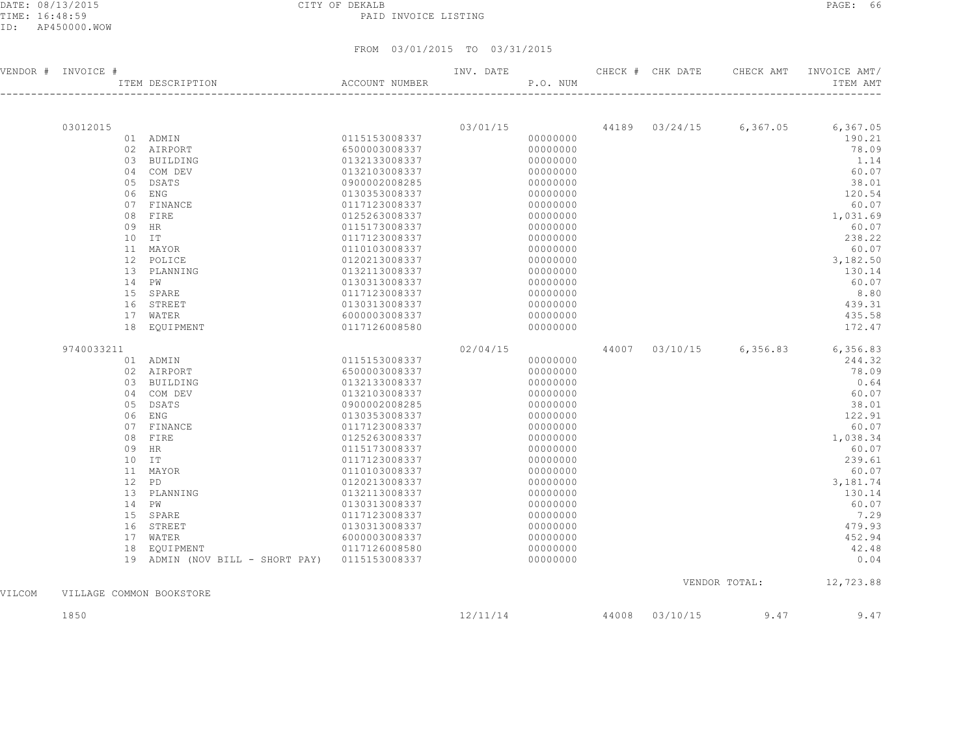DATE: 08/13/2015 CITY OF DEKALB PAGE: 66 PAID INVOICE LISTING

|        | VENDOR # INVOICE #       | ITEM DESCRIPTION                           | ACCOUNT NUMBER                 | INV. DATE | P.O. NUM             |       | CHECK # CHK DATE | CHECK AMT | INVOICE AMT/<br>ITEM AMT         |
|--------|--------------------------|--------------------------------------------|--------------------------------|-----------|----------------------|-------|------------------|-----------|----------------------------------|
|        |                          |                                            |                                |           |                      |       |                  |           |                                  |
|        | 03012015                 |                                            |                                | 03/01/15  |                      |       |                  |           | 44189 03/24/15 6,367.05 6,367.05 |
|        |                          | 01 ADMIN                                   | 0115153008337                  |           | 00000000             |       |                  |           | 190.21                           |
|        |                          | 02 AIRPORT                                 | 6500003008337                  |           | 00000000             |       |                  |           | 78.09                            |
|        |                          | 03 BUILDING                                | 0132133008337                  |           | 00000000             |       |                  |           | 1.14                             |
|        |                          | 04 COM DEV                                 | 0132103008337                  |           | 00000000             |       |                  |           | 60.07                            |
|        |                          | 05 DSATS                                   | 0900002008285                  |           | 00000000             |       |                  |           | 38.01                            |
|        |                          | 06 ENG                                     | 0130353008337                  |           | 00000000             |       |                  |           | 120.54                           |
|        | 07                       | FINANCE                                    | 0117123008337                  |           | 00000000             |       |                  |           | 60.07                            |
|        |                          | 08 FIRE                                    | 0125263008337                  |           | 00000000             |       |                  |           | 1,031.69                         |
|        | 09                       | HR<br>$10$ IT                              | 0115173008337<br>0117123008337 |           | 00000000<br>00000000 |       |                  |           | 60.07<br>238.22                  |
|        |                          | 11 MAYOR                                   | 0110103008337                  |           | 00000000             |       |                  |           | 60.07                            |
|        |                          | 12 POLICE                                  | 0120213008337                  |           | 00000000             |       |                  |           | 3,182.50                         |
|        |                          | 13 PLANNING                                | 0132113008337                  |           | 00000000             |       |                  |           | 130.14                           |
|        |                          | 14 PW                                      | 0130313008337                  |           | 00000000             |       |                  |           | 60.07                            |
|        |                          | 15 SPARE                                   | 0117123008337                  |           | 00000000             |       |                  |           | 8.80                             |
|        |                          | 16 STREET                                  | 0130313008337                  |           | 00000000             |       |                  |           | 439.31                           |
|        |                          | 17 WATER                                   | 6000003008337                  |           | 00000000             |       |                  |           | 435.58                           |
|        |                          | 18 EQUIPMENT                               | 0117126008580                  |           | 00000000             |       |                  |           | 172.47                           |
|        |                          |                                            |                                |           |                      |       |                  |           |                                  |
|        | 9740033211               |                                            |                                | 02/04/15  |                      | 44007 | 03/10/15         |           | 6,356.83 6,356.83                |
|        |                          | 01 ADMIN                                   | 0115153008337                  |           | 00000000             |       |                  |           | 244.32                           |
|        |                          | 02 AIRPORT                                 | 6500003008337                  |           | 00000000             |       |                  |           | 78.09                            |
|        |                          | 03 BUILDING                                | 0132133008337                  |           | 00000000             |       |                  |           | 0.64                             |
|        |                          | 04 COM DEV                                 | 0132103008337                  |           | 00000000             |       |                  |           | 60.07                            |
|        |                          | 05 DSATS                                   | 0900002008285                  |           | 00000000             |       |                  |           | 38.01                            |
|        | 06                       | ENG                                        | 0130353008337                  |           | 00000000             |       |                  |           | 122.91                           |
|        |                          | 07 FINANCE                                 | 0117123008337                  |           | 00000000             |       |                  |           | 60.07                            |
|        | 08                       | FIRE                                       | 0125263008337                  |           | 00000000             |       |                  |           | 1,038.34                         |
|        | 09                       | HR                                         | 0115173008337                  |           | 00000000             |       |                  |           | 60.07                            |
|        | 10                       | IT                                         | 0117123008337                  |           | 00000000             |       |                  |           | 239.61                           |
|        |                          | 11 MAYOR<br>PD                             | 0110103008337                  |           | 00000000             |       |                  |           | 60.07                            |
|        | 12                       | 13 PLANNING                                | 0120213008337<br>0132113008337 |           | 00000000<br>00000000 |       |                  |           | 3,181.74<br>130.14               |
|        |                          | 14 PW                                      | 0130313008337                  |           | 00000000             |       |                  |           | 60.07                            |
|        |                          | 15 SPARE                                   | 0117123008337                  |           | 00000000             |       |                  |           | 7.29                             |
|        |                          | 16 STREET                                  | 0130313008337                  |           | 00000000             |       |                  |           | 479.93                           |
|        |                          | 17 WATER                                   | 6000003008337                  |           | 00000000             |       |                  |           | 452.94                           |
|        | 18                       | EOUIPMENT                                  | 0117126008580                  |           | 00000000             |       |                  |           | 42.48                            |
|        | 19                       | ADMIN (NOV BILL - SHORT PAY) 0115153008337 |                                |           | 00000000             |       |                  |           | 0.04                             |
|        |                          |                                            |                                |           |                      |       |                  |           | VENDOR TOTAL: 12,723.88          |
| VILCOM | VILLAGE COMMON BOOKSTORE |                                            |                                |           |                      |       |                  |           |                                  |
|        | 1850                     |                                            |                                | 12/11/14  |                      | 44008 | 03/10/15         | 9.47      | 9.47                             |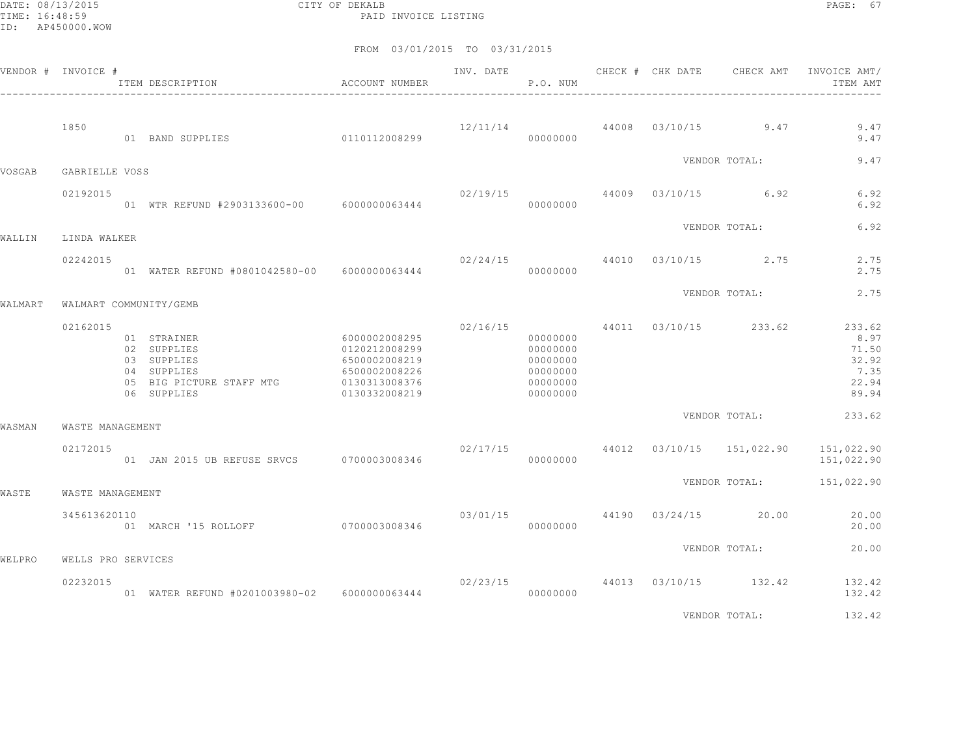DATE: 08/13/2015 CITY OF DEKALB PAGE: 67 PAID INVOICE LISTING

|         | VENDOR # INVOICE # | ITEM DESCRIPTION                                                                                    | ACCOUNT NUMBER                                                                                     | INV. DATE | P.O. NUM                                                             | CHECK # CHK DATE | CHECK AMT                              | INVOICE AMT/<br>ITEM AMT                                   |
|---------|--------------------|-----------------------------------------------------------------------------------------------------|----------------------------------------------------------------------------------------------------|-----------|----------------------------------------------------------------------|------------------|----------------------------------------|------------------------------------------------------------|
|         | 1850               | 01 BAND SUPPLIES                                                                                    | 0110112008299                                                                                      |           | 00000000                                                             |                  | $12/11/14$ 44008 03/10/15 9.47         | 9.47<br>9.47                                               |
| VOSGAB  | GABRIELLE VOSS     |                                                                                                     |                                                                                                    |           |                                                                      |                  | VENDOR TOTAL:                          | 9.47                                                       |
|         | 02192015           | 01 WTR REFUND #2903133600-00 6000000063444                                                          |                                                                                                    | 02/19/15  | 00000000                                                             |                  | 44009 03/10/15 6.92                    | 6.92<br>6.92                                               |
| WALLIN  | LINDA WALKER       |                                                                                                     |                                                                                                    |           |                                                                      |                  | VENDOR TOTAL:                          | 6.92                                                       |
|         | 02242015           | 01 WATER REFUND #0801042580-00 6000000063444                                                        |                                                                                                    |           | 00000000                                                             |                  | $02/24/15$ $44010$ $03/10/15$ $2.75$   | 2.75<br>2.75                                               |
| WALMART |                    | WALMART COMMUNITY/GEMB                                                                              |                                                                                                    |           |                                                                      |                  | VENDOR TOTAL:                          | 2.75                                                       |
|         | 02162015           | 01 STRAINER<br>02 SUPPLIES<br>03 SUPPLIES<br>04 SUPPLIES<br>05 BIG PICTURE STAFF MTG<br>06 SUPPLIES | 6000002008295<br>0120212008299<br>6500002008219<br>6500002008226<br>0130313008376<br>0130332008219 | 02/16/15  | 00000000<br>00000000<br>00000000<br>00000000<br>00000000<br>00000000 |                  | 44011 03/10/15 233.62                  | 233.62<br>8.97<br>71.50<br>32.92<br>7.35<br>22.94<br>89.94 |
| WASMAN  | WASTE MANAGEMENT   |                                                                                                     |                                                                                                    |           |                                                                      |                  | VENDOR TOTAL:                          | 233.62                                                     |
|         | 02172015           | 01 JAN 2015 UB REFUSE SRVCS 0700003008346                                                           |                                                                                                    |           | 00000000                                                             |                  | $02/17/15$ 44012 $03/10/15$ 151,022.90 | 151,022.90<br>151,022.90                                   |
| WASTE   | WASTE MANAGEMENT   |                                                                                                     |                                                                                                    |           |                                                                      |                  |                                        | VENDOR TOTAL: 151,022.90                                   |
|         | 345613620110       | 01 MARCH '15 ROLLOFF 0700003008346                                                                  |                                                                                                    | 03/01/15  | 00000000                                                             |                  | 44190 03/24/15 20.00                   | 20.00<br>20.00                                             |
| WELPRO  | WELLS PRO SERVICES |                                                                                                     |                                                                                                    |           |                                                                      |                  | VENDOR TOTAL:                          | 20.00                                                      |
|         | 02232015           | 01 WATER REFUND #0201003980-02 6000000063444                                                        |                                                                                                    | 02/23/15  | 00000000                                                             |                  | 44013 03/10/15 132.42                  | 132.42<br>132.42                                           |
|         |                    |                                                                                                     |                                                                                                    |           |                                                                      |                  | VENDOR TOTAL:                          | 132.42                                                     |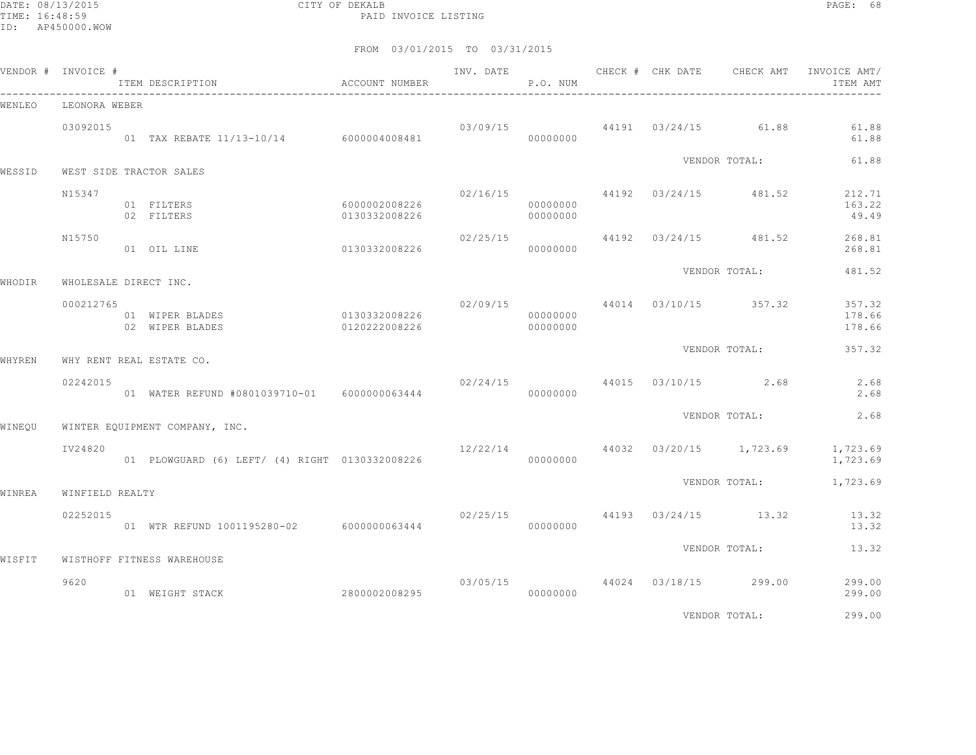DATE: 08/13/2015 CITY OF DEKALB PAGE: 68 PAID INVOICE LISTING

|        | VENDOR # INVOICE #    | ITEM DESCRIPTION                                          | ACCOUNT NUMBER                             |          | P.O. NUM             |  | INV. DATE 6 CHECK # CHK DATE CHECK AMT INVOICE AMT/ | ITEM AMT                   |
|--------|-----------------------|-----------------------------------------------------------|--------------------------------------------|----------|----------------------|--|-----------------------------------------------------|----------------------------|
| WENLEO | LEONORA WEBER         |                                                           |                                            |          |                      |  |                                                     |                            |
|        | 03092015              | 01 TAX REBATE 11/13-10/14 6000004008481                   |                                            |          | 00000000             |  | $03/09/15$ 44191 $03/24/15$ 61.88                   | 61.88<br>61.88             |
| WESSID |                       | WEST SIDE TRACTOR SALES                                   |                                            |          |                      |  | VENDOR TOTAL:                                       | 61.88                      |
|        | N15347                | 01 FILTERS<br>02 FILTERS                                  | 6000002008226<br>0130332008226             |          | 00000000<br>00000000 |  | $02/16/15$ 44192 $03/24/15$ 481.52                  | 212.71<br>163.22<br>49.49  |
|        | N15750                | 01 OIL LINE                                               | 0130332008226                              | 02/25/15 | 00000000             |  | 44192 03/24/15 481.52                               | 268.81<br>268.81           |
| WHODIR | WHOLESALE DIRECT INC. |                                                           |                                            |          |                      |  | VENDOR TOTAL:                                       | 481.52                     |
|        | 000212765             | 01 WIPER BLADES<br>02 WIPER BLADES                        | 0130332008226<br>$0120222008226$ 000000000 |          | 00000000             |  | $02/09/15$ 44014 03/10/15 357.32                    | 357.32<br>178.66<br>178.66 |
| WHYREN |                       | WHY RENT REAL ESTATE CO.                                  |                                            |          |                      |  | VENDOR TOTAL:                                       | 357.32                     |
|        | 02242015              | 01 WATER REFUND #0801039710-01 6000000063444              |                                            |          | 00000000             |  | $02/24/15$ 44015 $03/10/15$ 2.68                    | 2.68<br>2.68               |
| WINEOU |                       | WINTER EQUIPMENT COMPANY, INC.                            |                                            |          |                      |  | VENDOR TOTAL:                                       | 2.68                       |
|        | IV24820               | 01 PLOWGUARD (6) LEFT/ (4) RIGHT 0130332008226 0000000000 |                                            |          |                      |  | $12/22/14$ 44032 03/20/15 1,723.69                  | 1,723.69<br>1,723.69       |
| WINREA | WINFIELD REALTY       |                                                           |                                            |          |                      |  | VENDOR TOTAL:                                       | 1,723.69                   |
|        | 02252015              | 01 WTR REFUND 1001195280-02 6000000063444                 |                                            |          | 00000000             |  | $02/25/15$ 44193 $03/24/15$ 13.32                   | 13.32<br>13.32             |
|        |                       |                                                           |                                            |          |                      |  | VENDOR TOTAL:                                       | 13.32                      |
| WISFIT | 9620                  | WISTHOFF FITNESS WAREHOUSE<br>01 WEIGHT STACK             | 2800002008295                              |          | 00000000             |  | $03/05/15$ 44024 03/18/15 299.00                    | 299.00<br>299.00           |
|        |                       |                                                           |                                            |          |                      |  | VENDOR TOTAL:                                       | 299.00                     |